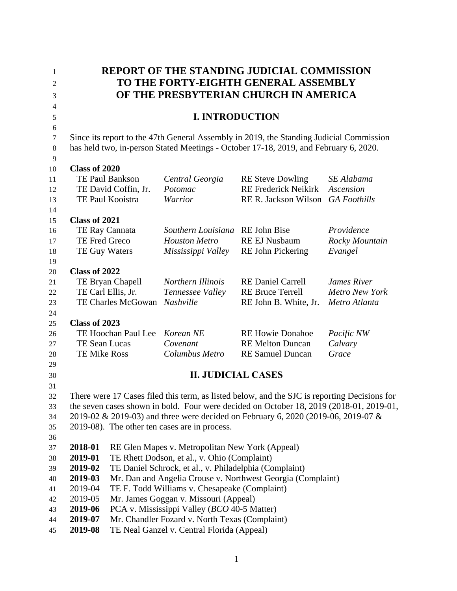| TO THE FORTY-EIGHTH GENERAL ASSEMBLY<br>$\overline{2}$<br>OF THE PRESBYTERIAN CHURCH IN AMERICA<br>3<br>4<br><b>I. INTRODUCTION</b><br>$\sqrt{5}$<br>6<br>Since its report to the 47th General Assembly in 2019, the Standing Judicial Commission<br>$\tau$<br>has held two, in-person Stated Meetings - October 17-18, 2019, and February 6, 2020.<br>$\,8\,$<br>9<br>Class of 2020<br>10<br>TE Paul Bankson<br>Central Georgia<br><b>RE</b> Steve Dowling<br>SE Alabama<br>11<br>TE David Coffin, Jr.<br><b>RE Frederick Neikirk</b><br>Potomac<br>Ascension<br>12<br>TE Paul Kooistra<br>Warrior<br>RE R. Jackson Wilson<br><b>GA</b> Foothills<br>13<br>14<br>Class of 2021<br>15<br>TE Ray Cannata<br><b>RE</b> John Bise<br>Providence<br>Southern Louisiana<br>16<br>TE Fred Greco<br><b>RE EJ Nusbaum</b><br><b>Houston Metro</b><br>Rocky Mountain<br>17<br>Mississippi Valley<br>Evangel<br>TE Guy Waters<br><b>RE John Pickering</b><br>18<br>19<br>Class of 2022<br>20<br>Northern Illinois<br><b>RE Daniel Carrell</b><br><b>James River</b><br>TE Bryan Chapell<br>21<br>TE Carl Ellis, Jr.<br><b>RE Bruce Terrell</b><br><b>Metro New York</b><br>Tennessee Valley<br>22<br>TE Charles McGowan Nashville<br>RE John B. White, Jr.<br>Metro Atlanta<br>23<br>24<br>Class of 2023<br>25<br>TE Hoochan Paul Lee<br><b>RE Howie Donahoe</b><br>Korean NE<br>Pacific NW<br>26<br>TE Sean Lucas<br>Covenant<br><b>RE Melton Duncan</b><br>Calvary<br>27<br><b>TE Mike Ross</b><br>Columbus Metro<br><b>RE Samuel Duncan</b><br>Grace<br>28<br>29<br><b>II. JUDICIAL CASES</b><br>30<br>31<br>There were 17 Cases filed this term, as listed below, and the SJC is reporting Decisions for<br>32<br>the seven cases shown in bold. Four were decided on October 18, 2019 (2018-01, 2019-01,<br>33<br>2019-02 & 2019-03) and three were decided on February 6, 2020 (2019-06, 2019-07 &<br>34 | 1 | <b>REPORT OF THE STANDING JUDICIAL COMMISSION</b> |  |  |  |  |
|------------------------------------------------------------------------------------------------------------------------------------------------------------------------------------------------------------------------------------------------------------------------------------------------------------------------------------------------------------------------------------------------------------------------------------------------------------------------------------------------------------------------------------------------------------------------------------------------------------------------------------------------------------------------------------------------------------------------------------------------------------------------------------------------------------------------------------------------------------------------------------------------------------------------------------------------------------------------------------------------------------------------------------------------------------------------------------------------------------------------------------------------------------------------------------------------------------------------------------------------------------------------------------------------------------------------------------------------------------------------------------------------------------------------------------------------------------------------------------------------------------------------------------------------------------------------------------------------------------------------------------------------------------------------------------------------------------------------------------------------------------------------------------------------------------------------------------------------------------------------------------------------------|---|---------------------------------------------------|--|--|--|--|
|                                                                                                                                                                                                                                                                                                                                                                                                                                                                                                                                                                                                                                                                                                                                                                                                                                                                                                                                                                                                                                                                                                                                                                                                                                                                                                                                                                                                                                                                                                                                                                                                                                                                                                                                                                                                                                                                                                      |   |                                                   |  |  |  |  |
|                                                                                                                                                                                                                                                                                                                                                                                                                                                                                                                                                                                                                                                                                                                                                                                                                                                                                                                                                                                                                                                                                                                                                                                                                                                                                                                                                                                                                                                                                                                                                                                                                                                                                                                                                                                                                                                                                                      |   |                                                   |  |  |  |  |
|                                                                                                                                                                                                                                                                                                                                                                                                                                                                                                                                                                                                                                                                                                                                                                                                                                                                                                                                                                                                                                                                                                                                                                                                                                                                                                                                                                                                                                                                                                                                                                                                                                                                                                                                                                                                                                                                                                      |   |                                                   |  |  |  |  |
|                                                                                                                                                                                                                                                                                                                                                                                                                                                                                                                                                                                                                                                                                                                                                                                                                                                                                                                                                                                                                                                                                                                                                                                                                                                                                                                                                                                                                                                                                                                                                                                                                                                                                                                                                                                                                                                                                                      |   |                                                   |  |  |  |  |
|                                                                                                                                                                                                                                                                                                                                                                                                                                                                                                                                                                                                                                                                                                                                                                                                                                                                                                                                                                                                                                                                                                                                                                                                                                                                                                                                                                                                                                                                                                                                                                                                                                                                                                                                                                                                                                                                                                      |   |                                                   |  |  |  |  |
|                                                                                                                                                                                                                                                                                                                                                                                                                                                                                                                                                                                                                                                                                                                                                                                                                                                                                                                                                                                                                                                                                                                                                                                                                                                                                                                                                                                                                                                                                                                                                                                                                                                                                                                                                                                                                                                                                                      |   |                                                   |  |  |  |  |
|                                                                                                                                                                                                                                                                                                                                                                                                                                                                                                                                                                                                                                                                                                                                                                                                                                                                                                                                                                                                                                                                                                                                                                                                                                                                                                                                                                                                                                                                                                                                                                                                                                                                                                                                                                                                                                                                                                      |   |                                                   |  |  |  |  |
|                                                                                                                                                                                                                                                                                                                                                                                                                                                                                                                                                                                                                                                                                                                                                                                                                                                                                                                                                                                                                                                                                                                                                                                                                                                                                                                                                                                                                                                                                                                                                                                                                                                                                                                                                                                                                                                                                                      |   |                                                   |  |  |  |  |
|                                                                                                                                                                                                                                                                                                                                                                                                                                                                                                                                                                                                                                                                                                                                                                                                                                                                                                                                                                                                                                                                                                                                                                                                                                                                                                                                                                                                                                                                                                                                                                                                                                                                                                                                                                                                                                                                                                      |   |                                                   |  |  |  |  |
|                                                                                                                                                                                                                                                                                                                                                                                                                                                                                                                                                                                                                                                                                                                                                                                                                                                                                                                                                                                                                                                                                                                                                                                                                                                                                                                                                                                                                                                                                                                                                                                                                                                                                                                                                                                                                                                                                                      |   |                                                   |  |  |  |  |
|                                                                                                                                                                                                                                                                                                                                                                                                                                                                                                                                                                                                                                                                                                                                                                                                                                                                                                                                                                                                                                                                                                                                                                                                                                                                                                                                                                                                                                                                                                                                                                                                                                                                                                                                                                                                                                                                                                      |   |                                                   |  |  |  |  |
|                                                                                                                                                                                                                                                                                                                                                                                                                                                                                                                                                                                                                                                                                                                                                                                                                                                                                                                                                                                                                                                                                                                                                                                                                                                                                                                                                                                                                                                                                                                                                                                                                                                                                                                                                                                                                                                                                                      |   |                                                   |  |  |  |  |
|                                                                                                                                                                                                                                                                                                                                                                                                                                                                                                                                                                                                                                                                                                                                                                                                                                                                                                                                                                                                                                                                                                                                                                                                                                                                                                                                                                                                                                                                                                                                                                                                                                                                                                                                                                                                                                                                                                      |   |                                                   |  |  |  |  |
|                                                                                                                                                                                                                                                                                                                                                                                                                                                                                                                                                                                                                                                                                                                                                                                                                                                                                                                                                                                                                                                                                                                                                                                                                                                                                                                                                                                                                                                                                                                                                                                                                                                                                                                                                                                                                                                                                                      |   |                                                   |  |  |  |  |
|                                                                                                                                                                                                                                                                                                                                                                                                                                                                                                                                                                                                                                                                                                                                                                                                                                                                                                                                                                                                                                                                                                                                                                                                                                                                                                                                                                                                                                                                                                                                                                                                                                                                                                                                                                                                                                                                                                      |   |                                                   |  |  |  |  |
|                                                                                                                                                                                                                                                                                                                                                                                                                                                                                                                                                                                                                                                                                                                                                                                                                                                                                                                                                                                                                                                                                                                                                                                                                                                                                                                                                                                                                                                                                                                                                                                                                                                                                                                                                                                                                                                                                                      |   |                                                   |  |  |  |  |
|                                                                                                                                                                                                                                                                                                                                                                                                                                                                                                                                                                                                                                                                                                                                                                                                                                                                                                                                                                                                                                                                                                                                                                                                                                                                                                                                                                                                                                                                                                                                                                                                                                                                                                                                                                                                                                                                                                      |   |                                                   |  |  |  |  |
|                                                                                                                                                                                                                                                                                                                                                                                                                                                                                                                                                                                                                                                                                                                                                                                                                                                                                                                                                                                                                                                                                                                                                                                                                                                                                                                                                                                                                                                                                                                                                                                                                                                                                                                                                                                                                                                                                                      |   |                                                   |  |  |  |  |
|                                                                                                                                                                                                                                                                                                                                                                                                                                                                                                                                                                                                                                                                                                                                                                                                                                                                                                                                                                                                                                                                                                                                                                                                                                                                                                                                                                                                                                                                                                                                                                                                                                                                                                                                                                                                                                                                                                      |   |                                                   |  |  |  |  |
|                                                                                                                                                                                                                                                                                                                                                                                                                                                                                                                                                                                                                                                                                                                                                                                                                                                                                                                                                                                                                                                                                                                                                                                                                                                                                                                                                                                                                                                                                                                                                                                                                                                                                                                                                                                                                                                                                                      |   |                                                   |  |  |  |  |
|                                                                                                                                                                                                                                                                                                                                                                                                                                                                                                                                                                                                                                                                                                                                                                                                                                                                                                                                                                                                                                                                                                                                                                                                                                                                                                                                                                                                                                                                                                                                                                                                                                                                                                                                                                                                                                                                                                      |   |                                                   |  |  |  |  |
|                                                                                                                                                                                                                                                                                                                                                                                                                                                                                                                                                                                                                                                                                                                                                                                                                                                                                                                                                                                                                                                                                                                                                                                                                                                                                                                                                                                                                                                                                                                                                                                                                                                                                                                                                                                                                                                                                                      |   |                                                   |  |  |  |  |
|                                                                                                                                                                                                                                                                                                                                                                                                                                                                                                                                                                                                                                                                                                                                                                                                                                                                                                                                                                                                                                                                                                                                                                                                                                                                                                                                                                                                                                                                                                                                                                                                                                                                                                                                                                                                                                                                                                      |   |                                                   |  |  |  |  |
|                                                                                                                                                                                                                                                                                                                                                                                                                                                                                                                                                                                                                                                                                                                                                                                                                                                                                                                                                                                                                                                                                                                                                                                                                                                                                                                                                                                                                                                                                                                                                                                                                                                                                                                                                                                                                                                                                                      |   |                                                   |  |  |  |  |
|                                                                                                                                                                                                                                                                                                                                                                                                                                                                                                                                                                                                                                                                                                                                                                                                                                                                                                                                                                                                                                                                                                                                                                                                                                                                                                                                                                                                                                                                                                                                                                                                                                                                                                                                                                                                                                                                                                      |   |                                                   |  |  |  |  |
|                                                                                                                                                                                                                                                                                                                                                                                                                                                                                                                                                                                                                                                                                                                                                                                                                                                                                                                                                                                                                                                                                                                                                                                                                                                                                                                                                                                                                                                                                                                                                                                                                                                                                                                                                                                                                                                                                                      |   |                                                   |  |  |  |  |
|                                                                                                                                                                                                                                                                                                                                                                                                                                                                                                                                                                                                                                                                                                                                                                                                                                                                                                                                                                                                                                                                                                                                                                                                                                                                                                                                                                                                                                                                                                                                                                                                                                                                                                                                                                                                                                                                                                      |   |                                                   |  |  |  |  |
|                                                                                                                                                                                                                                                                                                                                                                                                                                                                                                                                                                                                                                                                                                                                                                                                                                                                                                                                                                                                                                                                                                                                                                                                                                                                                                                                                                                                                                                                                                                                                                                                                                                                                                                                                                                                                                                                                                      |   |                                                   |  |  |  |  |
|                                                                                                                                                                                                                                                                                                                                                                                                                                                                                                                                                                                                                                                                                                                                                                                                                                                                                                                                                                                                                                                                                                                                                                                                                                                                                                                                                                                                                                                                                                                                                                                                                                                                                                                                                                                                                                                                                                      |   |                                                   |  |  |  |  |
|                                                                                                                                                                                                                                                                                                                                                                                                                                                                                                                                                                                                                                                                                                                                                                                                                                                                                                                                                                                                                                                                                                                                                                                                                                                                                                                                                                                                                                                                                                                                                                                                                                                                                                                                                                                                                                                                                                      |   |                                                   |  |  |  |  |
|                                                                                                                                                                                                                                                                                                                                                                                                                                                                                                                                                                                                                                                                                                                                                                                                                                                                                                                                                                                                                                                                                                                                                                                                                                                                                                                                                                                                                                                                                                                                                                                                                                                                                                                                                                                                                                                                                                      |   |                                                   |  |  |  |  |
|                                                                                                                                                                                                                                                                                                                                                                                                                                                                                                                                                                                                                                                                                                                                                                                                                                                                                                                                                                                                                                                                                                                                                                                                                                                                                                                                                                                                                                                                                                                                                                                                                                                                                                                                                                                                                                                                                                      |   |                                                   |  |  |  |  |
| 2019-08). The other ten cases are in process.<br>35                                                                                                                                                                                                                                                                                                                                                                                                                                                                                                                                                                                                                                                                                                                                                                                                                                                                                                                                                                                                                                                                                                                                                                                                                                                                                                                                                                                                                                                                                                                                                                                                                                                                                                                                                                                                                                                  |   |                                                   |  |  |  |  |
| 36<br>2018-01<br>RE Glen Mapes v. Metropolitan New York (Appeal)<br>37                                                                                                                                                                                                                                                                                                                                                                                                                                                                                                                                                                                                                                                                                                                                                                                                                                                                                                                                                                                                                                                                                                                                                                                                                                                                                                                                                                                                                                                                                                                                                                                                                                                                                                                                                                                                                               |   |                                                   |  |  |  |  |
| 2019-01<br>TE Rhett Dodson, et al., v. Ohio (Complaint)<br>38                                                                                                                                                                                                                                                                                                                                                                                                                                                                                                                                                                                                                                                                                                                                                                                                                                                                                                                                                                                                                                                                                                                                                                                                                                                                                                                                                                                                                                                                                                                                                                                                                                                                                                                                                                                                                                        |   |                                                   |  |  |  |  |
| 2019-02<br>TE Daniel Schrock, et al., v. Philadelphia (Complaint)<br>39                                                                                                                                                                                                                                                                                                                                                                                                                                                                                                                                                                                                                                                                                                                                                                                                                                                                                                                                                                                                                                                                                                                                                                                                                                                                                                                                                                                                                                                                                                                                                                                                                                                                                                                                                                                                                              |   |                                                   |  |  |  |  |
| Mr. Dan and Angelia Crouse v. Northwest Georgia (Complaint)<br>2019-03<br>40                                                                                                                                                                                                                                                                                                                                                                                                                                                                                                                                                                                                                                                                                                                                                                                                                                                                                                                                                                                                                                                                                                                                                                                                                                                                                                                                                                                                                                                                                                                                                                                                                                                                                                                                                                                                                         |   |                                                   |  |  |  |  |
| TE F. Todd Williams v. Chesapeake (Complaint)<br>2019-04<br>41                                                                                                                                                                                                                                                                                                                                                                                                                                                                                                                                                                                                                                                                                                                                                                                                                                                                                                                                                                                                                                                                                                                                                                                                                                                                                                                                                                                                                                                                                                                                                                                                                                                                                                                                                                                                                                       |   |                                                   |  |  |  |  |
| 2019-05<br>Mr. James Goggan v. Missouri (Appeal)<br>42                                                                                                                                                                                                                                                                                                                                                                                                                                                                                                                                                                                                                                                                                                                                                                                                                                                                                                                                                                                                                                                                                                                                                                                                                                                                                                                                                                                                                                                                                                                                                                                                                                                                                                                                                                                                                                               |   |                                                   |  |  |  |  |
| 2019-06<br>PCA v. Mississippi Valley ( <i>BCO</i> 40-5 Matter)<br>43                                                                                                                                                                                                                                                                                                                                                                                                                                                                                                                                                                                                                                                                                                                                                                                                                                                                                                                                                                                                                                                                                                                                                                                                                                                                                                                                                                                                                                                                                                                                                                                                                                                                                                                                                                                                                                 |   |                                                   |  |  |  |  |
| 2019-07<br>Mr. Chandler Fozard v. North Texas (Complaint)<br>44                                                                                                                                                                                                                                                                                                                                                                                                                                                                                                                                                                                                                                                                                                                                                                                                                                                                                                                                                                                                                                                                                                                                                                                                                                                                                                                                                                                                                                                                                                                                                                                                                                                                                                                                                                                                                                      |   |                                                   |  |  |  |  |
| 2019-08<br>TE Neal Ganzel v. Central Florida (Appeal)<br>45                                                                                                                                                                                                                                                                                                                                                                                                                                                                                                                                                                                                                                                                                                                                                                                                                                                                                                                                                                                                                                                                                                                                                                                                                                                                                                                                                                                                                                                                                                                                                                                                                                                                                                                                                                                                                                          |   |                                                   |  |  |  |  |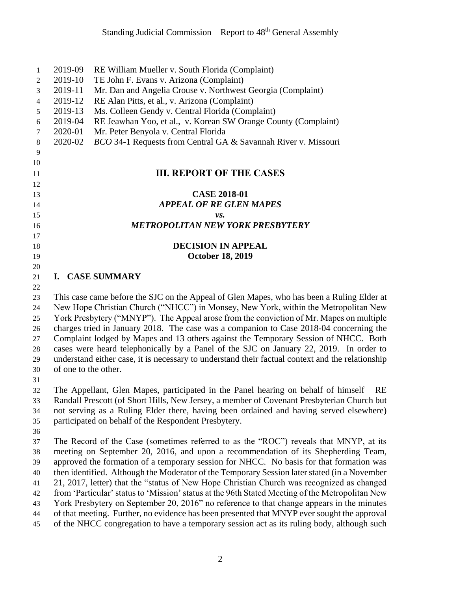| $\mathbf{1}$   | 2019-09                                                                                                                                                                          | RE William Mueller v. South Florida (Complaint)                                                  |  |
|----------------|----------------------------------------------------------------------------------------------------------------------------------------------------------------------------------|--------------------------------------------------------------------------------------------------|--|
| $\overline{c}$ | 2019-10                                                                                                                                                                          | TE John F. Evans v. Arizona (Complaint)                                                          |  |
| 3              | 2019-11                                                                                                                                                                          | Mr. Dan and Angelia Crouse v. Northwest Georgia (Complaint)                                      |  |
| $\overline{4}$ | 2019-12                                                                                                                                                                          | RE Alan Pitts, et al., v. Arizona (Complaint)                                                    |  |
| 5              | 2019-13                                                                                                                                                                          | Ms. Colleen Gendy v. Central Florida (Complaint)                                                 |  |
| 6              | 2019-04                                                                                                                                                                          | RE Jeawhan Yoo, et al., v. Korean SW Orange County (Complaint)                                   |  |
| $\tau$         | 2020-01                                                                                                                                                                          | Mr. Peter Benyola v. Central Florida                                                             |  |
| $\,8\,$        | 2020-02                                                                                                                                                                          | BCO 34-1 Requests from Central GA & Savannah River v. Missouri                                   |  |
| 9              |                                                                                                                                                                                  |                                                                                                  |  |
| 10             |                                                                                                                                                                                  |                                                                                                  |  |
| 11             |                                                                                                                                                                                  | <b>III. REPORT OF THE CASES</b>                                                                  |  |
| 12             |                                                                                                                                                                                  |                                                                                                  |  |
| 13             |                                                                                                                                                                                  | <b>CASE 2018-01</b>                                                                              |  |
| 14             |                                                                                                                                                                                  | <b>APPEAL OF RE GLEN MAPES</b>                                                                   |  |
| 15             |                                                                                                                                                                                  | vs.                                                                                              |  |
| 16             |                                                                                                                                                                                  | <b>METROPOLITAN NEW YORK PRESBYTERY</b>                                                          |  |
| 17             |                                                                                                                                                                                  |                                                                                                  |  |
| 18             |                                                                                                                                                                                  | <b>DECISION IN APPEAL</b>                                                                        |  |
| 19             |                                                                                                                                                                                  | <b>October 18, 2019</b>                                                                          |  |
| 20             |                                                                                                                                                                                  |                                                                                                  |  |
| 21             |                                                                                                                                                                                  | I. CASE SUMMARY                                                                                  |  |
| 22             |                                                                                                                                                                                  |                                                                                                  |  |
| 23<br>24       | This case came before the SJC on the Appeal of Glen Mapes, who has been a Ruling Elder at<br>New Hope Christian Church ("NHCC") in Monsey, New York, within the Metropolitan New |                                                                                                  |  |
| 25             | York Presbytery ("MNYP"). The Appeal arose from the conviction of Mr. Mapes on multiple                                                                                          |                                                                                                  |  |
| 26             | charges tried in January 2018. The case was a companion to Case 2018-04 concerning the                                                                                           |                                                                                                  |  |
| 27             |                                                                                                                                                                                  | Complaint lodged by Mapes and 13 others against the Temporary Session of NHCC. Both              |  |
| 28             |                                                                                                                                                                                  | cases were heard telephonically by a Panel of the SJC on January 22, 2019. In order to           |  |
| 29             |                                                                                                                                                                                  | understand either case, it is necessary to understand their factual context and the relationship |  |
| 30             | of one to the other.                                                                                                                                                             |                                                                                                  |  |
| 31             |                                                                                                                                                                                  |                                                                                                  |  |
| 32             |                                                                                                                                                                                  | The Appellant, Glen Mapes, participated in the Panel hearing on behalf of himself<br>RE          |  |
| 33             |                                                                                                                                                                                  | Randall Prescott (of Short Hills, New Jersey, a member of Covenant Presbyterian Church but       |  |
| 34             |                                                                                                                                                                                  | not serving as a Ruling Elder there, having been ordained and having served elsewhere)           |  |
| 35             |                                                                                                                                                                                  | participated on behalf of the Respondent Presbytery.                                             |  |
| 36             |                                                                                                                                                                                  |                                                                                                  |  |
| 37             |                                                                                                                                                                                  | The Record of the Case (sometimes referred to as the "ROC") reveals that MNYP, at its            |  |
| 38             | meeting on September 20, 2016, and upon a recommendation of its Shepherding Team,                                                                                                |                                                                                                  |  |
| 39             |                                                                                                                                                                                  | approved the formation of a temporary session for NHCC. No basis for that formation was          |  |
| 40             |                                                                                                                                                                                  | then identified. Although the Moderator of the Temporary Session later stated (in a November     |  |
| 41             |                                                                                                                                                                                  | 21, 2017, letter) that the "status of New Hope Christian Church was recognized as changed        |  |
| 42             |                                                                                                                                                                                  | from 'Particular' status to 'Mission' status at the 96th Stated Meeting of the Metropolitan New  |  |
|                |                                                                                                                                                                                  |                                                                                                  |  |

- York Presbytery on September 20, 2016" no reference to that change appears in the minutes of that meeting. Further, no evidence has been presented that MNYP ever sought the approval
- 45 of the NHCC congregation to have a temporary session act as its ruling body, although such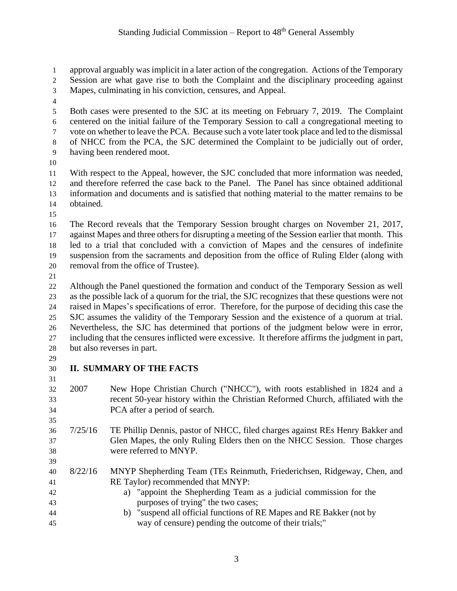approval arguably was implicit in a later action of the congregation. Actions of the Temporary Session are what gave rise to both the Complaint and the disciplinary proceeding against

- Mapes, culminating in his conviction, censures, and Appeal.
- 

 Both cases were presented to the SJC at its meeting on February 7, 2019. The Complaint centered on the initial failure of the Temporary Session to call a congregational meeting to vote on whether to leave the PCA. Because such a vote later took place and led to the dismissal of NHCC from the PCA, the SJC determined the Complaint to be judicially out of order, having been rendered moot.

 With respect to the Appeal, however, the SJC concluded that more information was needed, and therefore referred the case back to the Panel. The Panel has since obtained additional information and documents and is satisfied that nothing material to the matter remains to be obtained.

 The Record reveals that the Temporary Session brought charges on November 21, 2017, against Mapes and three others for disrupting a meeting of the Session earlier that month. This led to a trial that concluded with a conviction of Mapes and the censures of indefinite suspension from the sacraments and deposition from the office of Ruling Elder (along with removal from the office of Trustee).

 Although the Panel questioned the formation and conduct of the Temporary Session as well as the possible lack of a quorum for the trial, the SJC recognizes that these questions were not raised in Mapes's specifications of error. Therefore, for the purpose of deciding this case the SJC assumes the validity of the Temporary Session and the existence of a quorum at trial. Nevertheless, the SJC has determined that portions of the judgment below were in error, including that the censures inflicted were excessive. It therefore affirms the judgment in part, but also reverses in part.

#### **II. SUMMARY OF THE FACTS**

- 2007 New Hope Christian Church ("NHCC"), with roots established in 1824 and a recent 50-year history within the Christian Reformed Church, affiliated with the PCA after a period of search.
- 7/25/16 TE Phillip Dennis, pastor of NHCC, filed charges against REs Henry Bakker and Glen Mapes, the only Ruling Elders then on the NHCC Session. Those charges were referred to MNYP.
- 8/22/16 MNYP Shepherding Team (TEs Reinmuth, Friederichsen, Ridgeway, Chen, and RE Taylor) recommended that MNYP:
- a) "appoint the Shepherding Team as a judicial commission for the purposes of trying" the two cases;
- b) "suspend all official functions of RE Mapes and RE Bakker (not by way of censure) pending the outcome of their trials;"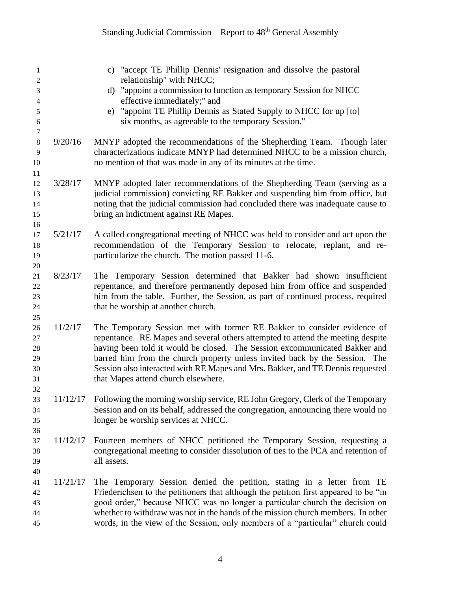| 1                   |          | c) "accept TE Phillip Dennis' resignation and dissolve the pastoral                            |
|---------------------|----------|------------------------------------------------------------------------------------------------|
| $\overline{c}$<br>3 |          | relationship" with NHCC;<br>d) "appoint a commission to function as temporary Session for NHCC |
| 4                   |          | effective immediately;" and                                                                    |
| 5                   |          | e) "appoint TE Phillip Dennis as Stated Supply to NHCC for up [to]                             |
| 6                   |          | six months, as agreeable to the temporary Session."                                            |
| $\tau$              |          |                                                                                                |
| $\,8\,$             | 9/20/16  | MNYP adopted the recommendations of the Shepherding Team. Though later                         |
| 9                   |          | characterizations indicate MNYP had determined NHCC to be a mission church,                    |
| 10                  |          | no mention of that was made in any of its minutes at the time.                                 |
| 11                  |          |                                                                                                |
| 12                  | 3/28/17  | MNYP adopted later recommendations of the Shepherding Team (serving as a                       |
| 13                  |          | judicial commission) convicting RE Bakker and suspending him from office, but                  |
| 14                  |          | noting that the judicial commission had concluded there was inadequate cause to                |
| 15                  |          | bring an indictment against RE Mapes.                                                          |
| 16                  |          |                                                                                                |
| 17                  | 5/21/17  | A called congregational meeting of NHCC was held to consider and act upon the                  |
| 18                  |          | recommendation of the Temporary Session to relocate, replant, and re-                          |
| 19                  |          | particularize the church. The motion passed 11-6.                                              |
| 20                  |          |                                                                                                |
| 21                  | 8/23/17  | The Temporary Session determined that Bakker had shown insufficient                            |
| 22                  |          | repentance, and therefore permanently deposed him from office and suspended                    |
| 23                  |          | him from the table. Further, the Session, as part of continued process, required               |
| 24                  |          | that he worship at another church.                                                             |
| 25                  |          |                                                                                                |
| 26                  | 11/2/17  | The Temporary Session met with former RE Bakker to consider evidence of                        |
| 27                  |          | repentance. RE Mapes and several others attempted to attend the meeting despite                |
| 28                  |          | having been told it would be closed. The Session excommunicated Bakker and                     |
| 29                  |          | barred him from the church property unless invited back by the Session. The                    |
| 30                  |          | Session also interacted with RE Mapes and Mrs. Bakker, and TE Dennis requested                 |
| 31                  |          | that Mapes attend church elsewhere.                                                            |
| 32                  |          |                                                                                                |
| 33                  |          | 11/12/17 Following the morning worship service, RE John Gregory, Clerk of the Temporary        |
| 34                  |          | Session and on its behalf, addressed the congregation, announcing there would no               |
| 35                  |          | longer be worship services at NHCC.                                                            |
| 36                  |          |                                                                                                |
| 37                  | 11/12/17 | Fourteen members of NHCC petitioned the Temporary Session, requesting a                        |
| 38                  |          | congregational meeting to consider dissolution of ties to the PCA and retention of             |
| 39                  |          | all assets.                                                                                    |
| 40                  |          |                                                                                                |
| 41                  | 11/21/17 | The Temporary Session denied the petition, stating in a letter from TE                         |
| 42                  |          | Friederichsen to the petitioners that although the petition first appeared to be "in           |
| 43                  |          | good order," because NHCC was no longer a particular church the decision on                    |
| 44                  |          | whether to withdraw was not in the hands of the mission church members. In other               |
| 45                  |          | words, in the view of the Session, only members of a "particular" church could                 |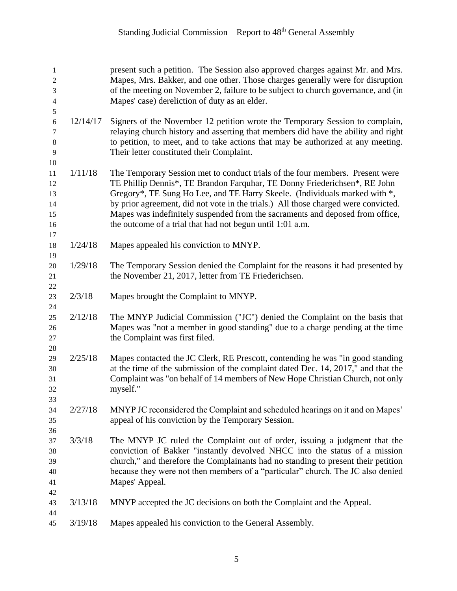| 1<br>$\overline{c}$<br>3<br>4          |          | present such a petition. The Session also approved charges against Mr. and Mrs.<br>Mapes, Mrs. Bakker, and one other. Those charges generally were for disruption<br>of the meeting on November 2, failure to be subject to church governance, and (in<br>Mapes' case) dereliction of duty as an elder.                                                                                                                                                                      |
|----------------------------------------|----------|------------------------------------------------------------------------------------------------------------------------------------------------------------------------------------------------------------------------------------------------------------------------------------------------------------------------------------------------------------------------------------------------------------------------------------------------------------------------------|
| 5<br>$\sqrt{6}$<br>7<br>8<br>9<br>10   | 12/14/17 | Signers of the November 12 petition wrote the Temporary Session to complain,<br>relaying church history and asserting that members did have the ability and right<br>to petition, to meet, and to take actions that may be authorized at any meeting.<br>Their letter constituted their Complaint.                                                                                                                                                                           |
| 11<br>12<br>13<br>14<br>15<br>16<br>17 | 1/11/18  | The Temporary Session met to conduct trials of the four members. Present were<br>TE Phillip Dennis*, TE Brandon Farquhar, TE Donny Friederichsen*, RE John<br>Gregory*, TE Sung Ho Lee, and TE Harry Skeele. (Individuals marked with *,<br>by prior agreement, did not vote in the trials.) All those charged were convicted.<br>Mapes was indefinitely suspended from the sacraments and deposed from office,<br>the outcome of a trial that had not begun until 1:01 a.m. |
| 18                                     | 1/24/18  | Mapes appealed his conviction to MNYP.                                                                                                                                                                                                                                                                                                                                                                                                                                       |
| 19<br>20<br>21<br>22                   | 1/29/18  | The Temporary Session denied the Complaint for the reasons it had presented by<br>the November 21, 2017, letter from TE Friederichsen.                                                                                                                                                                                                                                                                                                                                       |
| 23<br>24                               | 2/3/18   | Mapes brought the Complaint to MNYP.                                                                                                                                                                                                                                                                                                                                                                                                                                         |
| 25<br>26<br>27<br>28                   | 2/12/18  | The MNYP Judicial Commission ("JC") denied the Complaint on the basis that<br>Mapes was "not a member in good standing" due to a charge pending at the time<br>the Complaint was first filed.                                                                                                                                                                                                                                                                                |
| 29<br>30<br>31<br>32<br>33             | 2/25/18  | Mapes contacted the JC Clerk, RE Prescott, contending he was "in good standing<br>at the time of the submission of the complaint dated Dec. 14, 2017," and that the<br>Complaint was "on behalf of 14 members of New Hope Christian Church, not only<br>myself."                                                                                                                                                                                                             |
| 34<br>35                               | 2/27/18  | MNYP JC reconsidered the Complaint and scheduled hearings on it and on Mapes'<br>appeal of his conviction by the Temporary Session.                                                                                                                                                                                                                                                                                                                                          |
| 36<br>37<br>38<br>39<br>40<br>41<br>42 | 3/3/18   | The MNYP JC ruled the Complaint out of order, issuing a judgment that the<br>conviction of Bakker "instantly devolved NHCC into the status of a mission<br>church," and therefore the Complainants had no standing to present their petition<br>because they were not then members of a "particular" church. The JC also denied<br>Mapes' Appeal.                                                                                                                            |
| 43<br>44                               | 3/13/18  | MNYP accepted the JC decisions on both the Complaint and the Appeal.                                                                                                                                                                                                                                                                                                                                                                                                         |
| 45                                     | 3/19/18  | Mapes appealed his conviction to the General Assembly.                                                                                                                                                                                                                                                                                                                                                                                                                       |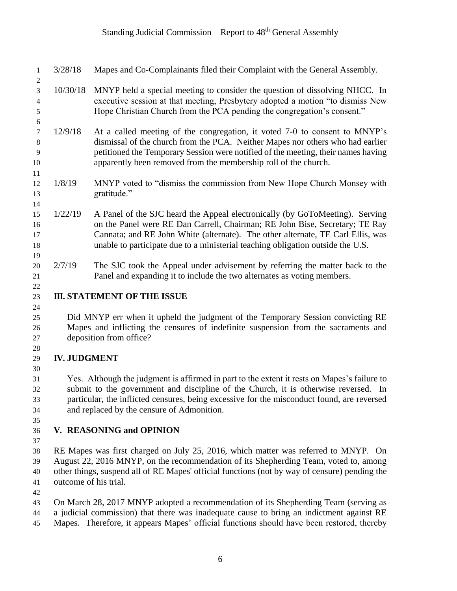- 3/28/18 Mapes and Co-Complainants filed their Complaint with the General Assembly.
- 10/30/18 MNYP held a special meeting to consider the question of dissolving NHCC. In executive session at that meeting, Presbytery adopted a motion "to dismiss New Hope Christian Church from the PCA pending the congregation's consent."
- 12/9/18 At a called meeting of the congregation, it voted 7-0 to consent to MNYP's dismissal of the church from the PCA. Neither Mapes nor others who had earlier petitioned the Temporary Session were notified of the meeting, their names having apparently been removed from the membership roll of the church.
- 1/8/19 MNYP voted to "dismiss the commission from New Hope Church Monsey with gratitude."
- 1/22/19 A Panel of the SJC heard the Appeal electronically (by GoToMeeting). Serving on the Panel were RE Dan Carrell, Chairman; RE John Bise, Secretary; TE Ray Cannata; and RE John White (alternate). The other alternate, TE Carl Ellis, was unable to participate due to a ministerial teaching obligation outside the U.S.
- 20 2/7/19 The SJC took the Appeal under advisement by referring the matter back to the Panel and expanding it to include the two alternates as voting members.

### **III. STATEMENT OF THE ISSUE**

 Did MNYP err when it upheld the judgment of the Temporary Session convicting RE Mapes and inflicting the censures of indefinite suspension from the sacraments and deposition from office?

## **IV. JUDGMENT**

 Yes. Although the judgment is affirmed in part to the extent it rests on Mapes's failure to submit to the government and discipline of the Church, it is otherwise reversed. In particular, the inflicted censures, being excessive for the misconduct found, are reversed and replaced by the censure of Admonition.

## **V. REASONING and OPINION**

 RE Mapes was first charged on July 25, 2016, which matter was referred to MNYP. On August 22, 2016 MNYP, on the recommendation of its Shepherding Team, voted to, among other things, suspend all of RE Mapes' official functions (not by way of censure) pending the outcome of his trial.

 On March 28, 2017 MNYP adopted a recommendation of its Shepherding Team (serving as a judicial commission) that there was inadequate cause to bring an indictment against RE

Mapes. Therefore, it appears Mapes' official functions should have been restored, thereby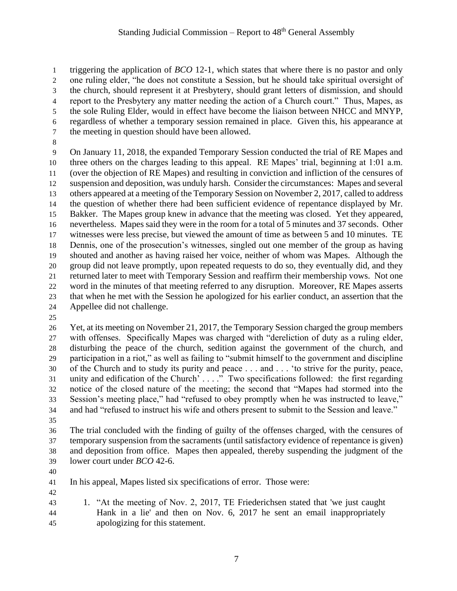triggering the application of *BCO* 12-1, which states that where there is no pastor and only one ruling elder, "he does not constitute a Session, but he should take spiritual oversight of the church, should represent it at Presbytery, should grant letters of dismission, and should report to the Presbytery any matter needing the action of a Church court." Thus, Mapes, as the sole Ruling Elder, would in effect have become the liaison between NHCC and MNYP, regardless of whether a temporary session remained in place. Given this, his appearance at the meeting in question should have been allowed.

 On January 11, 2018, the expanded Temporary Session conducted the trial of RE Mapes and three others on the charges leading to this appeal. RE Mapes' trial, beginning at 1:01 a.m. (over the objection of RE Mapes) and resulting in conviction and infliction of the censures of suspension and deposition, was unduly harsh. Consider the circumstances: Mapes and several others appeared at a meeting of the Temporary Session on November 2, 2017, called to address the question of whether there had been sufficient evidence of repentance displayed by Mr. Bakker. The Mapes group knew in advance that the meeting was closed. Yet they appeared, nevertheless. Mapes said they were in the room for a total of 5 minutes and 37 seconds. Other witnesses were less precise, but viewed the amount of time as between 5 and 10 minutes. TE Dennis, one of the prosecution's witnesses, singled out one member of the group as having shouted and another as having raised her voice, neither of whom was Mapes. Although the group did not leave promptly, upon repeated requests to do so, they eventually did, and they returned later to meet with Temporary Session and reaffirm their membership vows. Not one word in the minutes of that meeting referred to any disruption. Moreover, RE Mapes asserts that when he met with the Session he apologized for his earlier conduct, an assertion that the Appellee did not challenge.

 Yet, at its meeting on November 21, 2017, the Temporary Session charged the group members with offenses. Specifically Mapes was charged with "dereliction of duty as a ruling elder, disturbing the peace of the church, sedition against the government of the church, and participation in a riot," as well as failing to "submit himself to the government and discipline of the Church and to study its purity and peace . . . and . . . 'to strive for the purity, peace, unity and edification of the Church' . . . ." Two specifications followed: the first regarding notice of the closed nature of the meeting; the second that "Mapes had stormed into the Session's meeting place," had "refused to obey promptly when he was instructed to leave," and had "refused to instruct his wife and others present to submit to the Session and leave."

 The trial concluded with the finding of guilty of the offenses charged, with the censures of temporary suspension from the sacraments (until satisfactory evidence of repentance is given) and deposition from office. Mapes then appealed, thereby suspending the judgment of the lower court under *BCO* 42-6.

 In his appeal, Mapes listed six specifications of error. Those were: 

 1. "At the meeting of Nov. 2, 2017, TE Friederichsen stated that 'we just caught Hank in a lie' and then on Nov. 6, 2017 he sent an email inappropriately apologizing for this statement.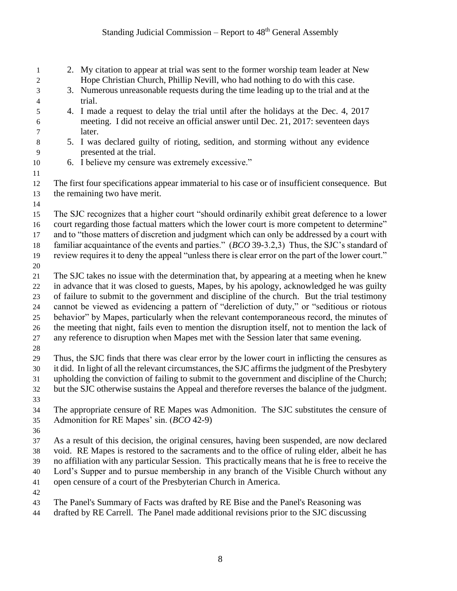| 1<br>2                        | 2. My citation to appear at trial was sent to the former worship team leader at New<br>Hope Christian Church, Phillip Nevill, who had nothing to do with this case. |  |
|-------------------------------|---------------------------------------------------------------------------------------------------------------------------------------------------------------------|--|
| 3<br>$\overline{\mathcal{L}}$ | 3. Numerous unreasonable requests during the time leading up to the trial and at the<br>trial.                                                                      |  |
| 5                             | 4. I made a request to delay the trial until after the holidays at the Dec. 4, 2017                                                                                 |  |
| 6                             | meeting. I did not receive an official answer until Dec. 21, 2017: seventeen days                                                                                   |  |
| 7                             | later.                                                                                                                                                              |  |
| $8\,$<br>9                    | 5. I was declared guilty of rioting, sedition, and storming without any evidence<br>presented at the trial.                                                         |  |
| 10                            | 6. I believe my censure was extremely excessive."                                                                                                                   |  |
| 11                            |                                                                                                                                                                     |  |
| 12                            | The first four specifications appear immaterial to his case or of insufficient consequence. But                                                                     |  |
| 13                            | the remaining two have merit.                                                                                                                                       |  |
| 14                            |                                                                                                                                                                     |  |
| 15                            | The SJC recognizes that a higher court "should ordinarily exhibit great deference to a lower                                                                        |  |
| 16                            | court regarding those factual matters which the lower court is more competent to determine"                                                                         |  |
| 17                            | and to "those matters of discretion and judgment which can only be addressed by a court with                                                                        |  |
| 18                            | familiar acquaintance of the events and parties." (BCO 39-3.2,3) Thus, the SJC's standard of                                                                        |  |
| 19                            | review requires it to deny the appeal "unless there is clear error on the part of the lower court."                                                                 |  |
| $20\,$                        |                                                                                                                                                                     |  |
| 21                            | The SJC takes no issue with the determination that, by appearing at a meeting when he knew                                                                          |  |
| 22                            | in advance that it was closed to guests, Mapes, by his apology, acknowledged he was guilty                                                                          |  |
| 23                            | of failure to submit to the government and discipline of the church. But the trial testimony                                                                        |  |
| 24                            | cannot be viewed as evidencing a pattern of "dereliction of duty," or "seditious or riotous                                                                         |  |
| 25                            | behavior" by Mapes, particularly when the relevant contemporaneous record, the minutes of                                                                           |  |
| 26                            | the meeting that night, fails even to mention the disruption itself, not to mention the lack of                                                                     |  |
| 27                            | any reference to disruption when Mapes met with the Session later that same evening.                                                                                |  |
| $28\,$                        |                                                                                                                                                                     |  |
| 29                            | Thus, the SJC finds that there was clear error by the lower court in inflicting the censures as                                                                     |  |
| 30                            | it did. In light of all the relevant circumstances, the SJC affirms the judgment of the Presbytery                                                                  |  |
| 31                            | upholding the conviction of failing to submit to the government and discipline of the Church;                                                                       |  |
| 32                            | but the SJC otherwise sustains the Appeal and therefore reverses the balance of the judgment.                                                                       |  |
| 33                            |                                                                                                                                                                     |  |
| 34                            | The appropriate censure of RE Mapes was Admonition. The SJC substitutes the censure of                                                                              |  |
| 35                            | Admonition for RE Mapes' sin. (BCO 42-9)                                                                                                                            |  |
| 36                            |                                                                                                                                                                     |  |
| 37                            | As a result of this decision, the original censures, having been suspended, are now declared                                                                        |  |
| 38                            | void. RE Mapes is restored to the sacraments and to the office of ruling elder, albeit he has                                                                       |  |
| 39                            | no affiliation with any particular Session. This practically means that he is free to receive the                                                                   |  |
| 40                            | Lord's Supper and to pursue membership in any branch of the Visible Church without any                                                                              |  |
| 41                            | open censure of a court of the Presbyterian Church in America.                                                                                                      |  |
| 42                            |                                                                                                                                                                     |  |
| 43                            | The Panel's Summary of Facts was drafted by RE Bise and the Panel's Reasoning was                                                                                   |  |

drafted by RE Carrell. The Panel made additional revisions prior to the SJC discussing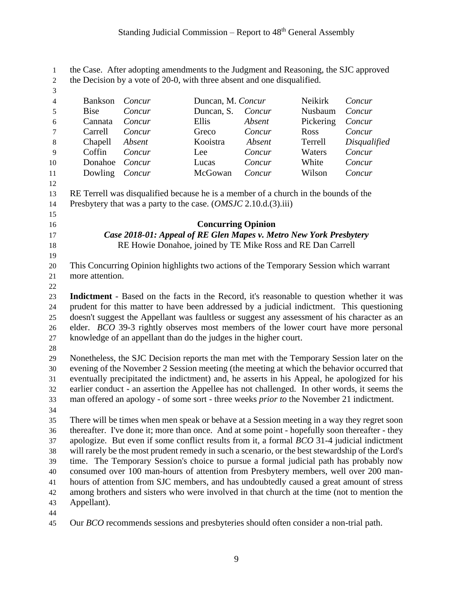the Case. After adopting amendments to the Judgment and Reasoning, the SJC approved the Decision by a vote of 20-0, with three absent and one disqualified. Bankson *Concur* Duncan, M. *Concur* Neikirk *Concur* Bise *Concur* Duncan, S. *Concur* Nusbaum *Concur* Cannata *Concur* Ellis *Absent* Pickering *Concur* Carrell *Concur* Greco *Concur* Ross *Concur* Chapell *Absent* Kooistra *Absent* Terrell *Disqualified* Coffin *Concur* Lee *Concur* Waters *Concur* Donahoe *Concur* Lucas *Concur* White *Concur* Dowling *Concur* McGowan *Concur* Wilson *Concur* RE Terrell was disqualified because he is a member of a church in the bounds of the Presbytery that was a party to the case. (*OMSJC* 2.10.d.(3).iii) **Concurring Opinion** *Case 2018-01: Appeal of RE Glen Mapes v. Metro New York Presbytery* RE Howie Donahoe, joined by TE Mike Ross and RE Dan Carrell This Concurring Opinion highlights two actions of the Temporary Session which warrant more attention. **Indictment** - Based on the facts in the Record, it's reasonable to question whether it was prudent for this matter to have been addressed by a judicial indictment. This questioning doesn't suggest the Appellant was faultless or suggest any assessment of his character as an elder. *BCO* 39-3 rightly observes most members of the lower court have more personal knowledge of an appellant than do the judges in the higher court. Nonetheless, the SJC Decision reports the man met with the Temporary Session later on the evening of the November 2 Session meeting (the meeting at which the behavior occurred that eventually precipitated the indictment) and, he asserts in his Appeal, he apologized for his earlier conduct - an assertion the Appellee has not challenged. In other words, it seems the man offered an apology - of some sort - three weeks *prior to* the November 21 indictment. There will be times when men speak or behave at a Session meeting in a way they regret soon thereafter. I've done it; more than once. And at some point - hopefully soon thereafter - they apologize. But even if some conflict results from it, a formal *BCO* 31-4 judicial indictment will rarely be the most prudent remedy in such a scenario, or the best stewardship of the Lord's time. The Temporary Session's choice to pursue a formal judicial path has probably now consumed over 100 man-hours of attention from Presbytery members, well over 200 man- hours of attention from SJC members, and has undoubtedly caused a great amount of stress among brothers and sisters who were involved in that church at the time (not to mention the Appellant). 

Our *BCO* recommends sessions and presbyteries should often consider a non-trial path.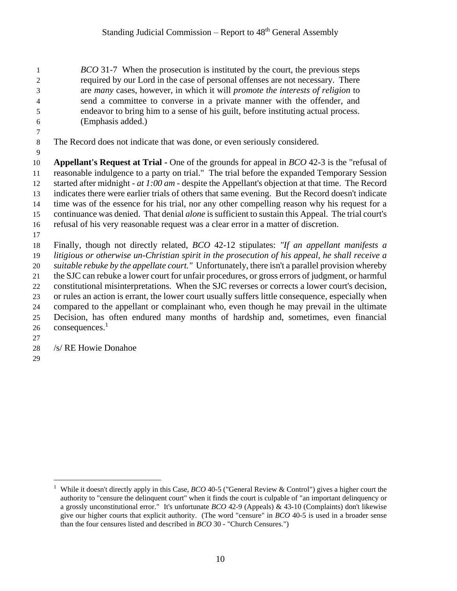*BCO* 31-7 When the prosecution is instituted by the court, the previous steps required by our Lord in the case of personal offenses are not necessary. There are *many* cases, however, in which it will *promote the interests of religion* to send a committee to converse in a private manner with the offender, and endeavor to bring him to a sense of his guilt, before instituting actual process. (Emphasis added.)

The Record does not indicate that was done, or even seriously considered.

 **Appellant's Request at Trial -** One of the grounds for appeal in *BCO* 42-3 is the "refusal of reasonable indulgence to a party on trial." The trial before the expanded Temporary Session started after midnight - *at 1:00 am* - despite the Appellant's objection at that time. The Record indicates there were earlier trials of others that same evening. But the Record doesn't indicate time was of the essence for his trial, nor any other compelling reason why his request for a continuance was denied. That denial *alone* is sufficient to sustain this Appeal. The trial court's refusal of his very reasonable request was a clear error in a matter of discretion.

 Finally, though not directly related, *BCO* 42-12 stipulates: *"If an appellant manifests a litigious or otherwise un-Christian spirit in the prosecution of his appeal, he shall receive a suitable rebuke by the appellate court."* Unfortunately, there isn't a parallel provision whereby the SJC can rebuke a lower court for unfair procedures, or gross errors of judgment, or harmful constitutional misinterpretations. When the SJC reverses or corrects a lower court's decision, or rules an action is errant, the lower court usually suffers little consequence, especially when compared to the appellant or complainant who, even though he may prevail in the ultimate Decision, has often endured many months of hardship and, sometimes, even financial consequences.<sup>1</sup> 

- /s/ RE Howie Donahoe
- 

 $\overline{a}$ 

 While it doesn't directly apply in this Case, *BCO* 40-5 ("General Review & Control") gives a higher court the authority to "censure the delinquent court" when it finds the court is culpable of "an important delinquency or a grossly unconstitutional error." It's unfortunate *BCO* 42-9 (Appeals) & 43-10 (Complaints) don't likewise give our higher courts that explicit authority. (The word "censure" in *BCO* 40-5 is used in a broader sense than the four censures listed and described in *BCO* 30 - "Church Censures.")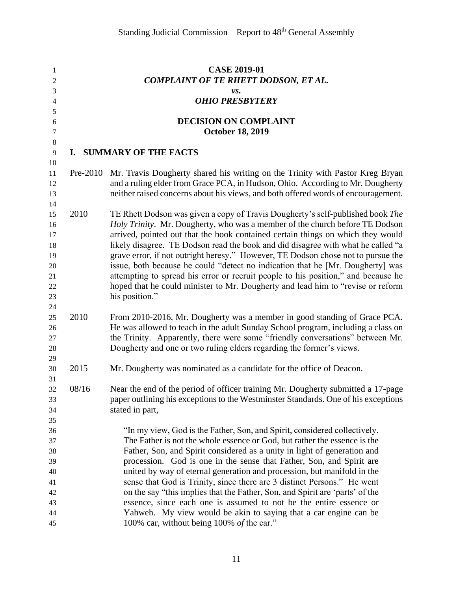| $\mathbf{1}$     |                                             | <b>CASE 2019-01</b>                                                                |  |  |
|------------------|---------------------------------------------|------------------------------------------------------------------------------------|--|--|
| $\overline{c}$   | <b>COMPLAINT OF TE RHETT DODSON, ET AL.</b> |                                                                                    |  |  |
| $\mathfrak{Z}$   | vs.                                         |                                                                                    |  |  |
| 4                | <b>OHIO PRESBYTERY</b>                      |                                                                                    |  |  |
| $\sqrt{5}$<br>6  |                                             | <b>DECISION ON COMPLAINT</b>                                                       |  |  |
| $\boldsymbol{7}$ |                                             | <b>October 18, 2019</b>                                                            |  |  |
| $\bf 8$<br>9     | L.                                          | <b>SUMMARY OF THE FACTS</b>                                                        |  |  |
| 10<br>11         | $Pre-2010$                                  | Mr. Travis Dougherty shared his writing on the Trinity with Pastor Kreg Bryan      |  |  |
| 12               |                                             | and a ruling elder from Grace PCA, in Hudson, Ohio. According to Mr. Dougherty     |  |  |
| 13               |                                             | neither raised concerns about his views, and both offered words of encouragement.  |  |  |
| 14               |                                             |                                                                                    |  |  |
| 15               | 2010                                        | TE Rhett Dodson was given a copy of Travis Dougherty's self-published book The     |  |  |
| 16               |                                             | Holy Trinity. Mr. Dougherty, who was a member of the church before TE Dodson       |  |  |
| 17               |                                             | arrived, pointed out that the book contained certain things on which they would    |  |  |
| 18               |                                             | likely disagree. TE Dodson read the book and did disagree with what he called "a   |  |  |
| 19               |                                             | grave error, if not outright heresy." However, TE Dodson chose not to pursue the   |  |  |
| 20               |                                             | issue, both because he could "detect no indication that he [Mr. Dougherty] was     |  |  |
| 21               |                                             | attempting to spread his error or recruit people to his position," and because he  |  |  |
| 22               |                                             | hoped that he could minister to Mr. Dougherty and lead him to "revise or reform"   |  |  |
| 23               |                                             | his position."                                                                     |  |  |
| 24               |                                             |                                                                                    |  |  |
| 25               | 2010                                        | From 2010-2016, Mr. Dougherty was a member in good standing of Grace PCA.          |  |  |
| 26               |                                             | He was allowed to teach in the adult Sunday School program, including a class on   |  |  |
| $27\,$           |                                             | the Trinity. Apparently, there were some "friendly conversations" between Mr.      |  |  |
| 28               |                                             | Dougherty and one or two ruling elders regarding the former's views.               |  |  |
| 29<br>30         | 2015                                        | Mr. Dougherty was nominated as a candidate for the office of Deacon.               |  |  |
| 31               |                                             |                                                                                    |  |  |
| 32               | 08/16                                       | Near the end of the period of officer training Mr. Dougherty submitted a 17-page   |  |  |
| 33               |                                             | paper outlining his exceptions to the Westminster Standards. One of his exceptions |  |  |
| 34               |                                             | stated in part,                                                                    |  |  |
| 35               |                                             |                                                                                    |  |  |
| 36               |                                             | "In my view, God is the Father, Son, and Spirit, considered collectively.          |  |  |
| 37               |                                             | The Father is not the whole essence or God, but rather the essence is the          |  |  |
| 38               |                                             | Father, Son, and Spirit considered as a unity in light of generation and           |  |  |
| 39               |                                             | procession. God is one in the sense that Father, Son, and Spirit are               |  |  |
| 40               |                                             | united by way of eternal generation and procession, but manifold in the            |  |  |
| 41               |                                             | sense that God is Trinity, since there are 3 distinct Persons." He went            |  |  |
| 42               |                                             | on the say "this implies that the Father, Son, and Spirit are 'parts' of the       |  |  |
| 43               |                                             | essence, since each one is assumed to not be the entire essence or                 |  |  |
| 44               |                                             | Yahweh. My view would be akin to saying that a car engine can be                   |  |  |
| 45               |                                             | 100% car, without being 100% of the car."                                          |  |  |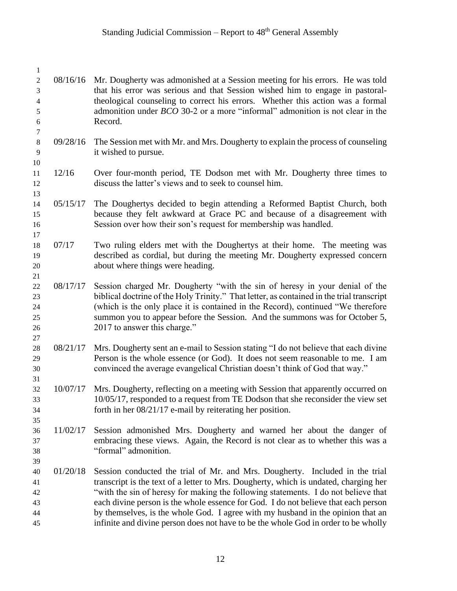| $\mathbf{1}$     |          |                                                                                                                                                                               |
|------------------|----------|-------------------------------------------------------------------------------------------------------------------------------------------------------------------------------|
| $\sqrt{2}$<br>3  | 08/16/16 | Mr. Dougherty was admonished at a Session meeting for his errors. He was told<br>that his error was serious and that Session wished him to engage in pastoral-                |
| 4                |          | theological counseling to correct his errors. Whether this action was a formal                                                                                                |
| $\mathfrak s$    |          | admonition under <i>BCO</i> 30-2 or a more "informal" admonition is not clear in the                                                                                          |
| 6                |          | Record.                                                                                                                                                                       |
| $\boldsymbol{7}$ |          |                                                                                                                                                                               |
| $\,8\,$          | 09/28/16 | The Session met with Mr. and Mrs. Dougherty to explain the process of counseling                                                                                              |
| 9                |          | it wished to pursue.                                                                                                                                                          |
| 10<br>11         | 12/16    | Over four-month period, TE Dodson met with Mr. Dougherty three times to                                                                                                       |
| 12               |          | discuss the latter's views and to seek to counsel him.                                                                                                                        |
| 13               |          |                                                                                                                                                                               |
| 14               | 05/15/17 | The Doughertys decided to begin attending a Reformed Baptist Church, both                                                                                                     |
| 15               |          | because they felt awkward at Grace PC and because of a disagreement with                                                                                                      |
| 16               |          | Session over how their son's request for membership was handled.                                                                                                              |
| 17               |          |                                                                                                                                                                               |
| 18               | 07/17    | Two ruling elders met with the Doughertys at their home. The meeting was                                                                                                      |
| 19               |          | described as cordial, but during the meeting Mr. Dougherty expressed concern                                                                                                  |
| $20\,$           |          | about where things were heading.                                                                                                                                              |
| 21               |          |                                                                                                                                                                               |
| 22               | 08/17/17 | Session charged Mr. Dougherty "with the sin of heresy in your denial of the                                                                                                   |
| 23<br>24         |          | biblical doctrine of the Holy Trinity." That letter, as contained in the trial transcript<br>(which is the only place it is contained in the Record), continued "We therefore |
| 25               |          | summon you to appear before the Session. And the summons was for October 5,                                                                                                   |
| 26               |          | 2017 to answer this charge."                                                                                                                                                  |
| 27               |          |                                                                                                                                                                               |
| 28               | 08/21/17 | Mrs. Dougherty sent an e-mail to Session stating "I do not believe that each divine                                                                                           |
| 29               |          | Person is the whole essence (or God). It does not seem reasonable to me. I am                                                                                                 |
| 30               |          | convinced the average evangelical Christian doesn't think of God that way."                                                                                                   |
| 31               |          |                                                                                                                                                                               |
| 32               | 10/07/17 | Mrs. Dougherty, reflecting on a meeting with Session that apparently occurred on                                                                                              |
| 33               |          | 10/05/17, responded to a request from TE Dodson that she reconsider the view set                                                                                              |
| 34               |          | forth in her 08/21/17 e-mail by reiterating her position.                                                                                                                     |
| 35               |          |                                                                                                                                                                               |
| 36               | 11/02/17 | Session admonished Mrs. Dougherty and warned her about the danger of<br>embracing these views. Again, the Record is not clear as to whether this was a                        |
| 37<br>38         |          | "formal" admonition.                                                                                                                                                          |
| 39               |          |                                                                                                                                                                               |
| 40               | 01/20/18 | Session conducted the trial of Mr. and Mrs. Dougherty. Included in the trial                                                                                                  |
| 41               |          | transcript is the text of a letter to Mrs. Dougherty, which is undated, charging her                                                                                          |
| 42               |          | "with the sin of heresy for making the following statements. I do not believe that                                                                                            |
| 43               |          | each divine person is the whole essence for God. I do not believe that each person                                                                                            |
| 44               |          | by themselves, is the whole God. I agree with my husband in the opinion that an                                                                                               |
| 45               |          | infinite and divine person does not have to be the whole God in order to be wholly                                                                                            |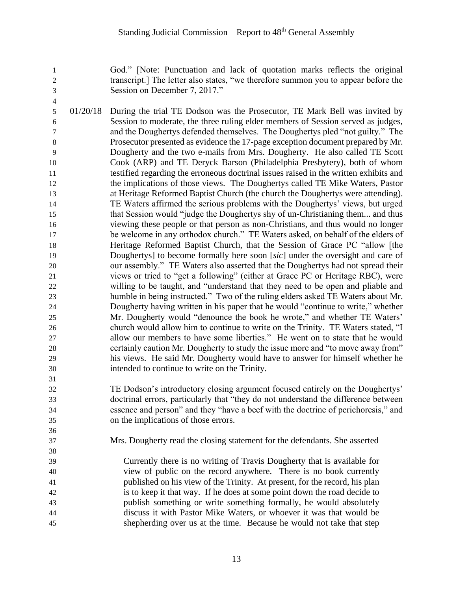God." [Note: Punctuation and lack of quotation marks reflects the original transcript.] The letter also states, "we therefore summon you to appear before the Session on December 7, 2017."

- 01/20/18 During the trial TE Dodson was the Prosecutor, TE Mark Bell was invited by Session to moderate, the three ruling elder members of Session served as judges, and the Doughertys defended themselves. The Doughertys pled "not guilty." The Prosecutor presented as evidence the 17-page exception document prepared by Mr. Dougherty and the two e-mails from Mrs. Dougherty. He also called TE Scott Cook (ARP) and TE Deryck Barson (Philadelphia Presbytery), both of whom testified regarding the erroneous doctrinal issues raised in the written exhibits and the implications of those views. The Doughertys called TE Mike Waters, Pastor at Heritage Reformed Baptist Church (the church the Doughertys were attending). TE Waters affirmed the serious problems with the Doughertys' views, but urged that Session would "judge the Doughertys shy of un-Christianing them... and thus viewing these people or that person as non-Christians, and thus would no longer be welcome in any orthodox church." TE Waters asked, on behalf of the elders of Heritage Reformed Baptist Church, that the Session of Grace PC "allow [the Doughertys] to become formally here soon [*sic*] under the oversight and care of our assembly." TE Waters also asserted that the Doughertys had not spread their views or tried to "get a following" (either at Grace PC or Heritage RBC), were willing to be taught, and "understand that they need to be open and pliable and humble in being instructed." Two of the ruling elders asked TE Waters about Mr. Dougherty having written in his paper that he would "continue to write," whether Mr. Dougherty would "denounce the book he wrote," and whether TE Waters' church would allow him to continue to write on the Trinity. TE Waters stated, "I allow our members to have some liberties." He went on to state that he would certainly caution Mr. Dougherty to study the issue more and "to move away from" his views. He said Mr. Dougherty would have to answer for himself whether he intended to continue to write on the Trinity.
- TE Dodson's introductory closing argument focused entirely on the Doughertys' doctrinal errors, particularly that "they do not understand the difference between essence and person" and they "have a beef with the doctrine of perichoresis," and on the implications of those errors.
- Mrs. Dougherty read the closing statement for the defendants. She asserted

 Currently there is no writing of Travis Dougherty that is available for view of public on the record anywhere. There is no book currently published on his view of the Trinity. At present, for the record, his plan is to keep it that way. If he does at some point down the road decide to publish something or write something formally, he would absolutely discuss it with Pastor Mike Waters, or whoever it was that would be shepherding over us at the time. Because he would not take that step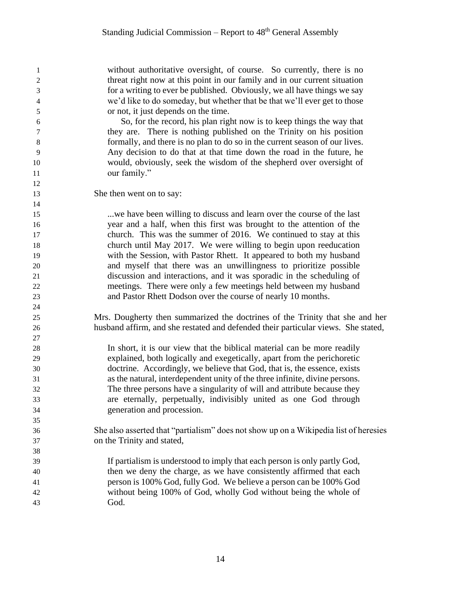without authoritative oversight, of course. So currently, there is no threat right now at this point in our family and in our current situation for a writing to ever be published. Obviously, we all have things we say we'd like to do someday, but whether that be that we'll ever get to those or not, it just depends on the time.

 So, for the record, his plan right now is to keep things the way that they are. There is nothing published on the Trinity on his position formally, and there is no plan to do so in the current season of our lives. Any decision to do that at that time down the road in the future, he would, obviously, seek the wisdom of the shepherd over oversight of 11 our family."

She then went on to say:

 ...we have been willing to discuss and learn over the course of the last year and a half, when this first was brought to the attention of the church. This was the summer of 2016. We continued to stay at this church until May 2017. We were willing to begin upon reeducation with the Session, with Pastor Rhett. It appeared to both my husband and myself that there was an unwillingness to prioritize possible discussion and interactions, and it was sporadic in the scheduling of meetings. There were only a few meetings held between my husband and Pastor Rhett Dodson over the course of nearly 10 months.

 Mrs. Dougherty then summarized the doctrines of the Trinity that she and her husband affirm, and she restated and defended their particular views. She stated,

 In short, it is our view that the biblical material can be more readily explained, both logically and exegetically, apart from the perichoretic doctrine. Accordingly, we believe that God, that is, the essence, exists as the natural, interdependent unity of the three infinite, divine persons. The three persons have a singularity of will and attribute because they are eternally, perpetually, indivisibly united as one God through generation and procession.

- She also asserted that "partialism" does not show up on a Wikipedia list of heresies on the Trinity and stated,
- If partialism is understood to imply that each person is only partly God, then we deny the charge, as we have consistently affirmed that each person is 100% God, fully God. We believe a person can be 100% God without being 100% of God, wholly God without being the whole of God.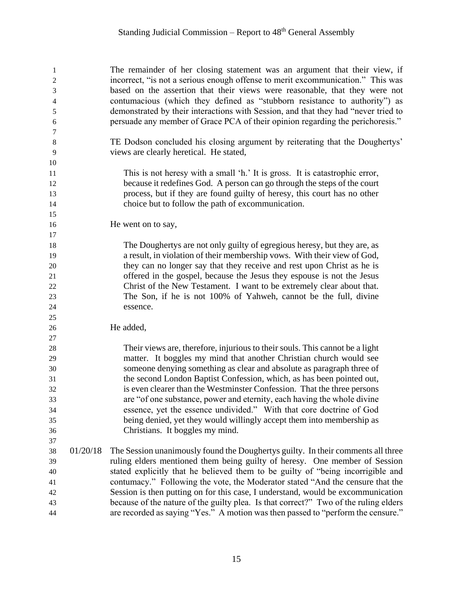The remainder of her closing statement was an argument that their view, if incorrect, "is not a serious enough offense to merit excommunication." This was based on the assertion that their views were reasonable, that they were not contumacious (which they defined as "stubborn resistance to authority") as demonstrated by their interactions with Session, and that they had "never tried to persuade any member of Grace PCA of their opinion regarding the perichoresis."

 TE Dodson concluded his closing argument by reiterating that the Doughertys' views are clearly heretical. He stated,

 This is not heresy with a small 'h.' It is gross. It is catastrophic error, because it redefines God. A person can go through the steps of the court process, but if they are found guilty of heresy, this court has no other choice but to follow the path of excommunication.

16 He went on to say,

 The Doughertys are not only guilty of egregious heresy, but they are, as a result, in violation of their membership vows. With their view of God, they can no longer say that they receive and rest upon Christ as he is offered in the gospel, because the Jesus they espouse is not the Jesus Christ of the New Testament. I want to be extremely clear about that. The Son, if he is not 100% of Yahweh, cannot be the full, divine essence.

He added,

 Their views are, therefore, injurious to their souls. This cannot be a light matter. It boggles my mind that another Christian church would see someone denying something as clear and absolute as paragraph three of the second London Baptist Confession, which, as has been pointed out, is even clearer than the Westminster Confession. That the three persons are "of one substance, power and eternity, each having the whole divine essence, yet the essence undivided." With that core doctrine of God being denied, yet they would willingly accept them into membership as Christians. It boggles my mind.

 01/20/18 The Session unanimously found the Doughertys guilty. In their comments all three ruling elders mentioned them being guilty of heresy. One member of Session stated explicitly that he believed them to be guilty of "being incorrigible and contumacy." Following the vote, the Moderator stated "And the censure that the Session is then putting on for this case, I understand, would be excommunication because of the nature of the guilty plea. Is that correct?" Two of the ruling elders are recorded as saying "Yes." A motion was then passed to "perform the censure."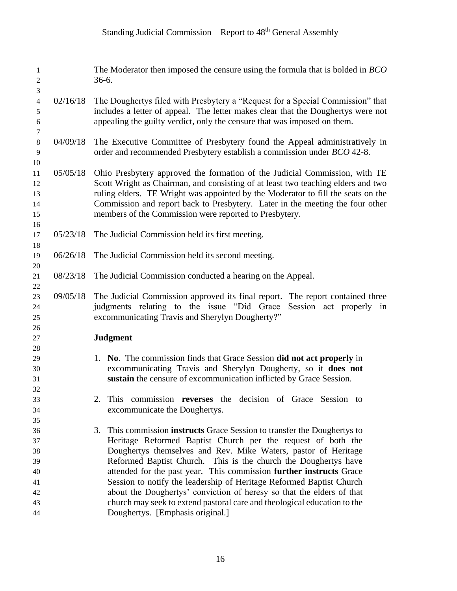| 1<br>$\sqrt{2}$<br>$\mathfrak{Z}$                                    |          | The Moderator then imposed the censure using the formula that is bolded in <i>BCO</i><br>$36-6.$                                                                                                                                                                                                                                                                                                                                                                                                                                                                                                   |
|----------------------------------------------------------------------|----------|----------------------------------------------------------------------------------------------------------------------------------------------------------------------------------------------------------------------------------------------------------------------------------------------------------------------------------------------------------------------------------------------------------------------------------------------------------------------------------------------------------------------------------------------------------------------------------------------------|
| $\overline{4}$<br>5<br>$\sqrt{6}$<br>$\boldsymbol{7}$                | 02/16/18 | The Doughertys filed with Presbytery a "Request for a Special Commission" that<br>includes a letter of appeal. The letter makes clear that the Doughertys were not<br>appealing the guilty verdict, only the censure that was imposed on them.                                                                                                                                                                                                                                                                                                                                                     |
| $\,8\,$<br>9<br>10                                                   | 04/09/18 | The Executive Committee of Presbytery found the Appeal administratively in<br>order and recommended Presbytery establish a commission under BCO 42-8.                                                                                                                                                                                                                                                                                                                                                                                                                                              |
| 11<br>12<br>13<br>14<br>15<br>16                                     | 05/05/18 | Ohio Presbytery approved the formation of the Judicial Commission, with TE<br>Scott Wright as Chairman, and consisting of at least two teaching elders and two<br>ruling elders. TE Wright was appointed by the Moderator to fill the seats on the<br>Commission and report back to Presbytery. Later in the meeting the four other<br>members of the Commission were reported to Presbytery.                                                                                                                                                                                                      |
| 17<br>18                                                             | 05/23/18 | The Judicial Commission held its first meeting.                                                                                                                                                                                                                                                                                                                                                                                                                                                                                                                                                    |
| 19<br>20                                                             | 06/26/18 | The Judicial Commission held its second meeting.                                                                                                                                                                                                                                                                                                                                                                                                                                                                                                                                                   |
| 21<br>$22\,$                                                         | 08/23/18 | The Judicial Commission conducted a hearing on the Appeal.                                                                                                                                                                                                                                                                                                                                                                                                                                                                                                                                         |
| 23<br>24<br>25                                                       | 09/05/18 | The Judicial Commission approved its final report.<br>The report contained three<br>judgments relating to the issue "Did Grace"<br>Session act properly in<br>excommunicating Travis and Sherylyn Dougherty?"                                                                                                                                                                                                                                                                                                                                                                                      |
| 26<br>27                                                             |          | <b>Judgment</b>                                                                                                                                                                                                                                                                                                                                                                                                                                                                                                                                                                                    |
| 28<br>29<br>30<br>31<br>32<br>33<br>34<br>35<br>36<br>37<br>38<br>39 |          | 1. No. The commission finds that Grace Session did not act properly in<br>excommunicating Travis and Sherylyn Dougherty, so it does not<br>sustain the censure of excommunication inflicted by Grace Session.<br>2. This commission reverses the decision of Grace Session to<br>excommunicate the Doughertys.<br>This commission instructs Grace Session to transfer the Doughertys to<br>3.<br>Heritage Reformed Baptist Church per the request of both the<br>Doughertys themselves and Rev. Mike Waters, pastor of Heritage<br>Reformed Baptist Church. This is the church the Doughertys have |
| 40<br>41<br>42<br>43<br>44                                           |          | attended for the past year. This commission further instructs Grace<br>Session to notify the leadership of Heritage Reformed Baptist Church<br>about the Doughertys' conviction of heresy so that the elders of that<br>church may seek to extend pastoral care and theological education to the<br>Doughertys. [Emphasis original.]                                                                                                                                                                                                                                                               |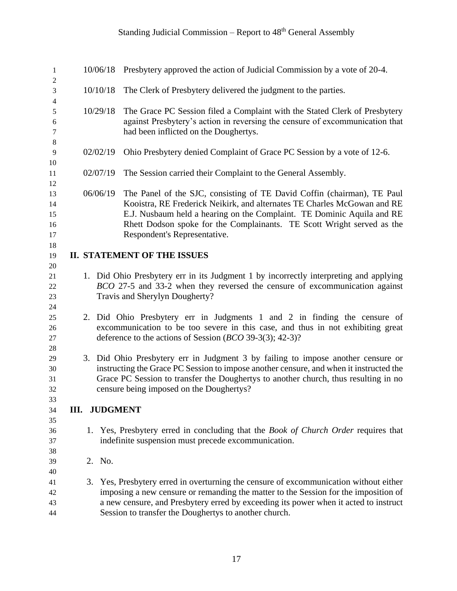| 1<br>$\overline{2}$              |                                                                                                                                                                                                                                                                                                               | 10/06/18 Presbytery approved the action of Judicial Commission by a vote of 20-4.                                                                                                                                                                                                                                                       |
|----------------------------------|---------------------------------------------------------------------------------------------------------------------------------------------------------------------------------------------------------------------------------------------------------------------------------------------------------------|-----------------------------------------------------------------------------------------------------------------------------------------------------------------------------------------------------------------------------------------------------------------------------------------------------------------------------------------|
| 3                                | 10/10/18                                                                                                                                                                                                                                                                                                      | The Clerk of Presbytery delivered the judgment to the parties.                                                                                                                                                                                                                                                                          |
| 4<br>5<br>6<br>$\tau$<br>$\,8\,$ | 10/29/18                                                                                                                                                                                                                                                                                                      | The Grace PC Session filed a Complaint with the Stated Clerk of Presbytery<br>against Presbytery's action in reversing the censure of excommunication that<br>had been inflicted on the Doughertys.                                                                                                                                     |
| 9<br>10                          | 02/02/19                                                                                                                                                                                                                                                                                                      | Ohio Presbytery denied Complaint of Grace PC Session by a vote of 12-6.                                                                                                                                                                                                                                                                 |
| 11                               | 02/07/19                                                                                                                                                                                                                                                                                                      | The Session carried their Complaint to the General Assembly.                                                                                                                                                                                                                                                                            |
| 12<br>13<br>14<br>15<br>16<br>17 | 06/06/19                                                                                                                                                                                                                                                                                                      | The Panel of the SJC, consisting of TE David Coffin (chairman), TE Paul<br>Kooistra, RE Frederick Neikirk, and alternates TE Charles McGowan and RE<br>E.J. Nusbaum held a hearing on the Complaint. TE Dominic Aquila and RE<br>Rhett Dodson spoke for the Complainants. TE Scott Wright served as the<br>Respondent's Representative. |
| 18<br>19                         |                                                                                                                                                                                                                                                                                                               | <b>II. STATEMENT OF THE ISSUES</b>                                                                                                                                                                                                                                                                                                      |
| 20<br>21<br>22<br>23<br>24       |                                                                                                                                                                                                                                                                                                               | 1. Did Ohio Presbytery err in its Judgment 1 by incorrectly interpreting and applying<br>BCO 27-5 and 33-2 when they reversed the censure of excommunication against<br>Travis and Sherylyn Dougherty?                                                                                                                                  |
| 25<br>26<br>27<br>$28\,$         |                                                                                                                                                                                                                                                                                                               | 2. Did Ohio Presbytery err in Judgments 1 and 2 in finding the censure of<br>excommunication to be too severe in this case, and thus in not exhibiting great<br>deference to the actions of Session ( $BCO$ 39-3(3); 42-3)?                                                                                                             |
| 29<br>30<br>31<br>32             | 3. Did Ohio Presbytery err in Judgment 3 by failing to impose another censure or<br>instructing the Grace PC Session to impose another censure, and when it instructed the<br>Grace PC Session to transfer the Doughertys to another church, thus resulting in no<br>censure being imposed on the Doughertys? |                                                                                                                                                                                                                                                                                                                                         |
| 33<br>34                         | <b>III. JUDGMENT</b>                                                                                                                                                                                                                                                                                          |                                                                                                                                                                                                                                                                                                                                         |
| 35<br>36<br>37<br>38             |                                                                                                                                                                                                                                                                                                               | 1. Yes, Presbytery erred in concluding that the <i>Book of Church Order</i> requires that<br>indefinite suspension must precede excommunication.                                                                                                                                                                                        |
| 39                               | 2. No.                                                                                                                                                                                                                                                                                                        |                                                                                                                                                                                                                                                                                                                                         |
| 40<br>41<br>42<br>43<br>44       |                                                                                                                                                                                                                                                                                                               | 3. Yes, Presbytery erred in overturning the censure of excommunication without either<br>imposing a new censure or remanding the matter to the Session for the imposition of<br>a new censure, and Presbytery erred by exceeding its power when it acted to instruct<br>Session to transfer the Doughertys to another church.           |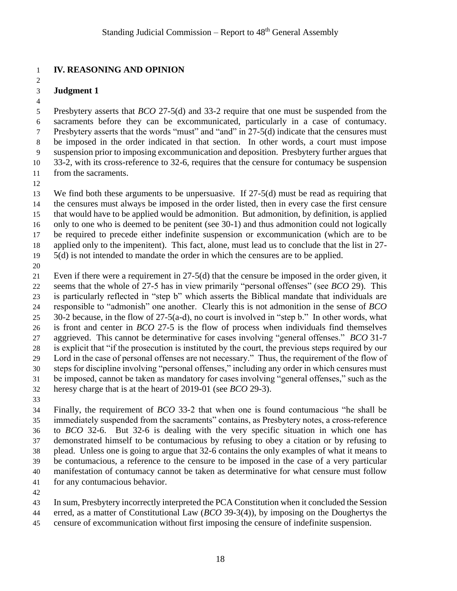### **IV. REASONING AND OPINION**

#### **Judgment 1**

 Presbytery asserts that *BCO* 27-5(d) and 33-2 require that one must be suspended from the sacraments before they can be excommunicated, particularly in a case of contumacy. Presbytery asserts that the words "must" and "and" in 27-5(d) indicate that the censures must be imposed in the order indicated in that section. In other words, a court must impose suspension prior to imposing excommunication and deposition. Presbytery further argues that 33-2, with its cross-reference to 32-6, requires that the censure for contumacy be suspension from the sacraments.

 We find both these arguments to be unpersuasive. If 27-5(d) must be read as requiring that the censures must always be imposed in the order listed, then in every case the first censure that would have to be applied would be admonition. But admonition, by definition, is applied only to one who is deemed to be penitent (see 30-1) and thus admonition could not logically be required to precede either indefinite suspension or excommunication (which are to be applied only to the impenitent). This fact, alone, must lead us to conclude that the list in 27-

5(d) is not intended to mandate the order in which the censures are to be applied.

 Even if there were a requirement in 27-5(d) that the censure be imposed in the order given, it seems that the whole of 27-5 has in view primarily "personal offenses" (see *BCO* 29). This is particularly reflected in "step b" which asserts the Biblical mandate that individuals are responsible to "admonish" one another. Clearly this is not admonition in the sense of *BCO* 30-2 because, in the flow of 27-5(a-d), no court is involved in "step b." In other words, what is front and center in *BCO* 27-5 is the flow of process when individuals find themselves aggrieved. This cannot be determinative for cases involving "general offenses." *BCO* 31-7 is explicit that "if the prosecution is instituted by the court, the previous steps required by our Lord in the case of personal offenses are not necessary." Thus, the requirement of the flow of steps for discipline involving "personal offenses," including any order in which censures must be imposed, cannot be taken as mandatory for cases involving "general offenses," such as the heresy charge that is at the heart of 2019-01 (see *BCO* 29-3).

 Finally, the requirement of *BCO* 33-2 that when one is found contumacious "he shall be immediately suspended from the sacraments" contains, as Presbytery notes, a cross-reference to *BCO* 32-6. But 32-6 is dealing with the very specific situation in which one has demonstrated himself to be contumacious by refusing to obey a citation or by refusing to plead. Unless one is going to argue that 32-6 contains the only examples of what it means to be contumacious, a reference to the censure to be imposed in the case of a very particular manifestation of contumacy cannot be taken as determinative for what censure must follow for any contumacious behavior.

In sum, Presbytery incorrectly interpreted the PCA Constitution when it concluded the Session

- erred, as a matter of Constitutional Law (*BCO* 39-3(4)), by imposing on the Doughertys the
- censure of excommunication without first imposing the censure of indefinite suspension.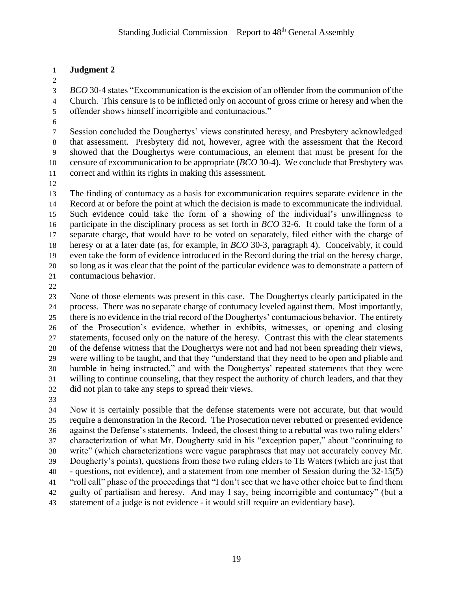### **Judgment 2**

 *BCO* 30-4 states "Excommunication is the excision of an offender from the communion of the Church. This censure is to be inflicted only on account of gross crime or heresy and when the offender shows himself incorrigible and contumacious."

 Session concluded the Doughertys' views constituted heresy, and Presbytery acknowledged that assessment. Presbytery did not, however, agree with the assessment that the Record showed that the Doughertys were contumacious, an element that must be present for the censure of excommunication to be appropriate (*BCO* 30-4). We conclude that Presbytery was correct and within its rights in making this assessment.

 The finding of contumacy as a basis for excommunication requires separate evidence in the Record at or before the point at which the decision is made to excommunicate the individual. Such evidence could take the form of a showing of the individual's unwillingness to participate in the disciplinary process as set forth in *BCO* 32-6. It could take the form of a separate charge, that would have to be voted on separately, filed either with the charge of heresy or at a later date (as, for example, in *BCO* 30-3, paragraph 4). Conceivably, it could even take the form of evidence introduced in the Record during the trial on the heresy charge, so long as it was clear that the point of the particular evidence was to demonstrate a pattern of contumacious behavior.

 None of those elements was present in this case. The Doughertys clearly participated in the process. There was no separate charge of contumacy leveled against them. Most importantly, there is no evidence in the trial record of the Doughertys' contumacious behavior. The entirety of the Prosecution's evidence, whether in exhibits, witnesses, or opening and closing statements, focused only on the nature of the heresy. Contrast this with the clear statements of the defense witness that the Doughertys were not and had not been spreading their views, were willing to be taught, and that they "understand that they need to be open and pliable and humble in being instructed," and with the Doughertys' repeated statements that they were willing to continue counseling, that they respect the authority of church leaders, and that they did not plan to take any steps to spread their views.

 Now it is certainly possible that the defense statements were not accurate, but that would require a demonstration in the Record. The Prosecution never rebutted or presented evidence against the Defense's statements. Indeed, the closest thing to a rebuttal was two ruling elders' characterization of what Mr. Dougherty said in his "exception paper," about "continuing to write" (which characterizations were vague paraphrases that may not accurately convey Mr. Dougherty's points), questions from those two ruling elders to TE Waters (which are just that - questions, not evidence), and a statement from one member of Session during the 32-15(5) "roll call" phase of the proceedings that "I don't see that we have other choice but to find them guilty of partialism and heresy. And may I say, being incorrigible and contumacy" (but a statement of a judge is not evidence - it would still require an evidentiary base).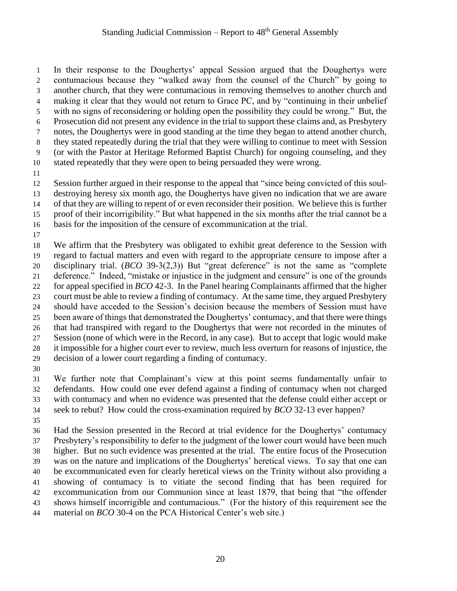In their response to the Doughertys' appeal Session argued that the Doughertys were contumacious because they "walked away from the counsel of the Church" by going to another church, that they were contumacious in removing themselves to another church and making it clear that they would not return to Grace PC, and by "continuing in their unbelief with no signs of reconsidering or holding open the possibility they could be wrong." But, the Prosecution did not present any evidence in the trial to support these claims and, as Presbytery notes, the Doughertys were in good standing at the time they began to attend another church, they stated repeatedly during the trial that they were willing to continue to meet with Session (or with the Pastor at Heritage Reformed Baptist Church) for ongoing counseling, and they stated repeatedly that they were open to being persuaded they were wrong. Session further argued in their response to the appeal that "since being convicted of this soul- destroying heresy six month ago, the Doughertys have given no indication that we are aware of that they are willing to repent of or even reconsider their position. We believe this is further proof of their incorrigibility." But what happened in the six months after the trial cannot be a basis for the imposition of the censure of excommunication at the trial.

 We affirm that the Presbytery was obligated to exhibit great deference to the Session with regard to factual matters and even with regard to the appropriate censure to impose after a disciplinary trial. (*BCO* 39-3(2,3)) But "great deference" is not the same as "complete deference." Indeed, "mistake or injustice in the judgment and censure" is one of the grounds for appeal specified in *BCO* 42-3. In the Panel hearing Complainants affirmed that the higher court must be able to review a finding of contumacy. At the same time, they argued Presbytery should have acceded to the Session's decision because the members of Session must have been aware of things that demonstrated the Doughertys' contumacy, and that there were things that had transpired with regard to the Doughertys that were not recorded in the minutes of Session (none of which were in the Record, in any case). But to accept that logic would make it impossible for a higher court ever to review, much less overturn for reasons of injustice, the decision of a lower court regarding a finding of contumacy.

 We further note that Complainant's view at this point seems fundamentally unfair to defendants. How could one ever defend against a finding of contumacy when not charged with contumacy and when no evidence was presented that the defense could either accept or seek to rebut? How could the cross-examination required by *BCO* 32-13 ever happen?

 Had the Session presented in the Record at trial evidence for the Doughertys' contumacy Presbytery's responsibility to defer to the judgment of the lower court would have been much higher. But no such evidence was presented at the trial. The entire focus of the Prosecution was on the nature and implications of the Doughertys' heretical views. To say that one can be excommunicated even for clearly heretical views on the Trinity without also providing a showing of contumacy is to vitiate the second finding that has been required for excommunication from our Communion since at least 1879, that being that "the offender shows himself incorrigible and contumacious." (For the history of this requirement see the material on *BCO* 30-4 on the PCA Historical Center's web site.)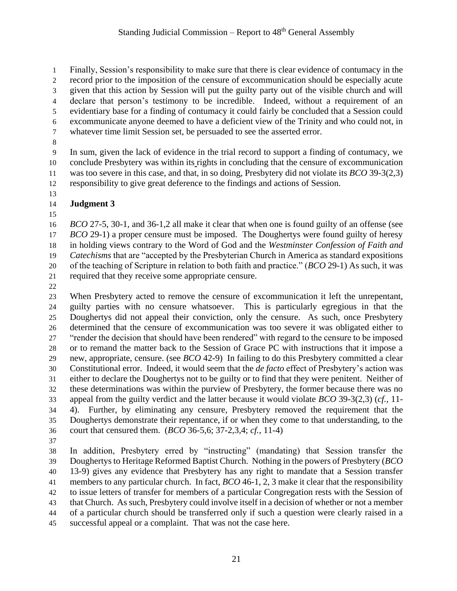Finally, Session's responsibility to make sure that there is clear evidence of contumacy in the record prior to the imposition of the censure of excommunication should be especially acute given that this action by Session will put the guilty party out of the visible church and will declare that person's testimony to be incredible. Indeed, without a requirement of an evidentiary base for a finding of contumacy it could fairly be concluded that a Session could excommunicate anyone deemed to have a deficient view of the Trinity and who could not, in whatever time limit Session set, be persuaded to see the asserted error.

 In sum, given the lack of evidence in the trial record to support a finding of contumacy, we conclude Presbytery was within its rights in concluding that the censure of excommunication was too severe in this case, and that, in so doing, Presbytery did not violate its *BCO* 39-3(2,3) responsibility to give great deference to the findings and actions of Session.

- **Judgment 3**
- 

 *BCO* 27-5, 30-1, and 36-1,2 all make it clear that when one is found guilty of an offense (see *BCO* 29-1) a proper censure must be imposed. The Doughertys were found guilty of heresy in holding views contrary to the Word of God and the *Westminster Confession of Faith and Catechisms* that are "accepted by the Presbyterian Church in America as standard expositions of the teaching of Scripture in relation to both faith and practice." (*BCO* 29-1) As such, it was required that they receive some appropriate censure.

 When Presbytery acted to remove the censure of excommunication it left the unrepentant, guilty parties with no censure whatsoever. This is particularly egregious in that the Doughertys did not appeal their conviction, only the censure. As such, once Presbytery determined that the censure of excommunication was too severe it was obligated either to "render the decision that should have been rendered" with regard to the censure to be imposed or to remand the matter back to the Session of Grace PC with instructions that it impose a new, appropriate, censure. (see *BCO* 42-9) In failing to do this Presbytery committed a clear Constitutional error. Indeed, it would seem that the *de facto* effect of Presbytery's action was either to declare the Doughertys not to be guilty or to find that they were penitent. Neither of these determinations was within the purview of Presbytery, the former because there was no appeal from the guilty verdict and the latter because it would violate *BCO* 39-3(2,3) (*cf.,* 11- 4). Further, by eliminating any censure, Presbytery removed the requirement that the Doughertys demonstrate their repentance, if or when they come to that understanding, to the court that censured them. (*BCO* 36-5,6; 37-2,3,4; *cf.,* 11-4)

 In addition, Presbytery erred by "instructing" (mandating) that Session transfer the Doughertys to Heritage Reformed Baptist Church. Nothing in the powers of Presbytery (*BCO* 13-9) gives any evidence that Presbytery has any right to mandate that a Session transfer members to any particular church. In fact, *BCO* 46-1, 2, 3 make it clear that the responsibility to issue letters of transfer for members of a particular Congregation rests with the Session of that Church. As such, Presbytery could involve itself in a decision of whether or not a member of a particular church should be transferred only if such a question were clearly raised in a successful appeal or a complaint. That was not the case here.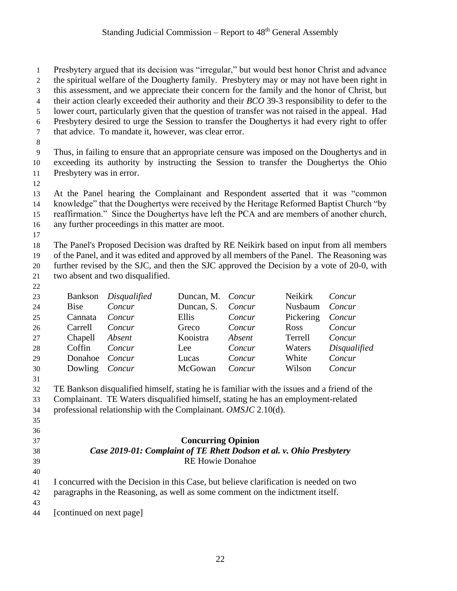Presbytery argued that its decision was "irregular," but would best honor Christ and advance the spiritual welfare of the Dougherty family. Presbytery may or may not have been right in this assessment, and we appreciate their concern for the family and the honor of Christ, but their action clearly exceeded their authority and their *BCO* 39-3 responsibility to defer to the lower court, particularly given that the question of transfer was not raised in the appeal. Had Presbytery desired to urge the Session to transfer the Doughertys it had every right to offer that advice. To mandate it, however, was clear error. Thus, in failing to ensure that an appropriate censure was imposed on the Doughertys and in exceeding its authority by instructing the Session to transfer the Doughertys the Ohio Presbytery was in error. At the Panel hearing the Complainant and Respondent asserted that it was "common knowledge" that the Doughertys were received by the Heritage Reformed Baptist Church "by reaffirmation." Since the Doughertys have left the PCA and are members of another church, any further proceedings in this matter are moot. The Panel's Proposed Decision was drafted by RE Neikirk based on input from all members of the Panel, and it was edited and approved by all members of the Panel. The Reasoning was further revised by the SJC, and then the SJC approved the Decision by a vote of 20-0, with two absent and two disqualified. Bankson *Disqualified* Duncan, M. *Concur* Neikirk *Concur* Bise *Concur* Duncan, S. *Concur* Nusbaum *Concur* Cannata *Concur* Ellis *Concur* Pickering *Concur* Carrell *Concur* Greco *Concur* Ross *Concur* Chapell *Absent* Kooistra *Absent* Terrell *Concur* Coffin *Concur* Lee *Concur* Waters *Disqualified* Donahoe *Concur* Lucas *Concur* White *Concur* Dowling *Concur* McGowan *Concur* Wilson *Concur* TE Bankson disqualified himself, stating he is familiar with the issues and a friend of the Complainant. TE Waters disqualified himself, stating he has an employment-related professional relationship with the Complainant. *OMSJC* 2.10(d). **Concurring Opinion** *Case 2019-01: Complaint of TE Rhett Dodson et al. v. Ohio Presbytery* RE Howie Donahoe I concurred with the Decision in this Case, but believe clarification is needed on two paragraphs in the Reasoning, as well as some comment on the indictment itself. [continued on next page]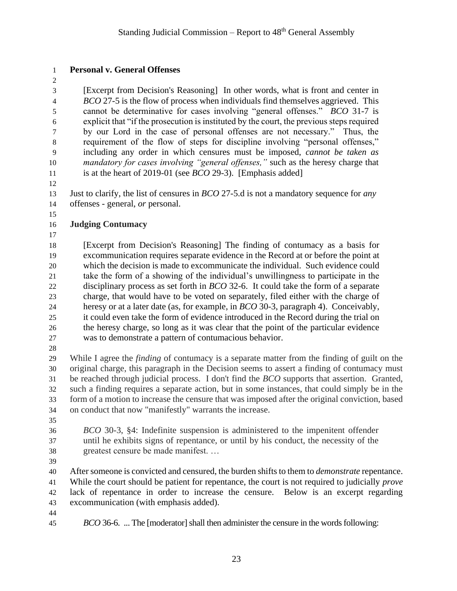### **Personal v. General Offenses**

 [Excerpt from Decision's Reasoning] In other words, what is front and center in *BCO* 27-5 is the flow of process when individuals find themselves aggrieved. This cannot be determinative for cases involving "general offenses." *BCO* 31-7 is explicit that "if the prosecution is instituted by the court, the previous steps required by our Lord in the case of personal offenses are not necessary." Thus, the requirement of the flow of steps for discipline involving "personal offenses," including any order in which censures must be imposed, *cannot be taken as mandatory for cases involving "general offenses,"* such as the heresy charge that is at the heart of 2019-01 (see *BCO* 29-3). [Emphasis added]

 Just to clarify, the list of censures in *BCO* 27-5.d is not a mandatory sequence for *any* offenses - general, *or* personal.

### **Judging Contumacy**

 [Excerpt from Decision's Reasoning] The finding of contumacy as a basis for excommunication requires separate evidence in the Record at or before the point at which the decision is made to excommunicate the individual. Such evidence could take the form of a showing of the individual's unwillingness to participate in the disciplinary process as set forth in *BCO* 32-6. It could take the form of a separate charge, that would have to be voted on separately, filed either with the charge of heresy or at a later date (as, for example, in *BCO* 30-3, paragraph 4). Conceivably, it could even take the form of evidence introduced in the Record during the trial on the heresy charge, so long as it was clear that the point of the particular evidence was to demonstrate a pattern of contumacious behavior.

 While I agree the *finding* of contumacy is a separate matter from the finding of guilt on the original charge, this paragraph in the Decision seems to assert a finding of contumacy must be reached through judicial process. I don't find the *BCO* supports that assertion. Granted, such a finding requires a separate action, but in some instances, that could simply be in the form of a motion to increase the censure that was imposed after the original conviction, based on conduct that now "manifestly" warrants the increase.

- 
- *BCO* 30-3, §4: Indefinite suspension is administered to the impenitent offender until he exhibits signs of repentance, or until by his conduct, the necessity of the
- greatest censure be made manifest. …

 After someone is convicted and censured, the burden shifts to them to *demonstrate* repentance. While the court should be patient for repentance, the court is not required to judicially *prove* lack of repentance in order to increase the censure. Below is an excerpt regarding excommunication (with emphasis added).

- 
- 

*BCO* 36-6. ... The [moderator] shall then administer the censure in the words following: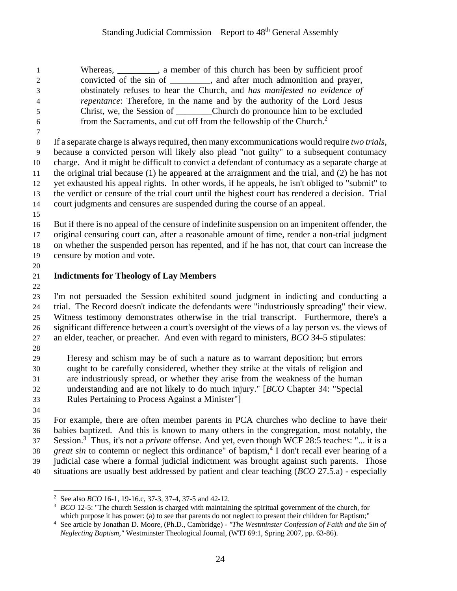1 Whereas, a member of this church has been by sufficient proof convicted of the sin of \_\_\_\_\_\_\_\_\_, and after much admonition and prayer, obstinately refuses to hear the Church, and *has manifested no evidence of repentance*: Therefore, in the name and by the authority of the Lord Jesus Christ, we, the Session of \_\_\_\_\_\_\_\_Church do pronounce him to be excluded from the Sacraments, and cut off from the fellowship of the Church.<sup>2</sup> 

 If a separate charge is always required, then many excommunications would require *two trials*, because a convicted person will likely also plead "not guilty" to a subsequent contumacy charge. And it might be difficult to convict a defendant of contumacy as a separate charge at the original trial because (1) he appeared at the arraignment and the trial, and (2) he has not yet exhausted his appeal rights. In other words, if he appeals, he isn't obliged to "submit" to the verdict or censure of the trial court until the highest court has rendered a decision. Trial court judgments and censures are suspended during the course of an appeal.

 But if there is no appeal of the censure of indefinite suspension on an impenitent offender, the original censuring court can, after a reasonable amount of time, render a non-trial judgment on whether the suspended person has repented, and if he has not, that court can increase the censure by motion and vote.

## **Indictments for Theology of Lay Members**

 I'm not persuaded the Session exhibited sound judgment in indicting and conducting a trial. The Record doesn't indicate the defendants were "industriously spreading" their view. Witness testimony demonstrates otherwise in the trial transcript. Furthermore, there's a significant difference between a court's oversight of the views of a lay person vs. the views of an elder, teacher, or preacher. And even with regard to ministers, *BCO* 34-5 stipulates:

 Heresy and schism may be of such a nature as to warrant deposition; but errors ought to be carefully considered, whether they strike at the vitals of religion and are industriously spread, or whether they arise from the weakness of the human understanding and are not likely to do much injury." [*BCO* Chapter 34: "Special Rules Pertaining to Process Against a Minister"]

 $\overline{a}$ 

 For example, there are often member parents in PCA churches who decline to have their babies baptized. And this is known to many others in the congregation, most notably, the Session.<sup>3</sup> Thus, it's not a *private* offense. And yet, even though WCF 28:5 teaches: "... it is a *great sin* to contemn or neglect this ordinance" of baptism,<sup>4</sup> I don't recall ever hearing of a judicial case where a formal judicial indictment was brought against such parents. Those situations are usually best addressed by patient and clear teaching (*BCO* 27.5.a) - especially

See also *BCO* 16-1, 19-16.c, 37-3, 37-4, 37-5 and 42-12.

<sup>&</sup>lt;sup>3</sup> *BCO* 12-5: "The church Session is charged with maintaining the spiritual government of the church, for which purpose it has power: (a) to see that parents do not neglect to present their children for Baptism;"

 See article by Jonathan D. Moore, (Ph.D., Cambridge) - *"The Westminster Confession of Faith and the Sin of Neglecting Baptism,"* Westminster Theological Journal, (WTJ 69:1, Spring 2007, pp. 63-86).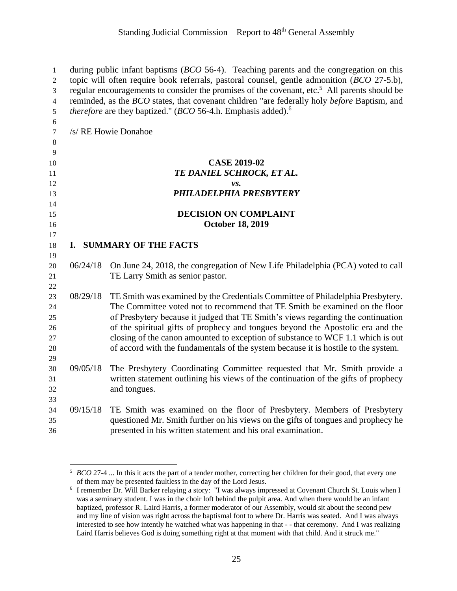| 1              |                                                                                            | during public infant baptisms $(BCO 56-4)$ . Teaching parents and the congregation on this               |  |
|----------------|--------------------------------------------------------------------------------------------|----------------------------------------------------------------------------------------------------------|--|
| $\mathbf{2}$   | topic will often require book referrals, pastoral counsel, gentle admonition (BCO 27-5.b), |                                                                                                          |  |
| 3              |                                                                                            | regular encouragements to consider the promises of the covenant, etc. <sup>5</sup> All parents should be |  |
| $\overline{4}$ |                                                                                            | reminded, as the BCO states, that covenant children "are federally holy before Baptism, and              |  |
| 5              |                                                                                            | <i>therefore</i> are they baptized." ( <i>BCO</i> 56-4.h. Emphasis added). <sup>6</sup>                  |  |
| 6              |                                                                                            |                                                                                                          |  |
| 7              |                                                                                            | /s/ RE Howie Donahoe                                                                                     |  |
| $8\phantom{1}$ |                                                                                            |                                                                                                          |  |
| 9              |                                                                                            |                                                                                                          |  |
| 10             |                                                                                            | <b>CASE 2019-02</b>                                                                                      |  |
| 11             |                                                                                            | TE DANIEL SCHROCK, ET AL.                                                                                |  |
| 12             |                                                                                            | vs.                                                                                                      |  |
| 13             |                                                                                            | PHILADELPHIA PRESBYTERY                                                                                  |  |
| 14             |                                                                                            |                                                                                                          |  |
| 15             |                                                                                            | <b>DECISION ON COMPLAINT</b>                                                                             |  |
| 16             |                                                                                            | <b>October 18, 2019</b>                                                                                  |  |
| 17             |                                                                                            |                                                                                                          |  |
| 18             |                                                                                            | I. SUMMARY OF THE FACTS                                                                                  |  |
| 19             | 06/24/18                                                                                   |                                                                                                          |  |
| 20             |                                                                                            | On June 24, 2018, the congregation of New Life Philadelphia (PCA) voted to call                          |  |
| 21<br>22       |                                                                                            | TE Larry Smith as senior pastor.                                                                         |  |
| 23             | 08/29/18                                                                                   | TE Smith was examined by the Credentials Committee of Philadelphia Presbytery.                           |  |
| 24             |                                                                                            | The Committee voted not to recommend that TE Smith be examined on the floor                              |  |
| 25             |                                                                                            | of Presbytery because it judged that TE Smith's views regarding the continuation                         |  |
| 26             |                                                                                            | of the spiritual gifts of prophecy and tongues beyond the Apostolic era and the                          |  |
| 27             |                                                                                            | closing of the canon amounted to exception of substance to WCF 1.1 which is out                          |  |
| 28             |                                                                                            | of accord with the fundamentals of the system because it is hostile to the system.                       |  |
| 29             |                                                                                            |                                                                                                          |  |
| 30             | 09/05/18                                                                                   | The Presbytery Coordinating Committee requested that Mr. Smith provide a                                 |  |
| 31             |                                                                                            | written statement outlining his views of the continuation of the gifts of prophecy                       |  |
| 32             |                                                                                            | and tongues.                                                                                             |  |
| 33             |                                                                                            |                                                                                                          |  |
| 34             | 09/15/18                                                                                   | TE Smith was examined on the floor of Presbytery. Members of Presbytery                                  |  |
| 35             |                                                                                            | questioned Mr. Smith further on his views on the gifts of tongues and prophecy he                        |  |
| 36             |                                                                                            | presented in his written statement and his oral examination.                                             |  |

 $\overline{a}$ 

 *BCO* 27-4 ... In this it acts the part of a tender mother, correcting her children for their good, that every one of them may be presented faultless in the day of the Lord Jesus.

<sup>&</sup>lt;sup>6</sup> I remember Dr. Will Barker relaying a story: "I was always impressed at Covenant Church St. Louis when I was a seminary student. I was in the choir loft behind the pulpit area. And when there would be an infant baptized, professor R. Laird Harris, a former moderator of our Assembly, would sit about the second pew and my line of vision was right across the baptismal font to where Dr. Harris was seated. And I was always interested to see how intently he watched what was happening in that - - that ceremony. And I was realizing Laird Harris believes God is doing something right at that moment with that child. And it struck me."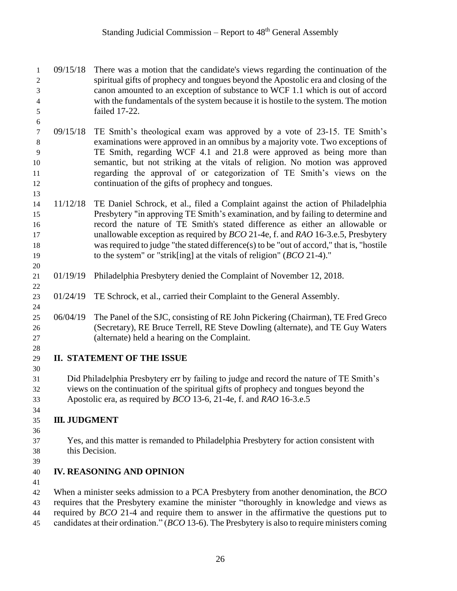- 09/15/18 There was a motion that the candidate's views regarding the continuation of the spiritual gifts of prophecy and tongues beyond the Apostolic era and closing of the canon amounted to an exception of substance to WCF 1.1 which is out of accord with the fundamentals of the system because it is hostile to the system. The motion failed 17-22.
- 09/15/18 TE Smith's theological exam was approved by a vote of 23-15. TE Smith's examinations were approved in an omnibus by a majority vote. Two exceptions of TE Smith, regarding WCF 4.1 and 21.8 were approved as being more than semantic, but not striking at the vitals of religion. No motion was approved regarding the approval of or categorization of TE Smith's views on the continuation of the gifts of prophecy and tongues.
- 11/12/18 TE Daniel Schrock, et al., filed a Complaint against the action of Philadelphia Presbytery "in approving TE Smith's examination, and by failing to determine and record the nature of TE Smith's stated difference as either an allowable or unallowable exception as required by *BCO* 21-4e, f. and *RAO* 16-3.e.5, Presbytery was required to judge "the stated difference(s) to be "out of accord," that is, "hostile to the system" or "strik[ing] at the vitals of religion" (*BCO* 21-4)."
- 01/19/19 Philadelphia Presbytery denied the Complaint of November 12, 2018.
- 01/24/19 TE Schrock, et al., carried their Complaint to the General Assembly.
- 06/04/19 The Panel of the SJC, consisting of RE John Pickering (Chairman), TE Fred Greco (Secretary), RE Bruce Terrell, RE Steve Dowling (alternate), and TE Guy Waters (alternate) held a hearing on the Complaint.
- **II. STATEMENT OF THE ISSUE**

 Did Philadelphia Presbytery err by failing to judge and record the nature of TE Smith's views on the continuation of the spiritual gifts of prophecy and tongues beyond the Apostolic era, as required by *BCO* 13-6, 21-4e, f. and *RAO* 16-3.e.5

#### **III. JUDGMENT**

- Yes, and this matter is remanded to Philadelphia Presbytery for action consistent with this Decision.
- 

### **IV. REASONING AND OPINION**

- 
- When a minister seeks admission to a PCA Presbytery from another denomination, the *BCO* requires that the Presbytery examine the minister "thoroughly in knowledge and views as
- required by *BCO* 21-4 and require them to answer in the affirmative the questions put to
- candidates at their ordination." (*BCO* 13-6). The Presbytery is also to require ministers coming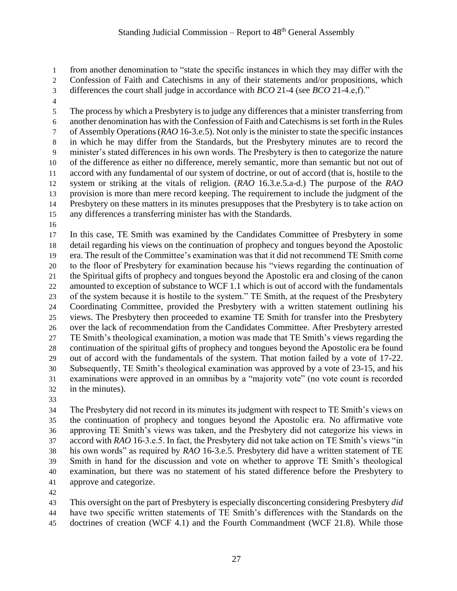from another denomination to "state the specific instances in which they may differ with the

Confession of Faith and Catechisms in any of their statements and/or propositions, which

- differences the court shall judge in accordance with *BCO* 21-4 (see *BCO* 21-4.e,f)."
- 

 The process by which a Presbytery is to judge any differences that a minister transferring from another denomination has with the Confession of Faith and Catechisms is set forth in the Rules of Assembly Operations (*RAO* 16-3.e.5). Not only is the minister to state the specific instances in which he may differ from the Standards, but the Presbytery minutes are to record the minister's stated differences in his own words. The Presbytery is then to categorize the nature of the difference as either no difference, merely semantic, more than semantic but not out of accord with any fundamental of our system of doctrine, or out of accord (that is, hostile to the system or striking at the vitals of religion. (*RAO* 16.3.e.5.a-d.) The purpose of the *RAO* provision is more than mere record keeping. The requirement to include the judgment of the Presbytery on these matters in its minutes presupposes that the Presbytery is to take action on any differences a transferring minister has with the Standards.

 In this case, TE Smith was examined by the Candidates Committee of Presbytery in some detail regarding his views on the continuation of prophecy and tongues beyond the Apostolic era. The result of the Committee's examination was that it did not recommend TE Smith come to the floor of Presbytery for examination because his "views regarding the continuation of the Spiritual gifts of prophecy and tongues beyond the Apostolic era and closing of the canon amounted to exception of substance to WCF 1.1 which is out of accord with the fundamentals of the system because it is hostile to the system." TE Smith, at the request of the Presbytery Coordinating Committee, provided the Presbytery with a written statement outlining his views. The Presbytery then proceeded to examine TE Smith for transfer into the Presbytery over the lack of recommendation from the Candidates Committee. After Presbytery arrested TE Smith's theological examination, a motion was made that TE Smith's views regarding the continuation of the spiritual gifts of prophecy and tongues beyond the Apostolic era be found out of accord with the fundamentals of the system. That motion failed by a vote of 17-22. Subsequently, TE Smith's theological examination was approved by a vote of 23-15, and his examinations were approved in an omnibus by a "majority vote" (no vote count is recorded in the minutes).

 The Presbytery did not record in its minutes its judgment with respect to TE Smith's views on the continuation of prophecy and tongues beyond the Apostolic era. No affirmative vote approving TE Smith's views was taken, and the Presbytery did not categorize his views in accord with *RAO* 16-3.e.5. In fact, the Presbytery did not take action on TE Smith's views "in his own words" as required by *RAO* 16-3.e.5. Presbytery did have a written statement of TE Smith in hand for the discussion and vote on whether to approve TE Smith's theological examination, but there was no statement of his stated difference before the Presbytery to approve and categorize.

 This oversight on the part of Presbytery is especially disconcerting considering Presbytery *did* have two specific written statements of TE Smith's differences with the Standards on the doctrines of creation (WCF 4.1) and the Fourth Commandment (WCF 21.8). While those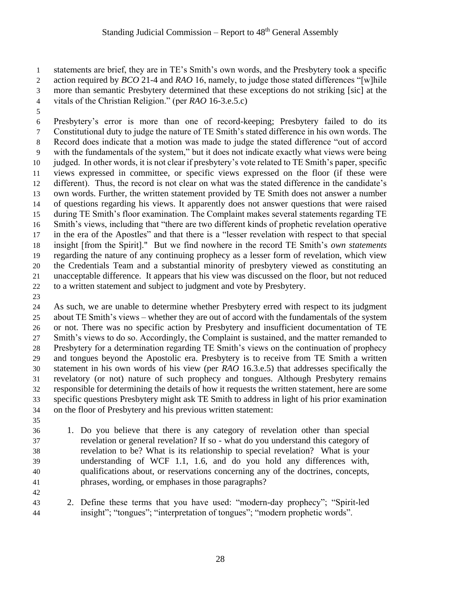statements are brief, they are in TE's Smith's own words, and the Presbytery took a specific

action required by *BCO* 21-4 and *RAO* 16, namely, to judge those stated differences "[w]hile

- more than semantic Presbytery determined that these exceptions do not striking [sic] at the
- vitals of the Christian Religion." (per *RAO* 16-3.e.5.c)
- 

 Presbytery's error is more than one of record-keeping; Presbytery failed to do its Constitutional duty to judge the nature of TE Smith's stated difference in his own words. The Record does indicate that a motion was made to judge the stated difference "out of accord with the fundamentals of the system," but it does not indicate exactly what views were being judged. In other words, it is not clear if presbytery's vote related to TE Smith's paper, specific views expressed in committee, or specific views expressed on the floor (if these were different). Thus, the record is not clear on what was the stated difference in the candidate's own words. Further, the written statement provided by TE Smith does not answer a number of questions regarding his views. It apparently does not answer questions that were raised during TE Smith's floor examination. The Complaint makes several statements regarding TE Smith's views, including that "there are two different kinds of prophetic revelation operative in the era of the Apostles" and that there is a "lesser revelation with respect to that special insight [from the Spirit]." But we find nowhere in the record TE Smith's *own statements* regarding the nature of any continuing prophecy as a lesser form of revelation, which view the Credentials Team and a substantial minority of presbytery viewed as constituting an unacceptable difference. It appears that his view was discussed on the floor, but not reduced to a written statement and subject to judgment and vote by Presbytery.

 As such, we are unable to determine whether Presbytery erred with respect to its judgment about TE Smith's views – whether they are out of accord with the fundamentals of the system or not. There was no specific action by Presbytery and insufficient documentation of TE Smith's views to do so. Accordingly, the Complaint is sustained, and the matter remanded to Presbytery for a determination regarding TE Smith's views on the continuation of prophecy and tongues beyond the Apostolic era. Presbytery is to receive from TE Smith a written statement in his own words of his view (per *RAO* 16.3.e.5) that addresses specifically the revelatory (or not) nature of such prophecy and tongues. Although Presbytery remains responsible for determining the details of how it requests the written statement, here are some specific questions Presbytery might ask TE Smith to address in light of his prior examination on the floor of Presbytery and his previous written statement:

- 
- 1. Do you believe that there is any category of revelation other than special revelation or general revelation? If so - what do you understand this category of revelation to be? What is its relationship to special revelation? What is your understanding of WCF 1.1, 1.6, and do you hold any differences with, qualifications about, or reservations concerning any of the doctrines, concepts, phrases, wording, or emphases in those paragraphs?
- 

 2. Define these terms that you have used: "modern-day prophecy"; "Spirit-led insight"; "tongues"; "interpretation of tongues"; "modern prophetic words".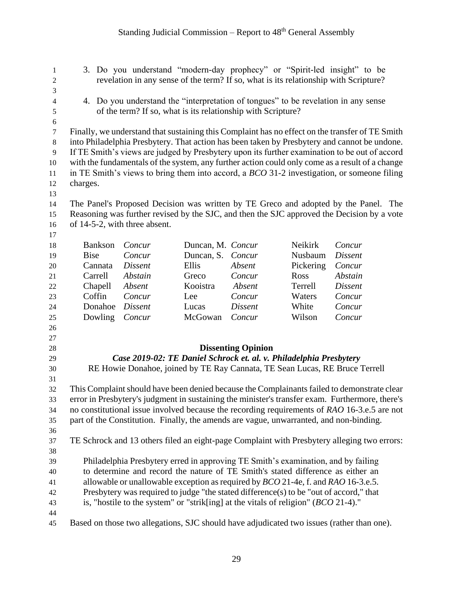3. Do you understand "modern-day prophecy" or "Spirit-led insight" to be revelation in any sense of the term? If so, what is its relationship with Scripture?

 4. Do you understand the "interpretation of tongues" to be revelation in any sense of the term? If so, what is its relationship with Scripture? Finally, we understand that sustaining this Complaint has no effect on the transfer of TE Smith into Philadelphia Presbytery. That action has been taken by Presbytery and cannot be undone. If TE Smith's views are judged by Presbytery upon its further examination to be out of accord with the fundamentals of the system, any further action could only come as a result of a change in TE Smith's views to bring them into accord, a *BCO* 31-2 investigation, or someone filing charges. The Panel's Proposed Decision was written by TE Greco and adopted by the Panel. The Reasoning was further revised by the SJC, and then the SJC approved the Decision by a vote of 14-5-2, with three absent. Bankson *Concur* Duncan, M. *Concur* Neikirk *Concur* Bise *Concur* Duncan, S. *Concur* Nusbaum *Dissent* Cannata *Dissent* Ellis *Absent* Pickering *Concur* Carrell *Abstain* Greco *Concur* Ross *Abstain* Chapell *Absent* Kooistra *Absent* Terrell *Dissent* Coffin *Concur* Lee *Concur* Waters *Concur* Donahoe *Dissent* Lucas *Dissent* White *Concur* Dowling *Concur* McGowan *Concur* Wilson *Concur* **Dissenting Opinion** *Case 2019-02: TE Daniel Schrock et. al. v. Philadelphia Presbytery* RE Howie Donahoe, joined by TE Ray Cannata, TE Sean Lucas, RE Bruce Terrell This Complaint should have been denied because the Complainants failed to demonstrate clear error in Presbytery's judgment in sustaining the minister's transfer exam. Furthermore, there's no constitutional issue involved because the recording requirements of *RAO* 16-3.e.5 are not part of the Constitution. Finally, the amends are vague, unwarranted, and non-binding. TE Schrock and 13 others filed an eight-page Complaint with Presbytery alleging two errors: Philadelphia Presbytery erred in approving TE Smith's examination, and by failing to determine and record the nature of TE Smith's stated difference as either an allowable or unallowable exception as required by *BCO* 21-4e, f. and *RAO* 16-3.e.5. Presbytery was required to judge "the stated difference(s) to be "out of accord," that is, "hostile to the system" or "strik[ing] at the vitals of religion" (*BCO* 21-4)." Based on those two allegations, SJC should have adjudicated two issues (rather than one).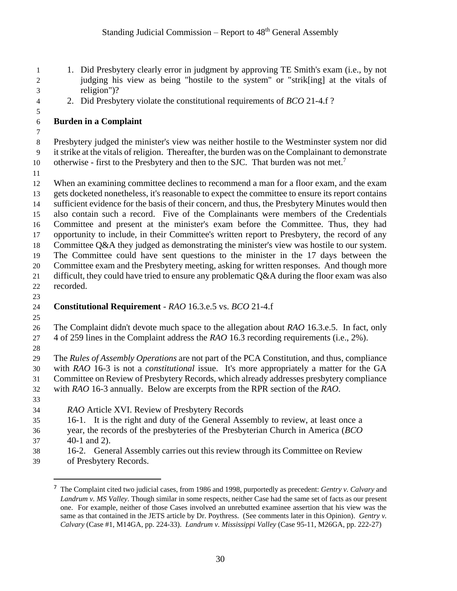- 1. Did Presbytery clearly error in judgment by approving TE Smith's exam (i.e., by not judging his view as being "hostile to the system" or "strik[ing] at the vitals of religion")?
- 2. Did Presbytery violate the constitutional requirements of *BCO* 21-4.f ?
- **Burden in a Complaint**
- Presbytery judged the minister's view was neither hostile to the Westminster system nor did it strike at the vitals of religion. Thereafter, the burden was on the Complainant to demonstrate 10 otherwise - first to the Presbytery and then to the SJC. That burden was not met.<sup>7</sup>
- 

 When an examining committee declines to recommend a man for a floor exam, and the exam gets docketed nonetheless, it's reasonable to expect the committee to ensure its report contains sufficient evidence for the basis of their concern, and thus, the Presbytery Minutes would then also contain such a record. Five of the Complainants were members of the Credentials Committee and present at the minister's exam before the Committee. Thus, they had opportunity to include, in their Committee's written report to Presbytery, the record of any Committee Q&A they judged as demonstrating the minister's view was hostile to our system. The Committee could have sent questions to the minister in the 17 days between the Committee exam and the Presbytery meeting, asking for written responses. And though more difficult, they could have tried to ensure any problematic Q&A during the floor exam was also recorded.

## **Constitutional Requirement** - *RAO* 16.3.e.5 vs. *BCO* 21-4.f

 The Complaint didn't devote much space to the allegation about *RAO* 16.3.e.5. In fact, only 4 of 259 lines in the Complaint address the *RAO* 16.3 recording requirements (i.e., 2%).

 The *Rules of Assembly Operations* are not part of the PCA Constitution, and thus, compliance with *RAO* 16-3 is not a *constitutional* issue. It's more appropriately a matter for the GA Committee on Review of Presbytery Records, which already addresses presbytery compliance with *RAO* 16-3 annually. Below are excerpts from the RPR section of the *RAO*.

 $\overline{a}$ 

- *RAO* Article XVI. Review of Presbytery Records
- 16-1. It is the right and duty of the General Assembly to review, at least once a
- year, the records of the presbyteries of the Presbyterian Church in America (*BCO* 40-1 and 2).
- 16-2. General Assembly carries out this review through its Committee on Review
- of Presbytery Records.

 The Complaint cited two judicial cases, from 1986 and 1998, purportedly as precedent: *Gentry v. Calvary* and *Landrum v. MS Valley*. Though similar in some respects, neither Case had the same set of facts as our present one. For example, neither of those Cases involved an unrebutted examinee assertion that his view was the same as that contained in the JETS article by Dr. Poythress. (See comments later in this Opinion). *Gentry v. Calvary* (Case #1, M14GA, pp. 224-33). *Landrum v. Mississippi Valley* (Case 95-11, M26GA, pp. 222-27)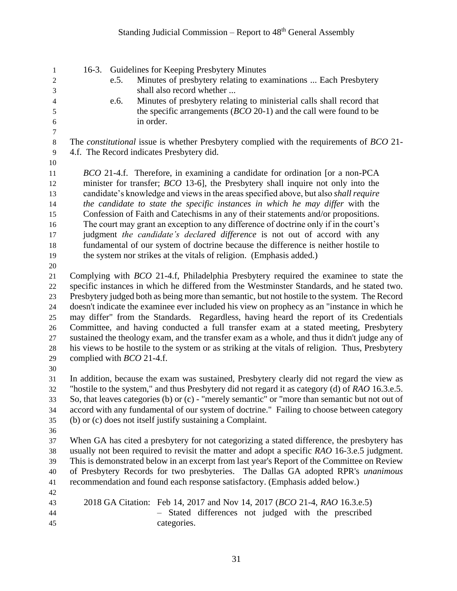| 1<br>$\overline{c}$<br>3<br>$\overline{4}$<br>5<br>6 | e.5.<br>e.6.<br>in order.                 | 16-3. Guidelines for Keeping Presbytery Minutes<br>Minutes of presbytery relating to examinations  Each Presbytery<br>shall also record whether<br>Minutes of presbytery relating to ministerial calls shall record that<br>the specific arrangements $(BCO 20-1)$ and the call were found to be |
|------------------------------------------------------|-------------------------------------------|--------------------------------------------------------------------------------------------------------------------------------------------------------------------------------------------------------------------------------------------------------------------------------------------------|
| $\boldsymbol{7}$                                     |                                           |                                                                                                                                                                                                                                                                                                  |
| $\,8\,$                                              |                                           | The <i>constitutional</i> issue is whether Presbytery complied with the requirements of <i>BCO</i> 21-                                                                                                                                                                                           |
| 9                                                    | 4.f. The Record indicates Presbytery did. |                                                                                                                                                                                                                                                                                                  |
| 10                                                   |                                           |                                                                                                                                                                                                                                                                                                  |
| 11                                                   |                                           | <i>BCO</i> 21-4.f. Therefore, in examining a candidate for ordination [or a non-PCA                                                                                                                                                                                                              |
| 12                                                   |                                           | minister for transfer; <i>BCO</i> 13-6], the Presbytery shall inquire not only into the                                                                                                                                                                                                          |
| 13                                                   |                                           | candidate's knowledge and views in the areas specified above, but also shall require                                                                                                                                                                                                             |
| 14<br>15                                             |                                           | the candidate to state the specific instances in which he may differ with the<br>Confession of Faith and Catechisms in any of their statements and/or propositions.                                                                                                                              |
| 16                                                   |                                           | The court may grant an exception to any difference of doctrine only if in the court's                                                                                                                                                                                                            |
| 17                                                   |                                           | judgment the candidate's declared difference is not out of accord with any                                                                                                                                                                                                                       |
| 18                                                   |                                           | fundamental of our system of doctrine because the difference is neither hostile to                                                                                                                                                                                                               |
| 19                                                   |                                           | the system nor strikes at the vitals of religion. (Emphasis added.)                                                                                                                                                                                                                              |
| $20\,$                                               |                                           |                                                                                                                                                                                                                                                                                                  |
| 21                                                   |                                           | Complying with <i>BCO</i> 21-4.f, Philadelphia Presbytery required the examinee to state the                                                                                                                                                                                                     |
| 22                                                   |                                           | specific instances in which he differed from the Westminster Standards, and he stated two.                                                                                                                                                                                                       |
| 23                                                   |                                           | Presbytery judged both as being more than semantic, but not hostile to the system. The Record                                                                                                                                                                                                    |
| 24                                                   |                                           | doesn't indicate the examinee ever included his view on prophecy as an "instance in which he                                                                                                                                                                                                     |
| 25                                                   |                                           | may differ" from the Standards. Regardless, having heard the report of its Credentials                                                                                                                                                                                                           |
| 26                                                   |                                           | Committee, and having conducted a full transfer exam at a stated meeting, Presbytery                                                                                                                                                                                                             |
| 27                                                   |                                           | sustained the theology exam, and the transfer exam as a whole, and thus it didn't judge any of                                                                                                                                                                                                   |
| $28\,$                                               |                                           | his views to be hostile to the system or as striking at the vitals of religion. Thus, Presbytery                                                                                                                                                                                                 |
| 29                                                   | complied with <i>BCO</i> 21-4.f.          |                                                                                                                                                                                                                                                                                                  |
| 30                                                   |                                           |                                                                                                                                                                                                                                                                                                  |
| 31                                                   |                                           | In addition, because the exam was sustained, Presbytery clearly did not regard the view as                                                                                                                                                                                                       |
| 32                                                   |                                           | "hostile to the system," and thus Presbytery did not regard it as category (d) of RAO 16.3.e.5.                                                                                                                                                                                                  |
| 33<br>34                                             |                                           | So, that leaves categories (b) or (c) - "merely semantic" or "more than semantic but not out of<br>accord with any fundamental of our system of doctrine." Failing to choose between category                                                                                                    |
| 35                                                   |                                           | (b) or (c) does not itself justify sustaining a Complaint.                                                                                                                                                                                                                                       |
| 36                                                   |                                           |                                                                                                                                                                                                                                                                                                  |
| 37                                                   |                                           | When GA has cited a presbytery for not categorizing a stated difference, the presbytery has                                                                                                                                                                                                      |
| 38                                                   |                                           | usually not been required to revisit the matter and adopt a specific RAO 16-3.e.5 judgment.                                                                                                                                                                                                      |
| 39                                                   |                                           | This is demonstrated below in an excerpt from last year's Report of the Committee on Review                                                                                                                                                                                                      |
| 40                                                   |                                           | of Presbytery Records for two presbyteries. The Dallas GA adopted RPR's unanimous                                                                                                                                                                                                                |
| 41                                                   |                                           | recommendation and found each response satisfactory. (Emphasis added below.)                                                                                                                                                                                                                     |
| 42                                                   |                                           |                                                                                                                                                                                                                                                                                                  |
| 43                                                   |                                           | 2018 GA Citation: Feb 14, 2017 and Nov 14, 2017 ( <i>BCO</i> 21-4, <i>RAO</i> 16.3.e.5)                                                                                                                                                                                                          |
| 44                                                   |                                           | Stated differences not judged with the prescribed                                                                                                                                                                                                                                                |
| 45                                                   |                                           | categories.                                                                                                                                                                                                                                                                                      |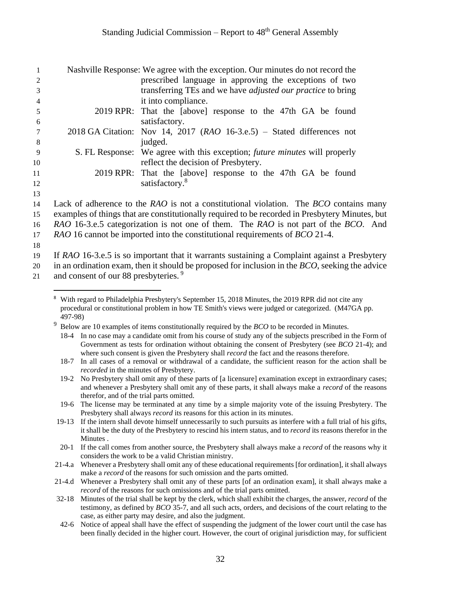|     | Nashville Response: We agree with the exception. Our minutes do not record the    |
|-----|-----------------------------------------------------------------------------------|
| 2   | prescribed language in approving the exceptions of two                            |
| 3   | transferring TEs and we have <i>adjusted our practice</i> to bring                |
| 4   | it into compliance.                                                               |
| 5   | 2019 RPR: That the [above] response to the 47th GA be found                       |
| 6   | satisfactory.                                                                     |
|     | 2018 GA Citation: Nov 14, 2017 ( $RAO$ 16-3.e.5) – Stated differences not         |
| 8   | judged.                                                                           |
| - 9 | S. FL Response: We agree with this exception; <i>future minutes</i> will properly |
| 10  | reflect the decision of Presbytery.                                               |
| 11  | 2019 RPR: That the [above] response to the 47th GA be found                       |
| 12  | satisfactory. <sup>8</sup>                                                        |
| 13  |                                                                                   |

14 Lack of adherence to the *RAO* is not a constitutional violation. The *BCO* contains many 15 examples of things that are constitutionally required to be recorded in Presbytery Minutes, but 16 *RAO* 16-3.e.5 categorization is not one of them. The *RAO* is not part of the *BCO*. And

17 *RAO* 16 cannot be imported into the constitutional requirements of *BCO* 21-4.

18

19 If *RAO* 16-3.e.5 is so important that it warrants sustaining a Complaint against a Presbytery

20 in an ordination exam, then it should be proposed for inclusion in the *BCO*, seeking the advice

and consent of our 88 presbyteries. <sup>9</sup> 21

 $\overline{a}$ <sup>8</sup> With regard to Philadelphia Presbytery's September 15, 2018 Minutes, the 2019 RPR did not cite any procedural or constitutional problem in how TE Smith's views were judged or categorized. (M47GA pp. 497-98)

<sup>&</sup>lt;sup>9</sup> Below are 10 examples of items constitutionally required by the *BCO* to be recorded in Minutes.

<sup>18-4</sup> In no case may a candidate omit from his course of study any of the subjects prescribed in the Form of Government as tests for ordination without obtaining the consent of Presbytery (see *BCO* 21-4); and where such consent is given the Presbytery shall *record* the fact and the reasons therefore.

<sup>18-7</sup> In all cases of a removal or withdrawal of a candidate, the sufficient reason for the action shall be *recorded* in the minutes of Presbytery.

<sup>19-2</sup> No Presbytery shall omit any of these parts of [a licensure] examination except in extraordinary cases; and whenever a Presbytery shall omit any of these parts, it shall always make a *record* of the reasons therefor, and of the trial parts omitted.

<sup>19-6</sup> The license may be terminated at any time by a simple majority vote of the issuing Presbytery. The Presbytery shall always *record* its reasons for this action in its minutes.

<sup>19-13</sup> If the intern shall devote himself unnecessarily to such pursuits as interfere with a full trial of his gifts, it shall be the duty of the Presbytery to rescind his intern status, and to *record* its reasons therefor in the Minutes .

<sup>20-1</sup> If the call comes from another source, the Presbytery shall always make a *record* of the reasons why it considers the work to be a valid Christian ministry.

<sup>21-4.</sup>a Whenever a Presbytery shall omit any of these educational requirements [for ordination], it shall always make a *record* of the reasons for such omission and the parts omitted.

<sup>21-4.</sup>d Whenever a Presbytery shall omit any of these parts [of an ordination exam], it shall always make a *record* of the reasons for such omissions and of the trial parts omitted.

<sup>32-18</sup> Minutes of the trial shall be kept by the clerk, which shall exhibit the charges, the answer, *record* of the testimony, as defined by *BCO* 35-7, and all such acts, orders, and decisions of the court relating to the case, as either party may desire, and also the judgment.

<sup>42-6</sup> Notice of appeal shall have the effect of suspending the judgment of the lower court until the case has been finally decided in the higher court. However, the court of original jurisdiction may, for sufficient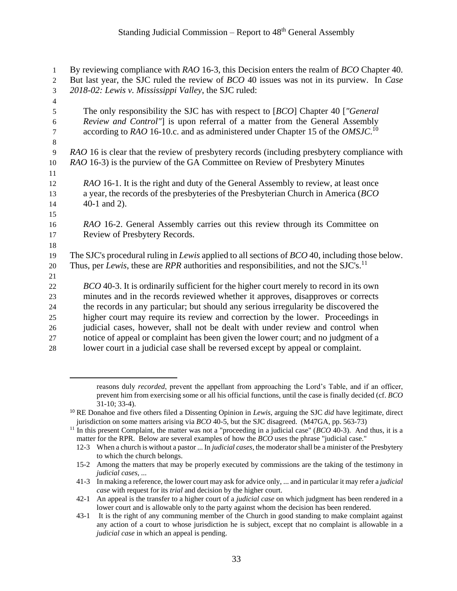| 1              | By reviewing compliance with RAO 16-3, this Decision enters the realm of BCO Chapter 40.                     |
|----------------|--------------------------------------------------------------------------------------------------------------|
| 2              | But last year, the SJC ruled the review of <i>BCO</i> 40 issues was not in its purview. In <i>Case</i>       |
| $\mathfrak{Z}$ | 2018-02: Lewis v. Mississippi Valley, the SJC ruled:                                                         |
| $\overline{4}$ |                                                                                                              |
| 5              | The only responsibility the SJC has with respect to [BCO] Chapter 40 ["General                               |
| $\sqrt{6}$     | Review and Control"] is upon referral of a matter from the General Assembly                                  |
| $\tau$         | according to RAO 16-10.c. and as administered under Chapter 15 of the OMSJC. <sup>10</sup>                   |
| $\,8\,$        |                                                                                                              |
| $\overline{9}$ | RAO 16 is clear that the review of presbytery records (including presbytery compliance with                  |
| 10             | RAO 16-3) is the purview of the GA Committee on Review of Presbytery Minutes                                 |
| 11             |                                                                                                              |
| 12             | RAO 16-1. It is the right and duty of the General Assembly to review, at least once                          |
| 13             | a year, the records of the presbyteries of the Presbyterian Church in America (BCO)                          |
| 14             | 40-1 and $2$ ).                                                                                              |
| 15             |                                                                                                              |
| 16             | RAO 16-2. General Assembly carries out this review through its Committee on                                  |
| 17             | Review of Presbytery Records.                                                                                |
| 18             |                                                                                                              |
| 19             | The SJC's procedural ruling in <i>Lewis</i> applied to all sections of <i>BCO</i> 40, including those below. |
| $20\,$         | Thus, per Lewis, these are RPR authorities and responsibilities, and not the SJC's. <sup>11</sup>            |
| 21             |                                                                                                              |
| $22\,$         | BCO 40-3. It is ordinarily sufficient for the higher court merely to record in its own                       |
| 23             | minutes and in the records reviewed whether it approves, disapproves or corrects                             |
| 24             | the records in any particular; but should any serious irregularity be discovered the                         |
| 25             | higher court may require its review and correction by the lower. Proceedings in                              |
| 26             | judicial cases, however, shall not be dealt with under review and control when                               |
| 27             | notice of appeal or complaint has been given the lower court; and no judgment of a                           |
| 28             | lower court in a judicial case shall be reversed except by appeal or complaint.                              |

 $\overline{a}$ 

reasons duly *recorded*, prevent the appellant from approaching the Lord's Table, and if an officer, prevent him from exercising some or all his official functions, until the case is finally decided (cf. *BCO* 31-10; 33-4).

<sup>10</sup> RE Donahoe and five others filed a Dissenting Opinion in *Lewis*, arguing the SJC *did* have legitimate, direct jurisdiction on some matters arising via *BCO* 40-5, but the SJC disagreed. (M47GA, pp. 563-73)

<sup>&</sup>lt;sup>11</sup> In this present Complaint, the matter was not a "proceeding in a judicial case" ( $BCO$  40-3). And thus, it is a matter for the RPR. Below are several examples of how the *BCO* uses the phrase "judicial case."

<sup>12-3</sup> When a church is without a pastor ... In *judicial cases*, the moderator shall be a minister of the Presbytery to which the church belongs.

<sup>15-2</sup> Among the matters that may be properly executed by commissions are the taking of the testimony in *judicial cases, ...*

<sup>41-3</sup> In making a reference, the lower court may ask for advice only, ... and in particular it may refer a *judicial case* with request for its *trial* and decision by the higher court.

<sup>42-1</sup> An appeal is the transfer to a higher court of a *judicial case* on which judgment has been rendered in a lower court and is allowable only to the party against whom the decision has been rendered.

<sup>43-1</sup> It is the right of any communing member of the Church in good standing to make complaint against any action of a court to whose jurisdiction he is subject, except that no complaint is allowable in a *judicial case* in which an appeal is pending.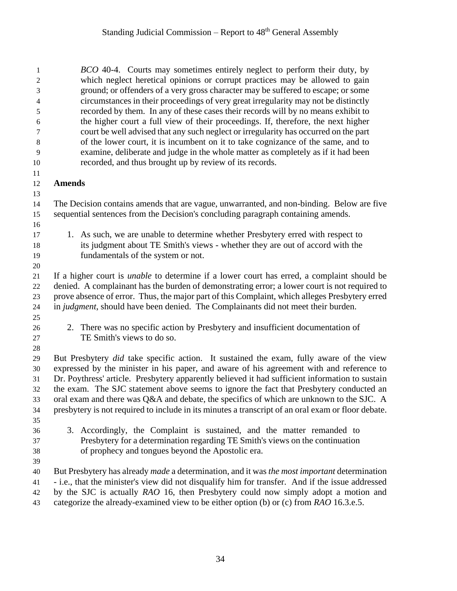*BCO* 40-4. Courts may sometimes entirely neglect to perform their duty, by which neglect heretical opinions or corrupt practices may be allowed to gain ground; or offenders of a very gross character may be suffered to escape; or some circumstances in their proceedings of very great irregularity may not be distinctly recorded by them. In any of these cases their records will by no means exhibit to the higher court a full view of their proceedings. If, therefore, the next higher court be well advised that any such neglect or irregularity has occurred on the part of the lower court, it is incumbent on it to take cognizance of the same, and to examine, deliberate and judge in the whole matter as completely as if it had been recorded, and thus brought up by review of its records. **Amends** The Decision contains amends that are vague, unwarranted, and non-binding. Below are five sequential sentences from the Decision's concluding paragraph containing amends. 1. As such, we are unable to determine whether Presbytery erred with respect to its judgment about TE Smith's views - whether they are out of accord with the fundamentals of the system or not. If a higher court is *unable* to determine if a lower court has erred, a complaint should be denied. A complainant has the burden of demonstrating error; a lower court is not required to prove absence of error. Thus, the major part of this Complaint, which alleges Presbytery erred in *judgment*, should have been denied. The Complainants did not meet their burden. 2. There was no specific action by Presbytery and insufficient documentation of TE Smith's views to do so. But Presbytery *did* take specific action. It sustained the exam, fully aware of the view expressed by the minister in his paper, and aware of his agreement with and reference to Dr. Poythress' article. Presbytery apparently believed it had sufficient information to sustain the exam. The SJC statement above seems to ignore the fact that Presbytery conducted an oral exam and there was Q&A and debate, the specifics of which are unknown to the SJC. A presbytery is not required to include in its minutes a transcript of an oral exam or floor debate. 3. Accordingly, the Complaint is sustained, and the matter remanded to Presbytery for a determination regarding TE Smith's views on the continuation of prophecy and tongues beyond the Apostolic era. But Presbytery has already *made* a determination, and it was *the most important* determination - i.e., that the minister's view did not disqualify him for transfer. And if the issue addressed by the SJC is actually *RAO* 16, then Presbytery could now simply adopt a motion and categorize the already-examined view to be either option (b) or (c) from *RAO* 16.3.e.5.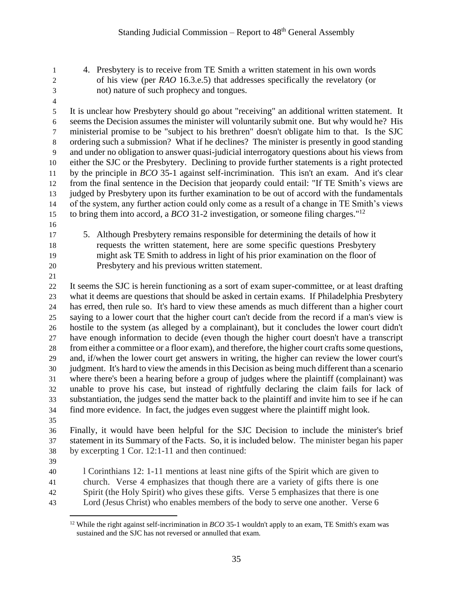- 4. Presbytery is to receive from TE Smith a written statement in his own words of his view (per *RAO* 16.3.e.5) that addresses specifically the revelatory (or not) nature of such prophecy and tongues.
- 

 It is unclear how Presbytery should go about "receiving" an additional written statement. It seems the Decision assumes the minister will voluntarily submit one. But why would he? His ministerial promise to be "subject to his brethren" doesn't obligate him to that. Is the SJC ordering such a submission? What if he declines? The minister is presently in good standing and under no obligation to answer quasi-judicial interrogatory questions about his views from either the SJC or the Presbytery. Declining to provide further statements is a right protected by the principle in *BCO* 35-1 against self-incrimination. This isn't an exam. And it's clear from the final sentence in the Decision that jeopardy could entail: "If TE Smith's views are judged by Presbytery upon its further examination to be out of accord with the fundamentals of the system, any further action could only come as a result of a change in TE Smith's views to bring them into accord, a *BCO* 31-2 investigation, or someone filing charges."<sup>12</sup>

- 
- 

 5. Although Presbytery remains responsible for determining the details of how it requests the written statement, here are some specific questions Presbytery might ask TE Smith to address in light of his prior examination on the floor of Presbytery and his previous written statement.

 It seems the SJC is herein functioning as a sort of exam super-committee, or at least drafting what it deems are questions that should be asked in certain exams. If Philadelphia Presbytery has erred, then rule so. It's hard to view these amends as much different than a higher court saying to a lower court that the higher court can't decide from the record if a man's view is hostile to the system (as alleged by a complainant), but it concludes the lower court didn't have enough information to decide (even though the higher court doesn't have a transcript from either a committee or a floor exam), and therefore, the higher court crafts some questions, and, if/when the lower court get answers in writing, the higher can review the lower court's judgment. It's hard to view the amends in this Decision as being much different than a scenario where there's been a hearing before a group of judges where the plaintiff (complainant) was unable to prove his case, but instead of rightfully declaring the claim fails for lack of substantiation, the judges send the matter back to the plaintiff and invite him to see if he can find more evidence. In fact, the judges even suggest where the plaintiff might look.

 Finally, it would have been helpful for the SJC Decision to include the minister's brief statement in its Summary of the Facts. So, it is included below. The minister began his paper by excerpting 1 Cor. 12:1-11 and then continued:

 l Corinthians 12: 1-11 mentions at least nine gifts of the Spirit which are given to church. Verse 4 emphasizes that though there are a variety of gifts there is one

- Spirit (the Holy Spirit) who gives these gifts. Verse 5 emphasizes that there is one
- Lord (Jesus Christ) who enables members of the body to serve one another. Verse 6

 $\overline{a}$  While the right against self-incrimination in *BCO* 35-1 wouldn't apply to an exam, TE Smith's exam was sustained and the SJC has not reversed or annulled that exam.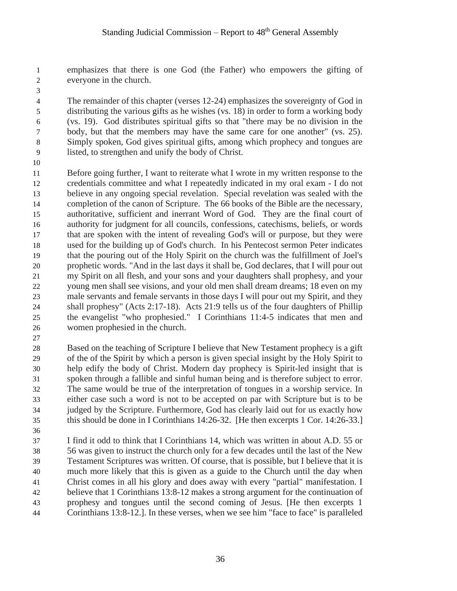emphasizes that there is one God (the Father) who empowers the gifting of everyone in the church.

 The remainder of this chapter (verses 12-24) emphasizes the sovereignty of God in distributing the various gifts as he wishes (vs. 18) in order to form a working body (vs. 19). God distributes spiritual gifts so that "there may be no division in the body, but that the members may have the same care for one another" (vs. 25). Simply spoken, God gives spiritual gifts, among which prophecy and tongues are listed, to strengthen and unify the body of Christ.

 Before going further, I want to reiterate what I wrote in my written response to the credentials committee and what I repeatedly indicated in my oral exam - I do not believe in any ongoing special revelation. Special revelation was sealed with the completion of the canon of Scripture. The 66 books of the Bible are the necessary, authoritative, sufficient and inerrant Word of God. They are the final court of authority for judgment for all councils, confessions, catechisms, beliefs, or words that are spoken with the intent of revealing God's will or purpose, but they were used for the building up of God's church. In his Pentecost sermon Peter indicates that the pouring out of the Holy Spirit on the church was the fulfillment of Joel's prophetic words. "And in the last days it shall be, God declares, that I will pour out my Spirit on all flesh, and your sons and your daughters shall prophesy, and your young men shall see visions, and your old men shall dream dreams; 18 even on my male servants and female servants in those days I will pour out my Spirit, and they shall prophesy" (Acts 2:17-18). Acts 21:9 tells us of the four daughters of Phillip the evangelist "who prophesied." I Corinthians 11:4-5 indicates that men and women prophesied in the church.

 Based on the teaching of Scripture I believe that New Testament prophecy is a gift of the of the Spirit by which a person is given special insight by the Holy Spirit to help edify the body of Christ. Modern day prophecy is Spirit-led insight that is spoken through a fallible and sinful human being and is therefore subject to error. The same would be true of the interpretation of tongues in a worship service. In either case such a word is not to be accepted on par with Scripture but is to be judged by the Scripture. Furthermore, God has clearly laid out for us exactly how this should be done in I Corinthians 14:26-32. [He then excerpts 1 Cor. 14:26-33.]

 I find it odd to think that I Corinthians 14, which was written in about A.D. 55 or 56 was given to instruct the church only for a few decades until the last of the New Testament Scriptures was written. Of course, that is possible, but I believe that it is much more likely that this is given as a guide to the Church until the day when Christ comes in all his glory and does away with every "partial" manifestation. I believe that 1 Corinthians 13:8-12 makes a strong argument for the continuation of prophesy and tongues until the second coming of Jesus. [He then excerpts 1 Corinthians 13:8-12.]. In these verses, when we see him "face to face" is paralleled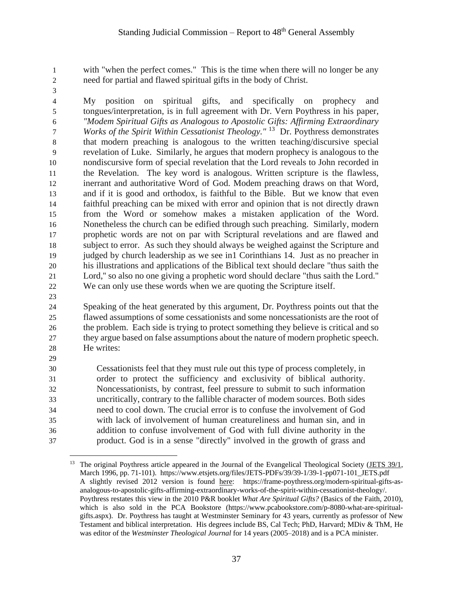with "when the perfect comes." This is the time when there will no longer be any need for partial and flawed spiritual gifts in the body of Christ.

 $\overline{a}$ 

 My position on spiritual gifts, and specifically on prophecy and tongues/interpretation, is in full agreement with Dr. Vern Poythress in his paper, *"Modem Spiritual Gifts as Analogous to Apostolic Gifts: Affirming Extraordinary T Works of the Spirit Within Cessationist Theology."* <sup>13</sup> Dr. Poythress demonstrates that modern preaching is analogous to the written teaching/discursive special revelation of Luke. Similarly, he argues that modern prophecy is analogous to the nondiscursive form of special revelation that the Lord reveals to John recorded in the Revelation. The key word is analogous. Written scripture is the flawless, inerrant and authoritative Word of God. Modem preaching draws on that Word, and if it is good and orthodox, is faithful to the Bible. But we know that even faithful preaching can be mixed with error and opinion that is not directly drawn from the Word or somehow makes a mistaken application of the Word. Nonetheless the church can be edified through such preaching. Similarly, modern prophetic words are not on par with Scriptural revelations and are flawed and subject to error. As such they should always be weighed against the Scripture and judged by church leadership as we see in1 Corinthians 14. Just as no preacher in his illustrations and applications of the Biblical text should declare "thus saith the Lord,'' so also no one giving a prophetic word should declare "thus saith the Lord." We can only use these words when we are quoting the Scripture itself.

 Speaking of the heat generated by this argument, Dr. Poythress points out that the flawed assumptions of some cessationists and some noncessationists are the root of the problem. Each side is trying to protect something they believe is critical and so they argue based on false assumptions about the nature of modern prophetic speech. He writes:

 Cessationists feel that they must rule out this type of process completely, in order to protect the sufficiency and exclusivity of biblical authority. Noncessationists, by contrast, feel pressure to submit to such information uncritically, contrary to the fallible character of modem sources. Both sides need to cool down. The crucial error is to confuse the involvement of God with lack of involvement of human creatureliness and human sin, and in addition to confuse involvement of God with full divine authority in the product. God is in a sense "directly" involved in the growth of grass and

<sup>&</sup>lt;sup>13</sup> The original Poythress article appeared in the Journal of the Evangelical Theological Society [\(JETS 39/1,](https://www.etsjets.org/files/JETS-PDFs/39/39-1/39-1-pp071-101_JETS.pdf) March 1996, pp. 71-101). https://www.etsjets.org/files/JETS-PDFs/39/39-1/39-1-pp071-101\_JETS.pdf A slightly revised 2012 version is found [here:](https://frame-poythress.org/modern-spiritual-gifts-as-analogous-to-apostolic-gifts-affirming-extraordinary-works-of-the-spirit-within-cessationist-theology/) https://frame-poythress.org/modern-spiritual-gifts-asanalogous-to-apostolic-gifts-affirming-extraordinary-works-of-the-spirit-within-cessationist-theology/. Poythress restates this view in the 2010 P&R booklet *What Are Spiritual Gifts?* (Basics of the Faith, 2010), which is also sold in the PCA Bookstore (https://www.pcabookstore.com/p-8080-what-are-spiritualgifts.aspx). Dr. Poythress has taught at Westminster Seminary for 43 years, currently as professor of New Testament and biblical interpretation. His degrees include BS, Cal Tech; PhD, Harvard; MDiv & ThM, He was editor of the *Westminster Theological Journal* for 14 years (2005–2018) and is a PCA minister.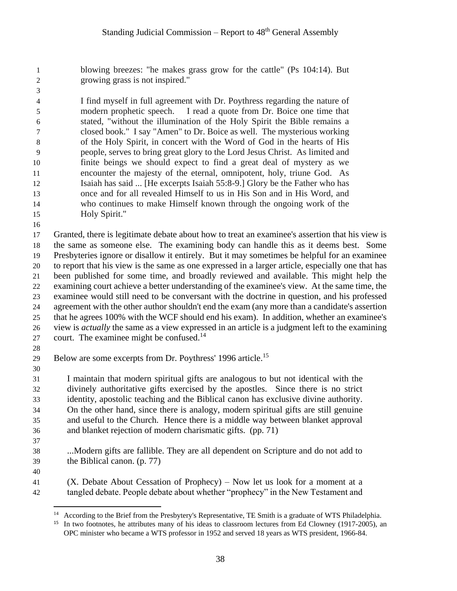blowing breezes: "he makes grass grow for the cattle" (Ps 104:14). But growing grass is not inspired."

 I find myself in full agreement with Dr. Poythress regarding the nature of modern prophetic speech. I read a quote from Dr. Boice one time that stated, "without the illumination of the Holy Spirit the Bible remains a closed book." I say "Amen" to Dr. Boice as well. The mysterious working of the Holy Spirit, in concert with the Word of God in the hearts of His people, serves to bring great glory to the Lord Jesus Christ. As limited and finite beings we should expect to find a great deal of mystery as we encounter the majesty of the eternal, omnipotent, holy, triune God. As Isaiah has said ... [He excerpts Isaiah 55:8-9.] Glory be the Father who has once and for all revealed Himself to us in His Son and in His Word, and who continues to make Himself known through the ongoing work of the Holy Spirit."

 Granted, there is legitimate debate about how to treat an examinee's assertion that his view is the same as someone else. The examining body can handle this as it deems best. Some Presbyteries ignore or disallow it entirely. But it may sometimes be helpful for an examinee to report that his view is the same as one expressed in a larger article, especially one that has been published for some time, and broadly reviewed and available. This might help the examining court achieve a better understanding of the examinee's view. At the same time, the examinee would still need to be conversant with the doctrine in question, and his professed agreement with the other author shouldn't end the exam (any more than a candidate's assertion that he agrees 100% with the WCF should end his exam). In addition, whether an examinee's view is *actually* the same as a view expressed in an article is a judgment left to the examining 27 court. The examinee might be confused.<sup>14</sup>

29 Below are some excerpts from Dr. Poythress' 1996 article.<sup>15</sup>

 I maintain that modern spiritual gifts are analogous to but not identical with the divinely authoritative gifts exercised by the apostles. Since there is no strict identity, apostolic teaching and the Biblical canon has exclusive divine authority. On the other hand, since there is analogy, modern spiritual gifts are still genuine and useful to the Church. Hence there is a middle way between blanket approval and blanket rejection of modern charismatic gifts. (pp. 71) 

 ...Modern gifts are fallible. They are all dependent on Scripture and do not add to the Biblical canon. (p. 77)

 (X. Debate About Cessation of Prophecy) – Now let us look for a moment at a tangled debate. People debate about whether "prophecy" in the New Testament and

 $\overline{a}$ <sup>14</sup> According to the Brief from the Presbytery's Representative, TE Smith is a graduate of WTS Philadelphia.

<sup>&</sup>lt;sup>15</sup> In two footnotes, he attributes many of his ideas to classroom lectures from Ed Clowney (1917-2005), an OPC minister who became a WTS professor in 1952 and served 18 years as WTS president, 1966-84.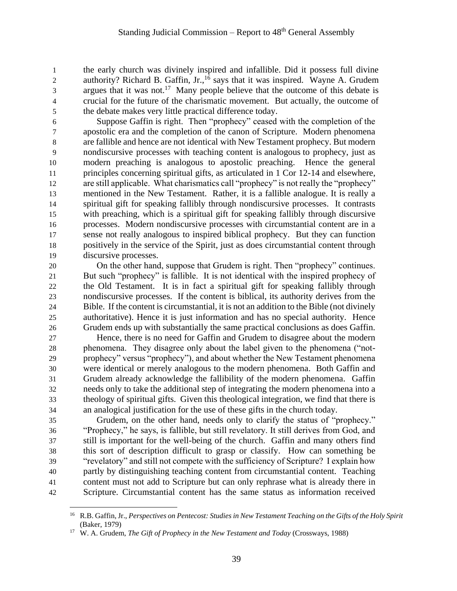the early church was divinely inspired and infallible. Did it possess full divine 2 authority? Richard B. Gaffin, Jr.,<sup>16</sup> says that it was inspired. Wayne A. Grudem argues that it was not.<sup>17</sup> Many people believe that the outcome of this debate is crucial for the future of the charismatic movement. But actually, the outcome of the debate makes very little practical difference today.

 Suppose Gaffin is right. Then "prophecy" ceased with the completion of the apostolic era and the completion of the canon of Scripture. Modern phenomena are fallible and hence are not identical with New Testament prophecy. But modern nondiscursive processes with teaching content is analogous to prophecy, just as modern preaching is analogous to apostolic preaching. Hence the general principles concerning spiritual gifts, as articulated in 1 Cor 12-14 and elsewhere, are still applicable. What charismatics call "prophecy" is not really the "prophecy" mentioned in the New Testament. Rather, it is a fallible analogue. It is really a spiritual gift for speaking fallibly through nondiscursive processes. It contrasts with preaching, which is a spiritual gift for speaking fallibly through discursive processes. Modern nondiscursive processes with circumstantial content are in a sense not really analogous to inspired biblical prophecy. But they can function positively in the service of the Spirit, just as does circumstantial content through discursive processes.

 On the other hand, suppose that Grudem is right. Then "prophecy" continues. But such "prophecy" is fallible. It is not identical with the inspired prophecy of the Old Testament. It is in fact a spiritual gift for speaking fallibly through nondiscursive processes. If the content is biblical, its authority derives from the Bible. If the content is circumstantial, it is not an addition to the Bible (not divinely authoritative). Hence it is just information and has no special authority. Hence Grudem ends up with substantially the same practical conclusions as does Gaffin.

 Hence, there is no need for Gaffin and Grudem to disagree about the modern phenomena. They disagree only about the label given to the phenomena ("not- prophecy" versus "prophecy"), and about whether the New Testament phenomena were identical or merely analogous to the modern phenomena. Both Gaffin and Grudem already acknowledge the fallibility of the modern phenomena. Gaffin needs only to take the additional step of integrating the modern phenomena into a theology of spiritual gifts. Given this theological integration, we find that there is an analogical justification for the use of these gifts in the church today.

 Grudem, on the other hand, needs only to clarify the status of "prophecy." "Prophecy," he says, is fallible, but still revelatory. It still derives from God, and still is important for the well-being of the church. Gaffin and many others find this sort of description difficult to grasp or classify. How can something be "revelatory" and still not compete with the sufficiency of Scripture? I explain how partly by distinguishing teaching content from circumstantial content. Teaching content must not add to Scripture but can only rephrase what is already there in Scripture. Circumstantial content has the same status as information received

 $\overline{a}$  R.B. Gaffin, Jr., *Perspectives on Pentecost: Studies in New Testament Teaching on the Gifts of the Holy Spirit* (Baker, 1979)

W. A. Grudem, *The Gift of Prophecy in the New Testament and Today* (Crossways, 1988)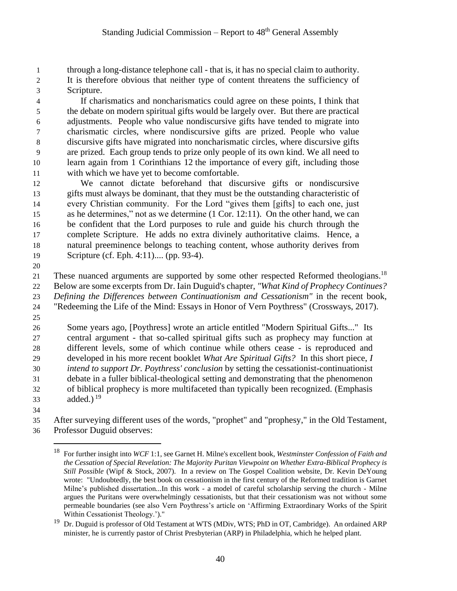through a long-distance telephone call - that is, it has no special claim to authority. It is therefore obvious that neither type of content threatens the sufficiency of Scripture.

 If charismatics and noncharismatics could agree on these points, I think that the debate on modern spiritual gifts would be largely over. But there are practical adjustments. People who value nondiscursive gifts have tended to migrate into charismatic circles, where nondiscursive gifts are prized. People who value discursive gifts have migrated into noncharismatic circles, where discursive gifts are prized. Each group tends to prize only people of its own kind. We all need to learn again from 1 Corinthians 12 the importance of every gift, including those with which we have yet to become comfortable.

 We cannot dictate beforehand that discursive gifts or nondiscursive gifts must always be dominant, that they must be the outstanding characteristic of every Christian community. For the Lord "gives them [gifts] to each one, just as he determines," not as we determine (1 Cor. 12:11). On the other hand, we can be confident that the Lord purposes to rule and guide his church through the complete Scripture. He adds no extra divinely authoritative claims. Hence, a natural preeminence belongs to teaching content, whose authority derives from Scripture (cf. Eph. 4:11).... (pp. 93-4).

21 These nuanced arguments are supported by some other respected Reformed theologians.<sup>18</sup> Below are some excerpts from Dr. Iain Duguid's chapter, *"What Kind of Prophecy Continues? Defining the Differences between Continuationism and Cessationism"* in the recent book, "Redeeming the Life of the Mind: Essays in Honor of Vern Poythress" (Crossways, 2017).

 Some years ago, [Poythress] wrote an article entitled "Modern Spiritual Gifts..." Its central argument - that so-called spiritual gifts such as prophecy may function at different levels, some of which continue while others cease - is reproduced and developed in his more recent booklet *What Are Spiritual Gifts?* In this short piece, *I intend to support Dr. Poythress' conclusion* by setting the cessationist-continuationist debate in a fuller biblical-theological setting and demonstrating that the phenomenon of biblical prophecy is more multifaceted than typically been recognized. (Emphasis 33 added.)

 $\overline{a}$ 

 After surveying different uses of the words, "prophet" and "prophesy," in the Old Testament, Professor Duguid observes:

 For further insight into *WCF* 1:1, see Garnet H. Milne's excellent book, *Westminster Confession of Faith and the Cessation of Special Revelation: The Majority Puritan Viewpoint on Whether Extra-Biblical Prophecy is Still Possible* (Wipf & Stock, 2007). In a review on The Gospel Coalition website, Dr. Kevin DeYoung wrote: "Undoubtedly, the best book on cessationism in the first century of the Reformed tradition is Garnet Milne's published dissertation*...*In this work - a model of careful scholarship serving the church - Milne argues the Puritans were overwhelmingly cessationists, but that their cessationism was not without some permeable boundaries (see also Vern Poythress's article on 'Affirming Extraordinary Works of the Spirit Within Cessationist Theology.')."

 Dr. Duguid is professor of Old Testament at WTS (MDiv, WTS; PhD in OT, Cambridge). An ordained ARP minister, he is currently pastor of Christ Presbyterian (ARP) in Philadelphia, which he helped plant.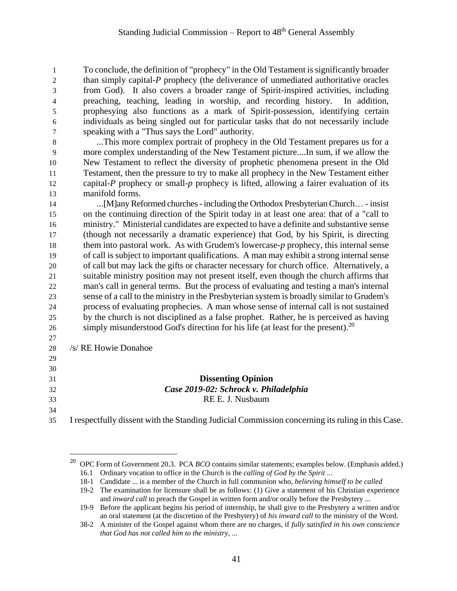To conclude, the definition of "prophecy" in the Old Testament is significantly broader 2 than simply capital-*P* prophecy (the deliverance of unmediated authoritative oracles from God). It also covers a broader range of Spirit-inspired activities, including preaching, teaching, leading in worship, and recording history. In addition, prophesying also functions as a mark of Spirit-possession, identifying certain individuals as being singled out for particular tasks that do not necessarily include speaking with a "Thus says the Lord" authority.

 ...This more complex portrait of prophecy in the Old Testament prepares us for a more complex understanding of the New Testament picture....In sum, if we allow the New Testament to reflect the diversity of prophetic phenomena present in the Old Testament, then the pressure to try to make all prophecy in the New Testament either capital-*P* prophecy or small-*p* prophecy is lifted, allowing a fairer evaluation of its manifold forms.

 ...[M]any Reformed churches -including the Orthodox Presbyterian Church… - insist on the continuing direction of the Spirit today in at least one area: that of a "call to ministry." Ministerial candidates are expected to have a definite and substantive sense (though not necessarily a dramatic experience) that God, by his Spirit, is directing them into pastoral work. As with Grudem's lowercase-*p* prophecy, this internal sense of call is subject to important qualifications. A man may exhibit a strong internal sense of call but may lack the gifts or character necessary for church office. Alternatively, a suitable ministry position may not present itself, even though the church affirms that man's call in general terms. But the process of evaluating and testing a man's internal sense of a call to the ministry in the Presbyterian system is broadly similar to Grudem's process of evaluating prophecies. A man whose sense of internal call is not sustained by the church is not disciplined as a false prophet. Rather, he is perceived as having 26 simply misunderstood God's direction for his life (at least for the present).<sup>20</sup>

/s/ RE Howie Donahoe

#### **Dissenting Opinion**  *Case 2019-02: Schrock v. Philadelphia* RE E. J. Nusbaum

 $\overline{a}$ 

 

I respectfully dissent with the Standing Judicial Commission concerning its ruling in this Case.

OPC Form of Government 20.3. PCA *BCO* contains similar statements; examples below. (Emphasis added.)

<sup>16.1</sup> Ordinary vocation to office in the Church is the *calling of God by the Spirit* ...

<sup>18-1</sup> Candidate ... is a member of the Church in full communion who, *believing himself to be called* 

<sup>19-2</sup> The examination for licensure shall be as follows: (1) Give a statement of his Christian experience and *inward call* to preach the Gospel in written form and/or orally before the Presbytery ...

<sup>19-9</sup> Before the applicant begins his period of internship, he shall give to the Presbytery a written and/or an oral statement (at the discretion of the Presbytery) of *his inward call* to the ministry of the Word.

<sup>38-2</sup> A minister of the Gospel against whom there are no charges, if *fully satisfied in his own conscience that God has not called him to the ministry*, ...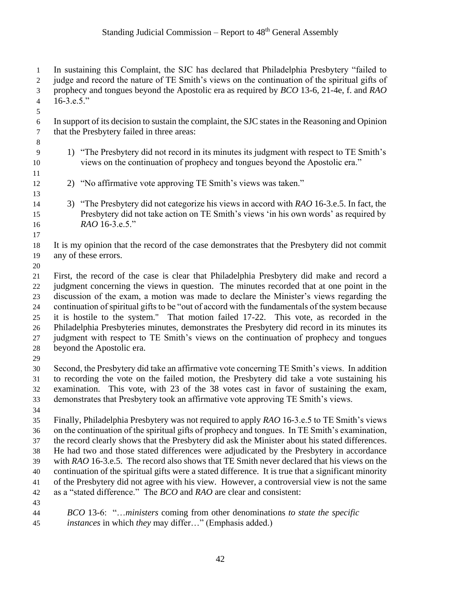| $\mathbf{1}$<br>$\overline{c}$<br>3<br>$\overline{4}$<br>5       | In sustaining this Complaint, the SJC has declared that Philadelphia Presbytery "failed to<br>judge and record the nature of TE Smith's views on the continuation of the spiritual gifts of<br>prophecy and tongues beyond the Apostolic era as required by <i>BCO</i> 13-6, 21-4e, f. and <i>RAO</i><br>$16-3.e.5."$                                                                                                                                                                                                                                                                                                                                                                                                                                                                    |  |  |  |  |
|------------------------------------------------------------------|------------------------------------------------------------------------------------------------------------------------------------------------------------------------------------------------------------------------------------------------------------------------------------------------------------------------------------------------------------------------------------------------------------------------------------------------------------------------------------------------------------------------------------------------------------------------------------------------------------------------------------------------------------------------------------------------------------------------------------------------------------------------------------------|--|--|--|--|
| $\sqrt{6}$<br>$\boldsymbol{7}$<br>8                              | In support of its decision to sustain the complaint, the SJC states in the Reasoning and Opinion<br>that the Presbytery failed in three areas:                                                                                                                                                                                                                                                                                                                                                                                                                                                                                                                                                                                                                                           |  |  |  |  |
| 9<br>10                                                          | 1) "The Presbytery did not record in its minutes its judgment with respect to TE Smith's<br>views on the continuation of prophecy and tongues beyond the Apostolic era."                                                                                                                                                                                                                                                                                                                                                                                                                                                                                                                                                                                                                 |  |  |  |  |
| 11<br>12<br>13                                                   | 2) "No affirmative vote approving TE Smith's views was taken."                                                                                                                                                                                                                                                                                                                                                                                                                                                                                                                                                                                                                                                                                                                           |  |  |  |  |
| 14<br>15<br>16<br>17                                             | 3) "The Presbytery did not categorize his views in accord with RAO 16-3.e.5. In fact, the<br>Presbytery did not take action on TE Smith's views 'in his own words' as required by<br>RAO 16-3.e.5."                                                                                                                                                                                                                                                                                                                                                                                                                                                                                                                                                                                      |  |  |  |  |
| 18<br>19                                                         | It is my opinion that the record of the case demonstrates that the Presbytery did not commit<br>any of these errors.                                                                                                                                                                                                                                                                                                                                                                                                                                                                                                                                                                                                                                                                     |  |  |  |  |
| $20\,$<br>21<br>22<br>23<br>24<br>25<br>26<br>27<br>$28\,$<br>29 | First, the record of the case is clear that Philadelphia Presbytery did make and record a<br>judgment concerning the views in question. The minutes recorded that at one point in the<br>discussion of the exam, a motion was made to declare the Minister's views regarding the<br>continuation of spiritual gifts to be "out of accord with the fundamentals of the system because<br>it is hostile to the system." That motion failed 17-22. This vote, as recorded in the<br>Philadelphia Presbyteries minutes, demonstrates the Presbytery did record in its minutes its<br>judgment with respect to TE Smith's views on the continuation of prophecy and tongues<br>beyond the Apostolic era.                                                                                      |  |  |  |  |
| 30<br>31<br>32<br>33<br>34                                       | Second, the Presbytery did take an affirmative vote concerning TE Smith's views. In addition<br>to recording the vote on the failed motion, the Presbytery did take a vote sustaining his<br>examination. This vote, with 23 of the 38 votes cast in favor of sustaining the exam,<br>demonstrates that Presbytery took an affirmative vote approving TE Smith's views.                                                                                                                                                                                                                                                                                                                                                                                                                  |  |  |  |  |
| 35<br>36<br>37<br>38<br>39<br>40<br>41<br>42<br>43               | Finally, Philadelphia Presbytery was not required to apply RAO 16-3.e.5 to TE Smith's views<br>on the continuation of the spiritual gifts of prophecy and tongues. In TE Smith's examination,<br>the record clearly shows that the Presbytery did ask the Minister about his stated differences.<br>He had two and those stated differences were adjudicated by the Presbytery in accordance<br>with RAO 16-3.e.5. The record also shows that TE Smith never declared that his views on the<br>continuation of the spiritual gifts were a stated difference. It is true that a significant minority<br>of the Presbytery did not agree with his view. However, a controversial view is not the same<br>as a "stated difference." The <i>BCO</i> and <i>RAO</i> are clear and consistent: |  |  |  |  |
| 44<br>$\Delta$                                                   | BCO 13-6: "ministers coming from other denominations to state the specific<br>$intangas in which the way differ \frac{1}{2} (Emphasic added)$                                                                                                                                                                                                                                                                                                                                                                                                                                                                                                                                                                                                                                            |  |  |  |  |

*instances* in which *they* may differ…" (Emphasis added.)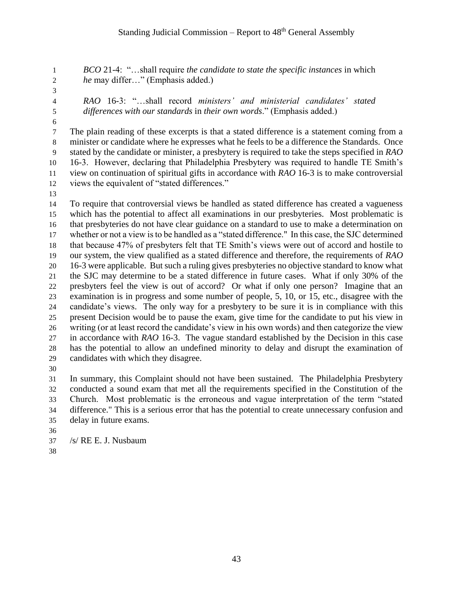*BCO* 21-4: "…shall require *the candidate to state the specific instances* in which *he* may differ…" (Emphasis added.)

- 
- 

 *RAO* 16-3: "…shall record *ministers' and ministerial candidates' stated differences with our standards* in *their own words*." (Emphasis added.)

 The plain reading of these excerpts is that a stated difference is a statement coming from a minister or candidate where he expresses what he feels to be a difference the Standards. Once stated by the candidate or minister, a presbytery is required to take the steps specified in *RAO* 16-3. However, declaring that Philadelphia Presbytery was required to handle TE Smith's view on continuation of spiritual gifts in accordance with *RAO* 16-3 is to make controversial views the equivalent of "stated differences."

 To require that controversial views be handled as stated difference has created a vagueness which has the potential to affect all examinations in our presbyteries. Most problematic is that presbyteries do not have clear guidance on a standard to use to make a determination on whether or not a view is to be handled as a "stated difference." In this case, the SJC determined that because 47% of presbyters felt that TE Smith's views were out of accord and hostile to our system, the view qualified as a stated difference and therefore, the requirements of *RAO* 16-3 were applicable. But such a ruling gives presbyteries no objective standard to know what the SJC may determine to be a stated difference in future cases. What if only 30% of the presbyters feel the view is out of accord? Or what if only one person? Imagine that an examination is in progress and some number of people, 5, 10, or 15, etc., disagree with the candidate's views. The only way for a presbytery to be sure it is in compliance with this present Decision would be to pause the exam, give time for the candidate to put his view in writing (or at least record the candidate's view in his own words) and then categorize the view in accordance with *RAO* 16-3. The vague standard established by the Decision in this case has the potential to allow an undefined minority to delay and disrupt the examination of candidates with which they disagree.

 In summary, this Complaint should not have been sustained. The Philadelphia Presbytery conducted a sound exam that met all the requirements specified in the Constitution of the Church. Most problematic is the erroneous and vague interpretation of the term "stated difference." This is a serious error that has the potential to create unnecessary confusion and delay in future exams. 

- /s/ RE E. J. Nusbaum
-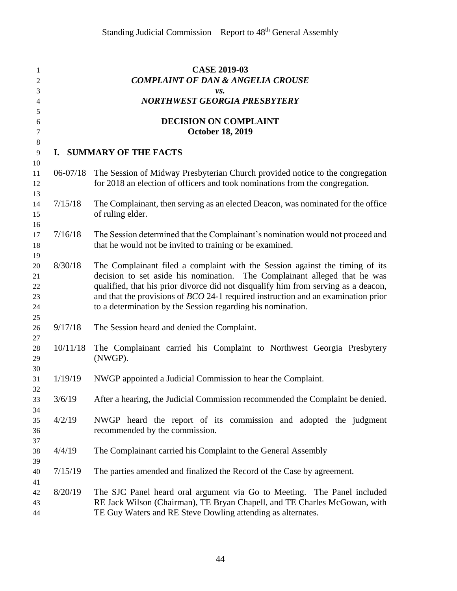| 1<br>2         |              | <b>CASE 2019-03</b><br><b>COMPLAINT OF DAN &amp; ANGELIA CROUSE</b>                                                                                           |
|----------------|--------------|---------------------------------------------------------------------------------------------------------------------------------------------------------------|
| 3              |              | vs.                                                                                                                                                           |
| 4              |              | <b>NORTHWEST GEORGIA PRESBYTERY</b>                                                                                                                           |
| 5              |              |                                                                                                                                                               |
| 6              |              | <b>DECISION ON COMPLAINT</b>                                                                                                                                  |
| 7              |              | <b>October 18, 2019</b>                                                                                                                                       |
| $\,8\,$        |              |                                                                                                                                                               |
| $\overline{9}$ |              | I. SUMMARY OF THE FACTS                                                                                                                                       |
| 10             |              |                                                                                                                                                               |
| 11<br>12       | $06 - 07/18$ | The Session of Midway Presbyterian Church provided notice to the congregation<br>for 2018 an election of officers and took nominations from the congregation. |
| 13<br>14       | 7/15/18      | The Complainant, then serving as an elected Deacon, was nominated for the office                                                                              |
| 15             |              | of ruling elder.                                                                                                                                              |
| 16             |              |                                                                                                                                                               |
| 17             | 7/16/18      | The Session determined that the Complainant's nomination would not proceed and                                                                                |
| 18             |              | that he would not be invited to training or be examined.                                                                                                      |
| 19             |              |                                                                                                                                                               |
| 20             | 8/30/18      | The Complainant filed a complaint with the Session against the timing of its                                                                                  |
| 21             |              | decision to set aside his nomination. The Complainant alleged that he was                                                                                     |
| 22             |              | qualified, that his prior divorce did not disqualify him from serving as a deacon,                                                                            |
| 23             |              | and that the provisions of $BCO$ 24-1 required instruction and an examination prior                                                                           |
| 24             |              | to a determination by the Session regarding his nomination.                                                                                                   |
| 25             |              |                                                                                                                                                               |
| 26             | 9/17/18      | The Session heard and denied the Complaint.                                                                                                                   |
| 27             |              |                                                                                                                                                               |
| 28             | 10/11/18     | The Complainant carried his Complaint to Northwest Georgia Presbytery                                                                                         |
| 29             |              | (NWGP).                                                                                                                                                       |
| 30             |              |                                                                                                                                                               |
| 31             | 1/19/19      | NWGP appointed a Judicial Commission to hear the Complaint.                                                                                                   |
| 32             | 3/6/19       |                                                                                                                                                               |
| 33             |              | After a hearing, the Judicial Commission recommended the Complaint be denied.                                                                                 |
| 34             | 4/2/19       |                                                                                                                                                               |
| 35             |              | NWGP heard the report of its commission and adopted the judgment                                                                                              |
| 36             |              | recommended by the commission.                                                                                                                                |
| 37             | 4/4/19       |                                                                                                                                                               |
| 38<br>39       |              | The Complainant carried his Complaint to the General Assembly                                                                                                 |
|                | 7/15/19      | The parties amended and finalized the Record of the Case by agreement.                                                                                        |
| 40             |              |                                                                                                                                                               |
| 41<br>42       | 8/20/19      | The SJC Panel heard oral argument via Go to Meeting. The Panel included                                                                                       |
| 43             |              | RE Jack Wilson (Chairman), TE Bryan Chapell, and TE Charles McGowan, with                                                                                     |
| 44             |              | TE Guy Waters and RE Steve Dowling attending as alternates.                                                                                                   |
|                |              |                                                                                                                                                               |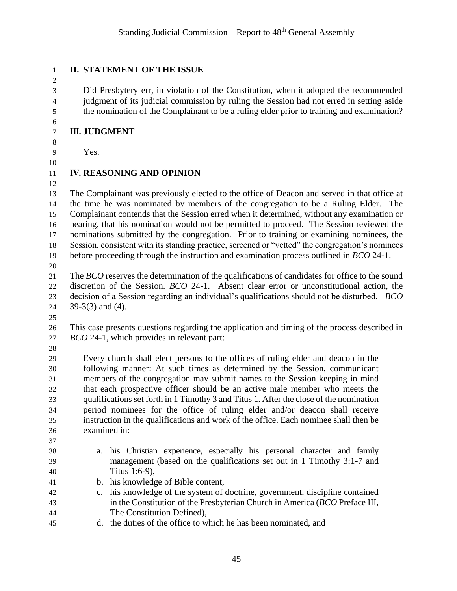## 

#### **II. STATEMENT OF THE ISSUE**

 Did Presbytery err, in violation of the Constitution, when it adopted the recommended judgment of its judicial commission by ruling the Session had not erred in setting aside the nomination of the Complainant to be a ruling elder prior to training and examination?

#### **III. JUDGMENT**

- Yes.
- 

## **IV. REASONING AND OPINION**

 The Complainant was previously elected to the office of Deacon and served in that office at the time he was nominated by members of the congregation to be a Ruling Elder. The Complainant contends that the Session erred when it determined, without any examination or hearing, that his nomination would not be permitted to proceed. The Session reviewed the nominations submitted by the congregation. Prior to training or examining nominees, the Session, consistent with its standing practice, screened or "vetted" the congregation's nominees before proceeding through the instruction and examination process outlined in *BCO* 24-1.

 The *BCO* reserves the determination of the qualifications of candidates for office to the sound discretion of the Session. *BCO* 24-1. Absent clear error or unconstitutional action, the decision of a Session regarding an individual's qualifications should not be disturbed. *BCO* 39-3(3) and (4).

 This case presents questions regarding the application and timing of the process described in *BCO* 24-1, which provides in relevant part:

 Every church shall elect persons to the offices of ruling elder and deacon in the following manner: At such times as determined by the Session, communicant members of the congregation may submit names to the Session keeping in mind that each prospective officer should be an active male member who meets the qualifications set forth in 1 Timothy 3 and Titus 1. After the close of the nomination period nominees for the office of ruling elder and/or deacon shall receive instruction in the qualifications and work of the office. Each nominee shall then be examined in: 

- a. his Christian experience, especially his personal character and family management (based on the qualifications set out in 1 Timothy 3:1-7 and Titus 1:6-9),
- b. his knowledge of Bible content,
- c. his knowledge of the system of doctrine, government, discipline contained in the Constitution of the Presbyterian Church in America (*BCO* Preface III, The Constitution Defined),
- d. the duties of the office to which he has been nominated, and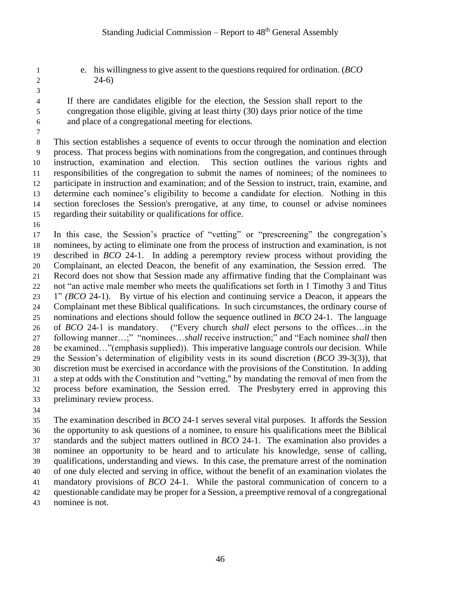e. his willingness to give assent to the questions required for ordination. (*BCO* 2  $24-6$ 

 If there are candidates eligible for the election, the Session shall report to the congregation those eligible, giving at least thirty (30) days prior notice of the time and place of a congregational meeting for elections.

 This section establishes a sequence of events to occur through the nomination and election process. That process begins with nominations from the congregation, and continues through instruction, examination and election. This section outlines the various rights and responsibilities of the congregation to submit the names of nominees; of the nominees to participate in instruction and examination; and of the Session to instruct, train, examine, and determine each nominee's eligibility to become a candidate for election. Nothing in this section forecloses the Session's prerogative, at any time, to counsel or advise nominees regarding their suitability or qualifications for office.

 In this case, the Session's practice of "vetting" or "prescreening" the congregation's nominees, by acting to eliminate one from the process of instruction and examination, is not described in *BCO* 24-1. In adding a peremptory review process without providing the Complainant, an elected Deacon, the benefit of any examination, the Session erred. The Record does not show that Session made any affirmative finding that the Complainant was not "an active male member who meets the qualifications set forth in 1 Timothy 3 and Titus 1" *(BCO* 24-1). By virtue of his election and continuing service a Deacon, it appears the Complainant met these Biblical qualifications. In such circumstances, the ordinary course of nominations and elections should follow the sequence outlined in *BCO* 24-1. The language of *BCO* 24-1 is mandatory. ("Every church *shall* elect persons to the offices…in the following manner…;" "nominees…*shall* receive instruction;" and "Each nominee *shall* then be examined…"(emphasis supplied)). This imperative language controls our decision. While the Session's determination of eligibility vests in its sound discretion (*BCO* 39-3(3)), that discretion must be exercised in accordance with the provisions of the Constitution. In adding a step at odds with the Constitution and "vetting," by mandating the removal of men from the process before examination, the Session erred. The Presbytery erred in approving this preliminary review process.

 The examination described in *BCO* 24-1 serves several vital purposes. It affords the Session the opportunity to ask questions of a nominee, to ensure his qualifications meet the Biblical standards and the subject matters outlined in *BCO* 24-1. The examination also provides a nominee an opportunity to be heard and to articulate his knowledge, sense of calling, qualifications, understanding and views. In this case, the premature arrest of the nomination of one duly elected and serving in office, without the benefit of an examination violates the mandatory provisions of *BCO* 24-1. While the pastoral communication of concern to a questionable candidate may be proper for a Session, a preemptive removal of a congregational

nominee is not.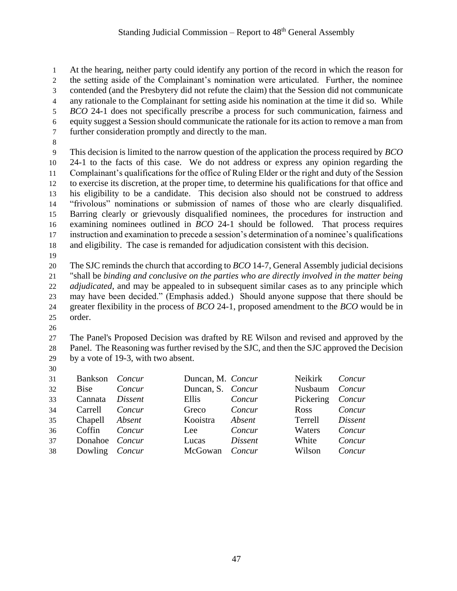At the hearing, neither party could identify any portion of the record in which the reason for the setting aside of the Complainant's nomination were articulated. Further, the nominee contended (and the Presbytery did not refute the claim) that the Session did not communicate any rationale to the Complainant for setting aside his nomination at the time it did so. While *BCO* 24-1 does not specifically prescribe a process for such communication, fairness and equity suggest a Session should communicate the rationale for its action to remove a man from further consideration promptly and directly to the man.

 This decision is limited to the narrow question of the application the process required by *BCO* 24-1 to the facts of this case. We do not address or express any opinion regarding the Complainant's qualifications for the office of Ruling Elder or the right and duty of the Session to exercise its discretion, at the proper time, to determine his qualifications for that office and his eligibility to be a candidate. This decision also should not be construed to address "frivolous" nominations or submission of names of those who are clearly disqualified. Barring clearly or grievously disqualified nominees, the procedures for instruction and examining nominees outlined in *BCO* 24-1 should be followed. That process requires instruction and examination to precede a session's determination of a nominee's qualifications and eligibility. The case is remanded for adjudication consistent with this decision.

 The SJC reminds the church that according to *BCO* 14-7, General Assembly judicial decisions "shall be *binding and conclusive on the parties who are directly involved in the matter being adjudicated*, and may be appealed to in subsequent similar cases as to any principle which may have been decided." (Emphasis added.) Should anyone suppose that there should be greater flexibility in the process of *BCO* 24-1, proposed amendment to the *BCO* would be in order.

 The Panel's Proposed Decision was drafted by RE Wilson and revised and approved by the Panel. The Reasoning was further revised by the SJC, and then the SJC approved the Decision by a vote of 19-3, with two absent.

| 31 | Bankson Concur        |         | Duncan, M. Concur |         | Neikirk          | Concur         |
|----|-----------------------|---------|-------------------|---------|------------------|----------------|
| 32 | Bise                  | Concur  | Duncan, S. Concur |         | Nusbaum Concur   |                |
| 33 | Cannata               | Dissent | Ellis             | Concur  | Pickering Concur |                |
| 34 | Carrell               | Concur  | Greco             | Concur  | Ross             | Concur         |
| 35 | Chapell <i>Absent</i> |         | Kooistra          | Absent  | Terrell          | <i>Dissent</i> |
| 36 | Coffin                | Concur  | Lee               | Concur  | Waters           | Concur         |
| 37 | Donahoe Concur        |         | Lucas             | Dissent | White            | Concur         |
| 38 | Dowling Concur        |         | McGowan Concur    |         | Wilson           | Concur         |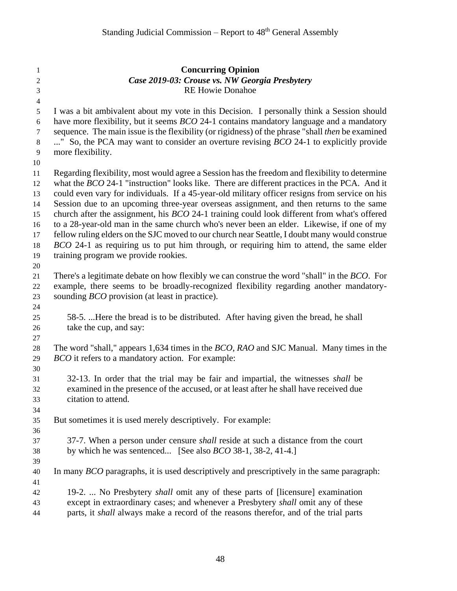| $\mathbf{1}$<br>$\boldsymbol{2}$ | <b>Concurring Opinion</b><br>Case 2019-03: Crouse vs. NW Georgia Presbytery                                        |
|----------------------------------|--------------------------------------------------------------------------------------------------------------------|
| 3                                | <b>RE Howie Donahoe</b>                                                                                            |
| $\overline{4}$                   |                                                                                                                    |
| 5                                | I was a bit ambivalent about my vote in this Decision. I personally think a Session should                         |
| 6                                | have more flexibility, but it seems <i>BCO</i> 24-1 contains mandatory language and a mandatory                    |
| $\boldsymbol{7}$                 | sequence. The main issue is the flexibility (or rigidness) of the phrase "shall then be examined                   |
| $\,8\,$<br>9                     | " So, the PCA may want to consider an overture revising <i>BCO</i> 24-1 to explicitly provide<br>more flexibility. |
| 10                               |                                                                                                                    |
| 11                               | Regarding flexibility, most would agree a Session has the freedom and flexibility to determine                     |
| 12                               | what the BCO 24-1 "instruction" looks like. There are different practices in the PCA. And it                       |
| 13                               | could even vary for individuals. If a 45-year-old military officer resigns from service on his                     |
| 14                               | Session due to an upcoming three-year overseas assignment, and then returns to the same                            |
| 15                               | church after the assignment, his BCO 24-1 training could look different from what's offered                        |
| 16                               | to a 28-year-old man in the same church who's never been an elder. Likewise, if one of my                          |
| 17                               | fellow ruling elders on the SJC moved to our church near Seattle, I doubt many would construe                      |
| 18                               | BCO 24-1 as requiring us to put him through, or requiring him to attend, the same elder                            |
| 19                               | training program we provide rookies.                                                                               |
| 20                               |                                                                                                                    |
| 21                               | There's a legitimate debate on how flexibly we can construe the word "shall" in the <i>BCO</i> . For               |
| 22                               | example, there seems to be broadly-recognized flexibility regarding another mandatory-                             |
| 23                               | sounding <i>BCO</i> provision (at least in practice).                                                              |
| 24<br>25                         | 58-5. Here the bread is to be distributed. After having given the bread, he shall                                  |
| 26                               | take the cup, and say:                                                                                             |
| 27                               |                                                                                                                    |
| $28\,$                           | The word "shall," appears 1,634 times in the <i>BCO</i> , <i>RAO</i> and SJC Manual. Many times in the             |
| 29                               | <i>BCO</i> it refers to a mandatory action. For example:                                                           |
| 30                               |                                                                                                                    |
| 31                               | 32-13. In order that the trial may be fair and impartial, the witnesses shall be                                   |
| 32                               | examined in the presence of the accused, or at least after he shall have received due                              |
| 33                               | citation to attend.                                                                                                |
| 34                               |                                                                                                                    |
| 35                               | But sometimes it is used merely descriptively. For example:                                                        |
| 36                               |                                                                                                                    |
| 37                               | 37-7. When a person under censure <i>shall</i> reside at such a distance from the court                            |
| 38<br>39                         | by which he was sentenced [See also $BCO$ 38-1, 38-2, 41-4.]                                                       |
| 40                               | In many <i>BCO</i> paragraphs, it is used descriptively and prescriptively in the same paragraph:                  |
| 41                               |                                                                                                                    |
| 42                               | 19-2.  No Presbytery <i>shall</i> omit any of these parts of [licensure] examination                               |
| 43                               | except in extraordinary cases; and whenever a Presbytery shall omit any of these                                   |
| 44                               | parts, it shall always make a record of the reasons therefor, and of the trial parts                               |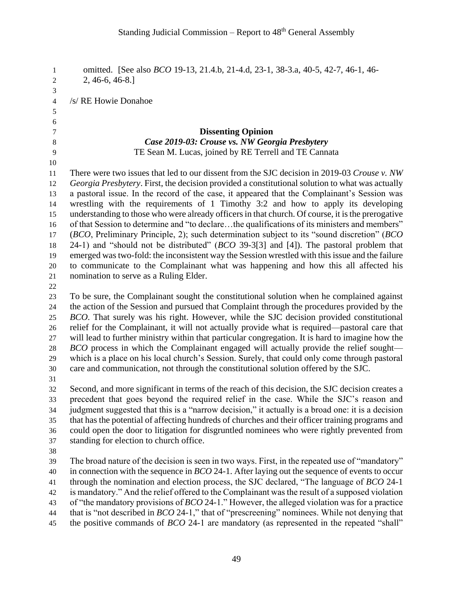omitted. [See also *BCO* 19-13, 21.4.b, 21-4.d, 23-1, 38-3.a, 40-5, 42-7, 46-1, 46- 2, 46-6, 46-8.] /s/ RE Howie Donahoe **Dissenting Opinion** *Case 2019-03: Crouse vs. NW Georgia Presbytery* TE Sean M. Lucas, joined by RE Terrell and TE Cannata There were two issues that led to our dissent from the SJC decision in 2019-03 *Crouse v. NW Georgia Presbytery*. First, the decision provided a constitutional solution to what was actually a pastoral issue. In the record of the case, it appeared that the Complainant's Session was wrestling with the requirements of 1 Timothy 3:2 and how to apply its developing understanding to those who were already officers in that church. Of course, it is the prerogative of that Session to determine and "to declare…the qualifications of its ministers and members" (*BCO*, Preliminary Principle, 2); such determination subject to its "sound discretion" (*BCO* 24-1) and "should not be distributed" (*BCO* 39-3[3] and [4]). The pastoral problem that emerged was two-fold: the inconsistent way the Session wrestled with this issue and the failure to communicate to the Complainant what was happening and how this all affected his nomination to serve as a Ruling Elder. To be sure, the Complainant sought the constitutional solution when he complained against the action of the Session and pursued that Complaint through the procedures provided by the *BCO*. That surely was his right. However, while the SJC decision provided constitutional relief for the Complainant, it will not actually provide what is required—pastoral care that will lead to further ministry within that particular congregation. It is hard to imagine how the *BCO* process in which the Complainant engaged will actually provide the relief sought— which is a place on his local church's Session. Surely, that could only come through pastoral care and communication, not through the constitutional solution offered by the SJC. Second, and more significant in terms of the reach of this decision, the SJC decision creates a precedent that goes beyond the required relief in the case. While the SJC's reason and judgment suggested that this is a "narrow decision," it actually is a broad one: it is a decision that has the potential of affecting hundreds of churches and their officer training programs and could open the door to litigation for disgruntled nominees who were rightly prevented from standing for election to church office. The broad nature of the decision is seen in two ways. First, in the repeated use of "mandatory" in connection with the sequence in *BCO* 24-1. After laying out the sequence of events to occur through the nomination and election process, the SJC declared, "The language of *BCO* 24-1 is mandatory." And the relief offered to the Complainant was the result of a supposed violation of "the mandatory provisions of *BCO* 24-1." However, the alleged violation was for a practice that is "not described in *BCO* 24-1," that of "prescreening" nominees. While not denying that the positive commands of *BCO* 24-1 are mandatory (as represented in the repeated "shall"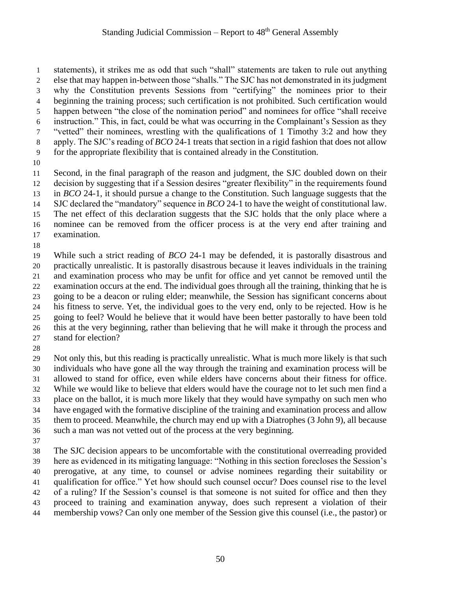statements), it strikes me as odd that such "shall" statements are taken to rule out anything else that may happen in-between those "shalls." The SJC has not demonstrated in its judgment why the Constitution prevents Sessions from "certifying" the nominees prior to their beginning the training process; such certification is not prohibited. Such certification would happen between "the close of the nomination period" and nominees for office "shall receive instruction." This, in fact, could be what was occurring in the Complainant's Session as they "vetted" their nominees, wrestling with the qualifications of 1 Timothy 3:2 and how they apply. The SJC's reading of *BCO* 24-1 treats that section in a rigid fashion that does not allow for the appropriate flexibility that is contained already in the Constitution.

 Second, in the final paragraph of the reason and judgment, the SJC doubled down on their decision by suggesting that if a Session desires "greater flexibility" in the requirements found in *BCO* 24-1, it should pursue a change to the Constitution. Such language suggests that the SJC declared the "mandatory" sequence in *BCO* 24-1 to have the weight of constitutional law. The net effect of this declaration suggests that the SJC holds that the only place where a nominee can be removed from the officer process is at the very end after training and

- examination.
- 

 While such a strict reading of *BCO* 24-1 may be defended, it is pastorally disastrous and practically unrealistic. It is pastorally disastrous because it leaves individuals in the training and examination process who may be unfit for office and yet cannot be removed until the examination occurs at the end. The individual goes through all the training, thinking that he is going to be a deacon or ruling elder; meanwhile, the Session has significant concerns about his fitness to serve. Yet, the individual goes to the very end, only to be rejected. How is he going to feel? Would he believe that it would have been better pastorally to have been told this at the very beginning, rather than believing that he will make it through the process and stand for election?

 Not only this, but this reading is practically unrealistic. What is much more likely is that such individuals who have gone all the way through the training and examination process will be allowed to stand for office, even while elders have concerns about their fitness for office. While we would like to believe that elders would have the courage not to let such men find a place on the ballot, it is much more likely that they would have sympathy on such men who have engaged with the formative discipline of the training and examination process and allow them to proceed. Meanwhile, the church may end up with a Diatrophes (3 John 9), all because such a man was not vetted out of the process at the very beginning. 

 The SJC decision appears to be uncomfortable with the constitutional overreading provided here as evidenced in its mitigating language: "Nothing in this section forecloses the Session's prerogative, at any time, to counsel or advise nominees regarding their suitability or qualification for office." Yet how should such counsel occur? Does counsel rise to the level of a ruling? If the Session's counsel is that someone is not suited for office and then they proceed to training and examination anyway, does such represent a violation of their membership vows? Can only one member of the Session give this counsel (i.e., the pastor) or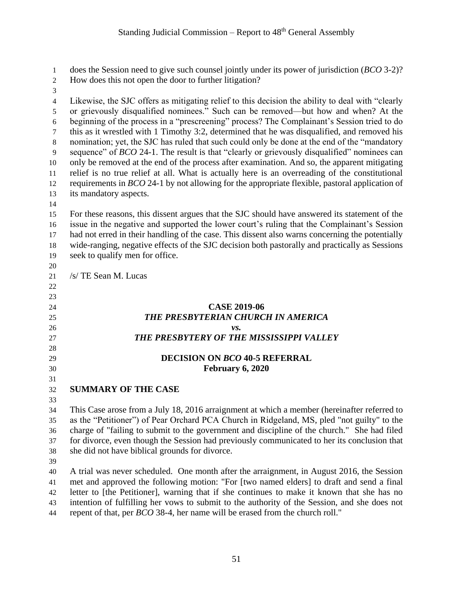does the Session need to give such counsel jointly under its power of jurisdiction (*BCO* 3-2)?

- How does this not open the door to further litigation?
- 

 Likewise, the SJC offers as mitigating relief to this decision the ability to deal with "clearly or grievously disqualified nominees." Such can be removed—but how and when? At the beginning of the process in a "prescreening" process? The Complainant's Session tried to do this as it wrestled with 1 Timothy 3:2, determined that he was disqualified, and removed his nomination; yet, the SJC has ruled that such could only be done at the end of the "mandatory sequence" of *BCO* 24-1. The result is that "clearly or grievously disqualified" nominees can only be removed at the end of the process after examination. And so, the apparent mitigating relief is no true relief at all. What is actually here is an overreading of the constitutional requirements in *BCO* 24-1 by not allowing for the appropriate flexible, pastoral application of its mandatory aspects.

 For these reasons, this dissent argues that the SJC should have answered its statement of the issue in the negative and supported the lower court's ruling that the Complainant's Session had not erred in their handling of the case. This dissent also warns concerning the potentially wide-ranging, negative effects of the SJC decision both pastorally and practically as Sessions seek to qualify men for office.

 

/s/ TE Sean M. Lucas

## **CASE 2019-06** *THE PRESBYTERIAN CHURCH IN AMERICA*

#### *vs. THE PRESBYTERY OF THE MISSISSIPPI VALLEY*

#### **DECISION ON** *BCO* **40-5 REFERRAL February 6, 2020**

- 
- 

## **SUMMARY OF THE CASE**

 This Case arose from a July 18, 2016 arraignment at which a member (hereinafter referred to as the "Petitioner") of Pear Orchard PCA Church in Ridgeland, MS, pled "not guilty" to the charge of "failing to submit to the government and discipline of the church." She had filed for divorce, even though the Session had previously communicated to her its conclusion that she did not have biblical grounds for divorce.

 A trial was never scheduled. One month after the arraignment, in August 2016, the Session met and approved the following motion: "For [two named elders] to draft and send a final letter to [the Petitioner], warning that if she continues to make it known that she has no intention of fulfilling her vows to submit to the authority of the Session, and she does not repent of that, per *BCO* 38-4, her name will be erased from the church roll."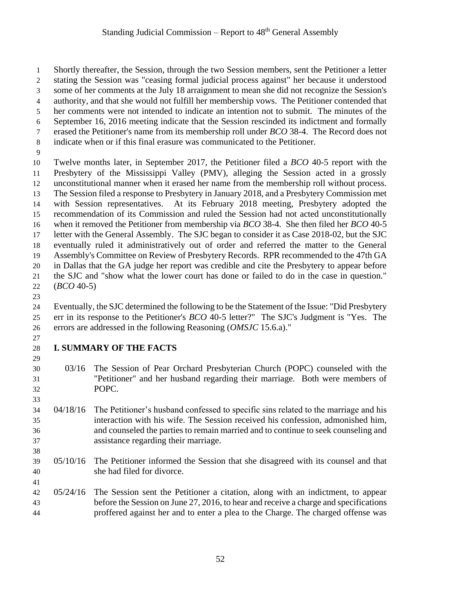Shortly thereafter, the Session, through the two Session members, sent the Petitioner a letter stating the Session was "ceasing formal judicial process against" her because it understood some of her comments at the July 18 arraignment to mean she did not recognize the Session's authority, and that she would not fulfill her membership vows. The Petitioner contended that her comments were not intended to indicate an intention not to submit. The minutes of the September 16, 2016 meeting indicate that the Session rescinded its indictment and formally erased the Petitioner's name from its membership roll under *BCO* 38-4. The Record does not indicate when or if this final erasure was communicated to the Petitioner. Twelve months later, in September 2017, the Petitioner filed a *BCO* 40-5 report with the Presbytery of the Mississippi Valley (PMV), alleging the Session acted in a grossly unconstitutional manner when it erased her name from the membership roll without process. The Session filed a response to Presbytery in January 2018, and a Presbytery Commission met with Session representatives. At its February 2018 meeting, Presbytery adopted the recommendation of its Commission and ruled the Session had not acted unconstitutionally when it removed the Petitioner from membership via *BCO* 38-4. She then filed her *BCO* 40-5 letter with the General Assembly. The SJC began to consider it as Case 2018-02, but the SJC eventually ruled it administratively out of order and referred the matter to the General Assembly's Committee on Review of Presbytery Records. RPR recommended to the 47th GA in Dallas that the GA judge her report was credible and cite the Presbytery to appear before the SJC and "show what the lower court has done or failed to do in the case in question." (*BCO* 40-5)

 Eventually, the SJC determined the following to be the Statement of the Issue: "Did Presbytery err in its response to the Petitioner's *BCO* 40-5 letter?" The SJC's Judgment is "Yes. The errors are addressed in the following Reasoning (*OMSJC* 15.6.a)."

 

#### **I. SUMMARY OF THE FACTS**

- 03/16 The Session of Pear Orchard Presbyterian Church (POPC) counseled with the "Petitioner" and her husband regarding their marriage. Both were members of POPC.
- 04/18/16 The Petitioner's husband confessed to specific sins related to the marriage and his interaction with his wife. The Session received his confession, admonished him, and counseled the parties to remain married and to continue to seek counseling and assistance regarding their marriage.
- 05/10/16 The Petitioner informed the Session that she disagreed with its counsel and that she had filed for divorce.
- 05/24/16 The Session sent the Petitioner a citation, along with an indictment, to appear before the Session on June 27, 2016, to hear and receive a charge and specifications proffered against her and to enter a plea to the Charge. The charged offense was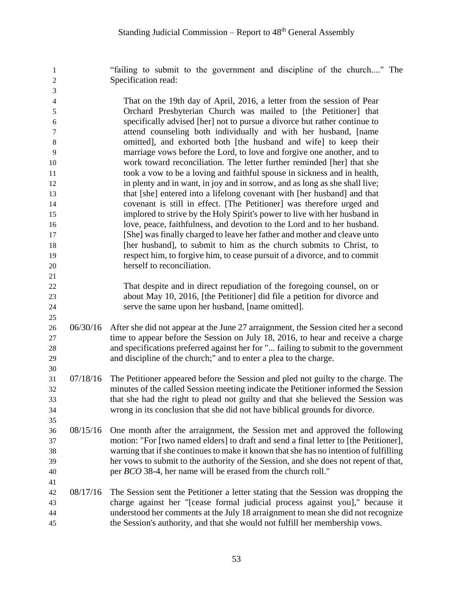"failing to submit to the government and discipline of the church...." The Specification read:

| 3              |                                                                                                                                             |
|----------------|---------------------------------------------------------------------------------------------------------------------------------------------|
| $\overline{4}$ | That on the 19th day of April, 2016, a letter from the session of Pear                                                                      |
| 5              | Orchard Presbyterian Church was mailed to [the Petitioner] that                                                                             |
| 6              | specifically advised [her] not to pursue a divorce but rather continue to                                                                   |
| 7              | attend counseling both individually and with her husband, [name                                                                             |
| 8              | omitted], and exhorted both [the husband and wife] to keep their                                                                            |
| 9              | marriage vows before the Lord, to love and forgive one another, and to                                                                      |
| 10             | work toward reconciliation. The letter further reminded [her] that she                                                                      |
| 11             | took a vow to be a loving and faithful spouse in sickness and in health,                                                                    |
| 12             | in plenty and in want, in joy and in sorrow, and as long as she shall live;                                                                 |
| 13             | that [she] entered into a lifelong covenant with [her husband] and that                                                                     |
| 14             | covenant is still in effect. [The Petitioner] was therefore urged and                                                                       |
| 15             | implored to strive by the Holy Spirit's power to live with her husband in                                                                   |
| 16             | love, peace, faithfulness, and devotion to the Lord and to her husband.                                                                     |
| 17             | [She] was finally charged to leave her father and mother and cleave unto                                                                    |
| 18             | [her husband], to submit to him as the church submits to Christ, to                                                                         |
| 19             | respect him, to forgive him, to cease pursuit of a divorce, and to commit                                                                   |
| 20             | herself to reconciliation.                                                                                                                  |
| 21             |                                                                                                                                             |
|                | $\ddot{ }$ , and the set of $\ddot{ }$ , and the set of $\ddot{ }$ , and $\ddot{ }$ , and the set of $\ddot{ }$ , and the set of $\ddot{ }$ |

 That despite and in direct repudiation of the foregoing counsel, on or about May 10, 2016, [the Petitioner] did file a petition for divorce and serve the same upon her husband, [name omitted].

- 06/30/16 After she did not appear at the June 27 arraignment, the Session cited her a second time to appear before the Session on July 18, 2016, to hear and receive a charge and specifications preferred against her for "... failing to submit to the government and discipline of the church;" and to enter a plea to the charge.
- 07/18/16 The Petitioner appeared before the Session and pled not guilty to the charge. The minutes of the called Session meeting indicate the Petitioner informed the Session that she had the right to plead not guilty and that she believed the Session was wrong in its conclusion that she did not have biblical grounds for divorce.
- 08/15/16 One month after the arraignment, the Session met and approved the following motion: "For [two named elders] to draft and send a final letter to [the Petitioner], warning that if she continues to make it known that she has no intention of fulfilling her vows to submit to the authority of the Session, and she does not repent of that, per *BCO* 38-4, her name will be erased from the church roll."
- 08/17/16 The Session sent the Petitioner a letter stating that the Session was dropping the charge against her "[cease formal judicial process against you]," because it understood her comments at the July 18 arraignment to mean she did not recognize the Session's authority, and that she would not fulfill her membership vows.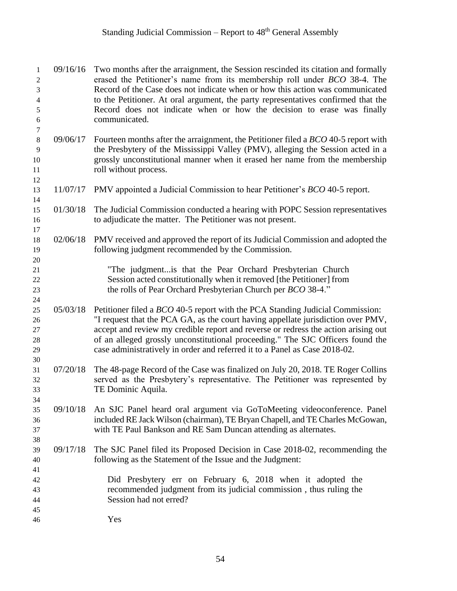# Standing Judicial Commission – Report to  $48<sup>th</sup>$  General Assembly

| 1<br>2<br>3<br>4<br>$\sqrt{5}$       | 09/16/16 | Two months after the arraignment, the Session rescinded its citation and formally<br>erased the Petitioner's name from its membership roll under <i>BCO</i> 38-4. The<br>Record of the Case does not indicate when or how this action was communicated<br>to the Petitioner. At oral argument, the party representatives confirmed that the<br>Record does not indicate when or how the decision to erase was finally          |
|--------------------------------------|----------|--------------------------------------------------------------------------------------------------------------------------------------------------------------------------------------------------------------------------------------------------------------------------------------------------------------------------------------------------------------------------------------------------------------------------------|
| $\sqrt{6}$<br>$\boldsymbol{7}$       |          | communicated.                                                                                                                                                                                                                                                                                                                                                                                                                  |
| $\,8\,$                              | 09/06/17 | Fourteen months after the arraignment, the Petitioner filed a BCO 40-5 report with                                                                                                                                                                                                                                                                                                                                             |
| 9<br>10                              |          | the Presbytery of the Mississippi Valley (PMV), alleging the Session acted in a<br>grossly unconstitutional manner when it erased her name from the membership                                                                                                                                                                                                                                                                 |
| 11                                   |          | roll without process.                                                                                                                                                                                                                                                                                                                                                                                                          |
| 12                                   |          |                                                                                                                                                                                                                                                                                                                                                                                                                                |
| 13<br>14                             | 11/07/17 | PMV appointed a Judicial Commission to hear Petitioner's BCO 40-5 report.                                                                                                                                                                                                                                                                                                                                                      |
| 15<br>16                             | 01/30/18 | The Judicial Commission conducted a hearing with POPC Session representatives<br>to adjudicate the matter. The Petitioner was not present.                                                                                                                                                                                                                                                                                     |
| 17<br>18<br>19                       | 02/06/18 | PMV received and approved the report of its Judicial Commission and adopted the<br>following judgment recommended by the Commission.                                                                                                                                                                                                                                                                                           |
| 20<br>21<br>22<br>23<br>24           |          | "The judgment is that the Pear Orchard Presbyterian Church<br>Session acted constitutionally when it removed [the Petitioner] from<br>the rolls of Pear Orchard Presbyterian Church per BCO 38-4."                                                                                                                                                                                                                             |
| 25<br>26<br>$27\,$<br>28<br>29<br>30 | 05/03/18 | Petitioner filed a <i>BCO</i> 40-5 report with the PCA Standing Judicial Commission:<br>"I request that the PCA GA, as the court having appellate jurisdiction over PMV,<br>accept and review my credible report and reverse or redress the action arising out<br>of an alleged grossly unconstitutional proceeding." The SJC Officers found the<br>case administratively in order and referred it to a Panel as Case 2018-02. |
| 31<br>32<br>33<br>34                 | 07/20/18 | The 48-page Record of the Case was finalized on July 20, 2018. TE Roger Collins<br>served as the Presbytery's representative. The Petitioner was represented by<br>TE Dominic Aquila.                                                                                                                                                                                                                                          |
| 35<br>36<br>37<br>38                 | 09/10/18 | An SJC Panel heard oral argument via GoToMeeting videoconference. Panel<br>included RE Jack Wilson (chairman), TE Bryan Chapell, and TE Charles McGowan,<br>with TE Paul Bankson and RE Sam Duncan attending as alternates.                                                                                                                                                                                                    |
| 39<br>40<br>41                       | 09/17/18 | The SJC Panel filed its Proposed Decision in Case 2018-02, recommending the<br>following as the Statement of the Issue and the Judgment:                                                                                                                                                                                                                                                                                       |
| 42<br>43<br>44                       |          | Did Presbytery err on February 6, 2018 when it adopted the<br>recommended judgment from its judicial commission, thus ruling the<br>Session had not erred?                                                                                                                                                                                                                                                                     |
| 45                                   |          |                                                                                                                                                                                                                                                                                                                                                                                                                                |
| 46                                   |          | Yes                                                                                                                                                                                                                                                                                                                                                                                                                            |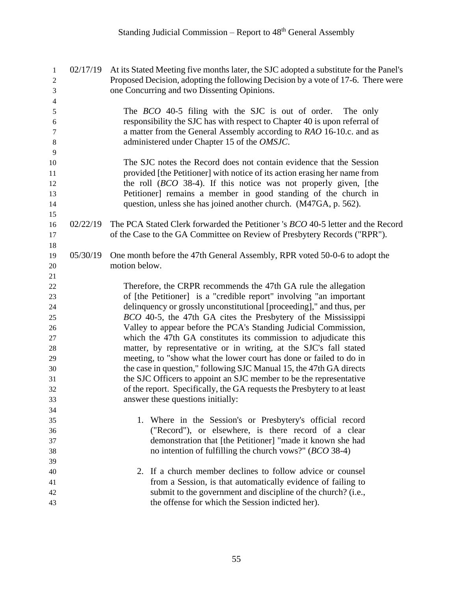| $\mathbf{1}$                     | 02/17/19 | At its Stated Meeting five months later, the SJC adopted a substitute for the Panel's  |
|----------------------------------|----------|----------------------------------------------------------------------------------------|
| $\boldsymbol{2}$                 |          | Proposed Decision, adopting the following Decision by a vote of 17-6. There were       |
| $\mathfrak{Z}$<br>$\overline{4}$ |          | one Concurring and two Dissenting Opinions.                                            |
| $\sqrt{5}$                       |          | The <i>BCO</i> 40-5 filing with the SJC is out of order.<br>The only                   |
| 6                                |          | responsibility the SJC has with respect to Chapter 40 is upon referral of              |
| 7                                |          | a matter from the General Assembly according to RAO 16-10.c. and as                    |
| $\,8\,$                          |          | administered under Chapter 15 of the OMSJC.                                            |
| 9                                |          |                                                                                        |
| 10                               |          | The SJC notes the Record does not contain evidence that the Session                    |
| 11                               |          | provided [the Petitioner] with notice of its action erasing her name from              |
| 12                               |          | the roll $(BCO 38-4)$ . If this notice was not properly given, [the                    |
| 13                               |          | Petitioner] remains a member in good standing of the church in                         |
| 14                               |          | question, unless she has joined another church. (M47GA, p. 562).                       |
| 15                               |          |                                                                                        |
| 16                               | 02/22/19 | The PCA Stated Clerk forwarded the Petitioner 's <i>BCO</i> 40-5 letter and the Record |
| 17                               |          | of the Case to the GA Committee on Review of Presbytery Records ("RPR").               |
| 18                               |          |                                                                                        |
| 19                               | 05/30/19 | One month before the 47th General Assembly, RPR voted 50-0-6 to adopt the              |
| $20\,$                           |          | motion below.                                                                          |
| 21                               |          |                                                                                        |
| 22                               |          | Therefore, the CRPR recommends the 47th GA rule the allegation                         |
| 23                               |          | of [the Petitioner] is a "credible report" involving "an important                     |
| 24                               |          | delinquency or grossly unconstitutional [proceeding]," and thus, per                   |
| 25                               |          | BCO 40-5, the 47th GA cites the Presbytery of the Mississippi                          |
| $26\,$                           |          | Valley to appear before the PCA's Standing Judicial Commission,                        |
| 27                               |          | which the 47th GA constitutes its commission to adjudicate this                        |
| $28\,$                           |          | matter, by representative or in writing, at the SJC's fall stated                      |
| 29                               |          | meeting, to "show what the lower court has done or failed to do in                     |
| 30                               |          | the case in question," following SJC Manual 15, the 47th GA directs                    |
| 31                               |          | the SJC Officers to appoint an SJC member to be the representative                     |
| 32                               |          | of the report. Specifically, the GA requests the Presbytery to at least                |
| 33                               |          | answer these questions initially:                                                      |
| 34                               |          |                                                                                        |
| 35                               |          | 1. Where in the Session's or Presbytery's official record                              |
| 36                               |          | ("Record"), or elsewhere, is there record of a clear                                   |
| 37                               |          | demonstration that [the Petitioner] "made it known she had                             |
| 38                               |          | no intention of fulfilling the church vows?" $(BCO 38-4)$                              |
| 39<br>40                         |          | 2. If a church member declines to follow advice or counsel                             |
| 41                               |          | from a Session, is that automatically evidence of failing to                           |
| 42                               |          | submit to the government and discipline of the church? (i.e.,                          |
| 43                               |          | the offense for which the Session indicted her).                                       |
|                                  |          |                                                                                        |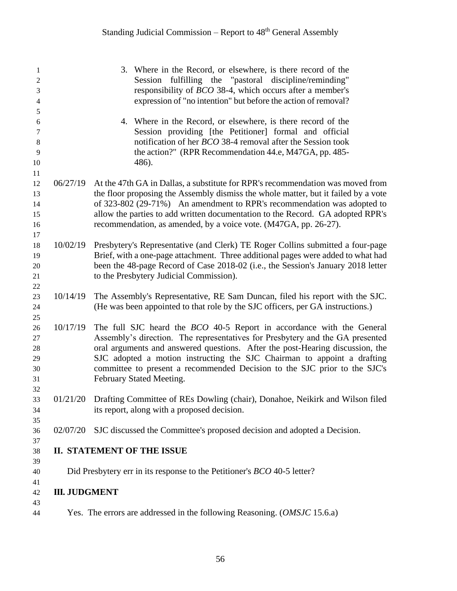| 1              |                                                                  | 3. Where in the Record, or elsewhere, is there record of the                                                                                                  |  |  |  |
|----------------|------------------------------------------------------------------|---------------------------------------------------------------------------------------------------------------------------------------------------------------|--|--|--|
| $\mathfrak{2}$ |                                                                  | Session fulfilling the "pastoral discipline/reminding"                                                                                                        |  |  |  |
| 3              | responsibility of <i>BCO</i> 38-4, which occurs after a member's |                                                                                                                                                               |  |  |  |
| 4              |                                                                  | expression of "no intention" but before the action of removal?                                                                                                |  |  |  |
| 5              |                                                                  |                                                                                                                                                               |  |  |  |
| 6              |                                                                  | 4. Where in the Record, or elsewhere, is there record of the                                                                                                  |  |  |  |
| 7              |                                                                  | Session providing [the Petitioner] formal and official                                                                                                        |  |  |  |
| $\,8\,$        |                                                                  | notification of her <i>BCO</i> 38-4 removal after the Session took                                                                                            |  |  |  |
| 9              |                                                                  | the action?" (RPR Recommendation 44.e, M47GA, pp. 485-                                                                                                        |  |  |  |
| 10             |                                                                  | 486).                                                                                                                                                         |  |  |  |
| 11<br>12       | 06/27/19                                                         | At the 47th GA in Dallas, a substitute for RPR's recommendation was moved from                                                                                |  |  |  |
| 13             |                                                                  | the floor proposing the Assembly dismiss the whole matter, but it failed by a vote                                                                            |  |  |  |
| 14             |                                                                  | of 323-802 (29-71%) An amendment to RPR's recommendation was adopted to                                                                                       |  |  |  |
| 15             |                                                                  | allow the parties to add written documentation to the Record. GA adopted RPR's                                                                                |  |  |  |
| 16             |                                                                  | recommendation, as amended, by a voice vote. (M47GA, pp. 26-27).                                                                                              |  |  |  |
| 17             |                                                                  |                                                                                                                                                               |  |  |  |
| 18             | 10/02/19                                                         | Presbytery's Representative (and Clerk) TE Roger Collins submitted a four-page                                                                                |  |  |  |
| 19             |                                                                  | Brief, with a one-page attachment. Three additional pages were added to what had                                                                              |  |  |  |
| 20             |                                                                  | been the 48-page Record of Case 2018-02 (i.e., the Session's January 2018 letter                                                                              |  |  |  |
| 21             |                                                                  | to the Presbytery Judicial Commission).                                                                                                                       |  |  |  |
| 22             |                                                                  |                                                                                                                                                               |  |  |  |
| 23             | 10/14/19                                                         | The Assembly's Representative, RE Sam Duncan, filed his report with the SJC.                                                                                  |  |  |  |
| 24             |                                                                  | (He was been appointed to that role by the SJC officers, per GA instructions.)                                                                                |  |  |  |
| 25             |                                                                  |                                                                                                                                                               |  |  |  |
| 26<br>27       | 10/17/19                                                         | The full SJC heard the <i>BCO</i> 40-5 Report in accordance with the General<br>Assembly's direction. The representatives for Presbytery and the GA presented |  |  |  |
| $28\,$         |                                                                  | oral arguments and answered questions. After the post-Hearing discussion, the                                                                                 |  |  |  |
| 29             |                                                                  | SJC adopted a motion instructing the SJC Chairman to appoint a drafting                                                                                       |  |  |  |
| 30             |                                                                  | committee to present a recommended Decision to the SJC prior to the SJC's                                                                                     |  |  |  |
| 31             |                                                                  | February Stated Meeting.                                                                                                                                      |  |  |  |
| 32             |                                                                  |                                                                                                                                                               |  |  |  |
| 33             |                                                                  | 01/21/20 Drafting Committee of REs Dowling (chair), Donahoe, Neikirk and Wilson filed                                                                         |  |  |  |
| 34             |                                                                  | its report, along with a proposed decision.                                                                                                                   |  |  |  |
| 35             |                                                                  |                                                                                                                                                               |  |  |  |
| 36             | 02/07/20                                                         | SJC discussed the Committee's proposed decision and adopted a Decision.                                                                                       |  |  |  |
| 37             |                                                                  |                                                                                                                                                               |  |  |  |
| 38<br>39       |                                                                  | <b>II. STATEMENT OF THE ISSUE</b>                                                                                                                             |  |  |  |
| 40             |                                                                  | Did Presbytery err in its response to the Petitioner's <i>BCO</i> 40-5 letter?                                                                                |  |  |  |
| 41             |                                                                  |                                                                                                                                                               |  |  |  |
| 42<br>43       | <b>III. JUDGMENT</b>                                             |                                                                                                                                                               |  |  |  |
| 44             |                                                                  | Yes. The errors are addressed in the following Reasoning. ( <i>OMSJC</i> 15.6.a)                                                                              |  |  |  |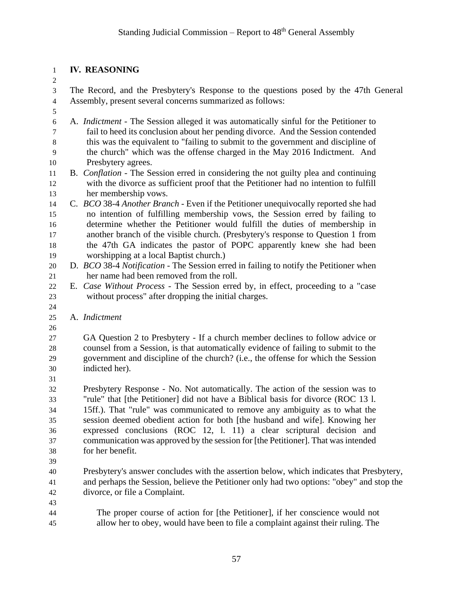#### **IV. REASONING**

 The Record, and the Presbytery's Response to the questions posed by the 47th General Assembly, present several concerns summarized as follows:

- A. *Indictment* The Session alleged it was automatically sinful for the Petitioner to fail to heed its conclusion about her pending divorce. And the Session contended this was the equivalent to "failing to submit to the government and discipline of the church" which was the offense charged in the May 2016 Indictment. And Presbytery agrees.
- B. *Conflation* The Session erred in considering the not guilty plea and continuing with the divorce as sufficient proof that the Petitioner had no intention to fulfill her membership vows.
- C. *BCO* 38-4 *Another Branch* Even if the Petitioner unequivocally reported she had no intention of fulfilling membership vows, the Session erred by failing to determine whether the Petitioner would fulfill the duties of membership in another branch of the visible church. (Presbytery's response to Question 1 from the 47th GA indicates the pastor of POPC apparently knew she had been worshipping at a local Baptist church.)
- D. *BCO* 38-4 *Notification* The Session erred in failing to notify the Petitioner when her name had been removed from the roll.
- E. *Case Without Process* The Session erred by, in effect, proceeding to a "case without process" after dropping the initial charges.
- A. *Indictment*
- 

 GA Question 2 to Presbytery - If a church member declines to follow advice or counsel from a Session, is that automatically evidence of failing to submit to the government and discipline of the church? (i.e., the offense for which the Session indicted her).

 Presbytery Response - No. Not automatically. The action of the session was to "rule" that [the Petitioner] did not have a Biblical basis for divorce (ROC 13 l. 15ff.). That "rule" was communicated to remove any ambiguity as to what the session deemed obedient action for both [the husband and wife]. Knowing her expressed conclusions (ROC 12, l. 11) a clear scriptural decision and communication was approved by the session for [the Petitioner]. That was intended for her benefit.

 Presbytery's answer concludes with the assertion below, which indicates that Presbytery, and perhaps the Session, believe the Petitioner only had two options: "obey" and stop the divorce, or file a Complaint.

- 
- The proper course of action for [the Petitioner], if her conscience would not allow her to obey, would have been to file a complaint against their ruling. The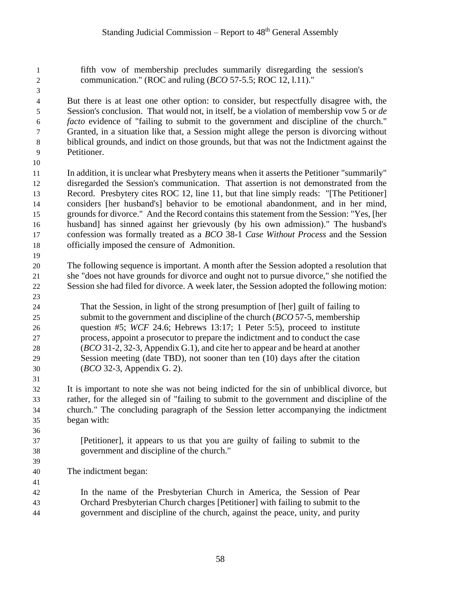fifth vow of membership precludes summarily disregarding the session's communication." (ROC and ruling (*BCO* 57-5.5; ROC 12, l.11)."

 But there is at least one other option: to consider, but respectfully disagree with, the Session's conclusion. That would not, in itself, be a violation of membership vow 5 or *de facto* evidence of "failing to submit to the government and discipline of the church." Granted, in a situation like that, a Session might allege the person is divorcing without biblical grounds, and indict on those grounds, but that was not the Indictment against the Petitioner.

 In addition, it is unclear what Presbytery means when it asserts the Petitioner "summarily" disregarded the Session's communication. That assertion is not demonstrated from the Record. Presbytery cites ROC 12, line 11, but that line simply reads: "[The Petitioner] considers [her husband's] behavior to be emotional abandonment, and in her mind, grounds for divorce." And the Record contains this statement from the Session: "Yes, [her husband] has sinned against her grievously (by his own admission)." The husband's confession was formally treated as a *BCO* 38-1 *Case Without Process* and the Session officially imposed the censure of Admonition.

- The following sequence is important. A month after the Session adopted a resolution that she "does not have grounds for divorce and ought not to pursue divorce," she notified the Session she had filed for divorce. A week later, the Session adopted the following motion:
- 

 That the Session, in light of the strong presumption of [her] guilt of failing to submit to the government and discipline of the church (*BCO* 57-5, membership question #5; *WCF* 24.6; Hebrews 13:17; 1 Peter 5:5), proceed to institute process, appoint a prosecutor to prepare the indictment and to conduct the case (*BCO* 31-2, 32-3, Appendix G.1), and cite her to appear and be heard at another Session meeting (date TBD), not sooner than ten (10) days after the citation (*BCO* 32-3, Appendix G. 2).

 It is important to note she was not being indicted for the sin of unbiblical divorce, but rather, for the alleged sin of "failing to submit to the government and discipline of the church." The concluding paragraph of the Session letter accompanying the indictment began with:

- [Petitioner], it appears to us that you are guilty of failing to submit to the government and discipline of the church."
- 

The indictment began:

 In the name of the Presbyterian Church in America, the Session of Pear Orchard Presbyterian Church charges [Petitioner] with failing to submit to the government and discipline of the church, against the peace, unity, and purity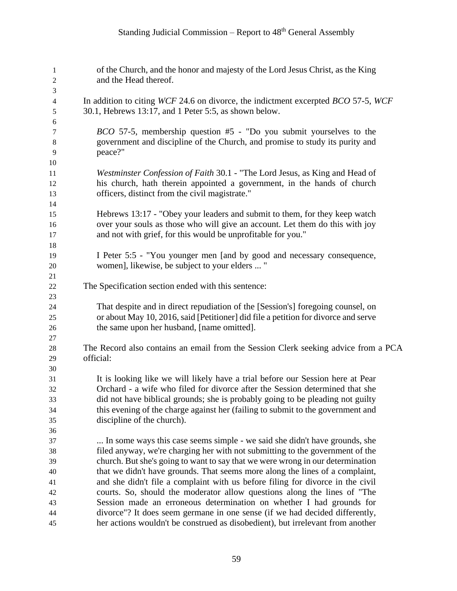# Standing Judicial Commission – Report to  $48<sup>th</sup>$  General Assembly

| $\mathbf{1}$<br>$\overline{c}$ | of the Church, and the honor and majesty of the Lord Jesus Christ, as the King<br>and the Head thereof.                                    |
|--------------------------------|--------------------------------------------------------------------------------------------------------------------------------------------|
| 3                              |                                                                                                                                            |
| $\overline{\mathcal{L}}$<br>5  | In addition to citing WCF 24.6 on divorce, the indictment excerpted BCO 57-5, WCF<br>30.1, Hebrews 13:17, and 1 Peter 5:5, as shown below. |
| 6                              | <i>BCO</i> 57-5, membership question #5 - "Do you submit yourselves to the                                                                 |
| 7<br>$\,8\,$                   | government and discipline of the Church, and promise to study its purity and                                                               |
| 9                              | peace?"                                                                                                                                    |
| 10                             |                                                                                                                                            |
| 11                             | Westminster Confession of Faith 30.1 - "The Lord Jesus, as King and Head of                                                                |
| 12                             | his church, hath therein appointed a government, in the hands of church                                                                    |
| 13                             | officers, distinct from the civil magistrate."                                                                                             |
| 14                             |                                                                                                                                            |
| 15                             | Hebrews 13:17 - "Obey your leaders and submit to them, for they keep watch                                                                 |
| 16                             | over your souls as those who will give an account. Let them do this with joy                                                               |
| 17                             | and not with grief, for this would be unprofitable for you."                                                                               |
| 18                             |                                                                                                                                            |
| 19                             | I Peter 5:5 - "You younger men [and by good and necessary consequence,                                                                     |
| 20                             | women], likewise, be subject to your elders  "                                                                                             |
| 21                             |                                                                                                                                            |
| $22\,$                         | The Specification section ended with this sentence:                                                                                        |
| 23                             |                                                                                                                                            |
| 24                             | That despite and in direct repudiation of the [Session's] foregoing counsel, on                                                            |
| 25                             | or about May 10, 2016, said [Petitioner] did file a petition for divorce and serve                                                         |
| 26                             | the same upon her husband, [name omitted].                                                                                                 |
| 27                             |                                                                                                                                            |
| 28                             | The Record also contains an email from the Session Clerk seeking advice from a PCA                                                         |
| 29                             | official:                                                                                                                                  |
| 30<br>31                       | It is looking like we will likely have a trial before our Session here at Pear                                                             |
| 32                             | Orchard - a wife who filed for divorce after the Session determined that she                                                               |
| 33                             | did not have biblical grounds; she is probably going to be pleading not guilty                                                             |
| 34                             | this evening of the charge against her (failing to submit to the government and                                                            |
| 35                             | discipline of the church).                                                                                                                 |
| 36                             |                                                                                                                                            |
| 37                             | In some ways this case seems simple - we said she didn't have grounds, she                                                                 |
| 38                             | filed anyway, we're charging her with not submitting to the government of the                                                              |
| 39                             | church. But she's going to want to say that we were wrong in our determination                                                             |
| 40                             | that we didn't have grounds. That seems more along the lines of a complaint,                                                               |
| 41                             | and she didn't file a complaint with us before filing for divorce in the civil                                                             |
| 42                             | courts. So, should the moderator allow questions along the lines of "The                                                                   |
| 43                             | Session made an erroneous determination on whether I had grounds for                                                                       |
| 44                             | divorce"? It does seem germane in one sense (if we had decided differently,                                                                |
| 45                             | her actions wouldn't be construed as disobedient), but irrelevant from another                                                             |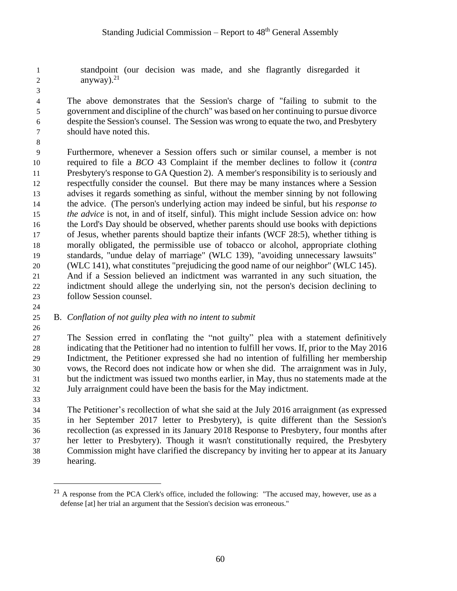standpoint (our decision was made, and she flagrantly disregarded it 2 anyway). $2<sup>1</sup>$ 

 The above demonstrates that the Session's charge of "failing to submit to the government and discipline of the church" was based on her continuing to pursue divorce despite the Session's counsel. The Session was wrong to equate the two, and Presbytery should have noted this.

 Furthermore, whenever a Session offers such or similar counsel, a member is not required to file a *BCO* 43 Complaint if the member declines to follow it (*contra* Presbytery's response to GA Question 2). A member's responsibility is to seriously and respectfully consider the counsel. But there may be many instances where a Session advises it regards something as sinful, without the member sinning by not following the advice. (The person's underlying action may indeed be sinful, but his *response to the advice* is not, in and of itself, sinful). This might include Session advice on: how the Lord's Day should be observed, whether parents should use books with depictions of Jesus, whether parents should baptize their infants (WCF 28:5), whether tithing is morally obligated, the permissible use of tobacco or alcohol, appropriate clothing standards, "undue delay of marriage" (WLC 139), "avoiding unnecessary lawsuits" (WLC 141), what constitutes "prejudicing the good name of our neighbor" (WLC 145). And if a Session believed an indictment was warranted in any such situation, the indictment should allege the underlying sin, not the person's decision declining to follow Session counsel. 

#### B. *Conflation of not guilty plea with no intent to submit*

 The Session erred in conflating the "not guilty" plea with a statement definitively indicating that the Petitioner had no intention to fulfill her vows. If, prior to the May 2016 Indictment, the Petitioner expressed she had no intention of fulfilling her membership vows, the Record does not indicate how or when she did. The arraignment was in July, but the indictment was issued two months earlier, in May, thus no statements made at the July arraignment could have been the basis for the May indictment.

 $\overline{a}$ 

 The Petitioner's recollection of what she said at the July 2016 arraignment (as expressed in her September 2017 letter to Presbytery), is quite different than the Session's recollection (as expressed in its January 2018 Response to Presbytery, four months after her letter to Presbytery). Though it wasn't constitutionally required, the Presbytery Commission might have clarified the discrepancy by inviting her to appear at its January hearing.

<sup>&</sup>lt;sup>21</sup> A response from the PCA Clerk's office, included the following: "The accused may, however, use as a defense [at] her trial an argument that the Session's decision was erroneous."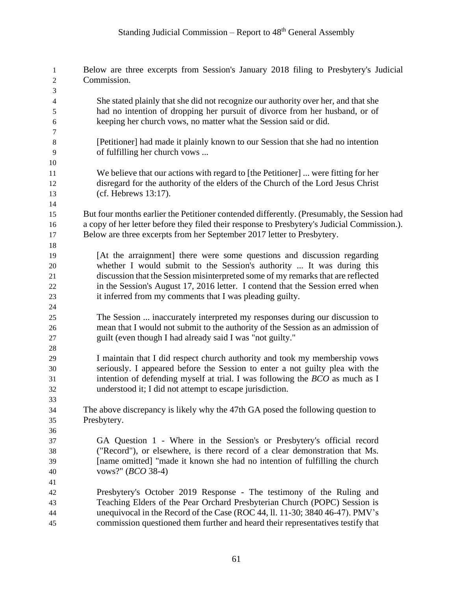# Standing Judicial Commission – Report to  $48<sup>th</sup>$  General Assembly

| 1<br>2                   | Below are three excerpts from Session's January 2018 filing to Presbytery's Judicial<br>Commission. |
|--------------------------|-----------------------------------------------------------------------------------------------------|
| 3                        |                                                                                                     |
| $\overline{\mathcal{L}}$ | She stated plainly that she did not recognize our authority over her, and that she                  |
| 5                        | had no intention of dropping her pursuit of divorce from her husband, or of                         |
| 6                        | keeping her church vows, no matter what the Session said or did.                                    |
| 7                        |                                                                                                     |
| 8                        | [Petitioner] had made it plainly known to our Session that she had no intention                     |
| 9                        | of fulfilling her church vows                                                                       |
| 10                       |                                                                                                     |
| 11                       | We believe that our actions with regard to [the Petitioner]  were fitting for her                   |
| 12                       | disregard for the authority of the elders of the Church of the Lord Jesus Christ                    |
| 13                       | (cf. Hebrews 13:17).                                                                                |
| 14                       |                                                                                                     |
| 15                       | But four months earlier the Petitioner contended differently. (Presumably, the Session had          |
| 16                       | a copy of her letter before they filed their response to Presbytery's Judicial Commission.).        |
| 17                       | Below are three excerpts from her September 2017 letter to Presbytery.                              |
| 18                       |                                                                                                     |
| 19                       | [At the arraignment] there were some questions and discussion regarding                             |
| 20                       | whether I would submit to the Session's authority  It was during this                               |
| 21                       | discussion that the Session misinterpreted some of my remarks that are reflected                    |
| 22                       | in the Session's August 17, 2016 letter. I contend that the Session erred when                      |
| 23                       | it inferred from my comments that I was pleading guilty.                                            |
| 24                       |                                                                                                     |
| 25                       | The Session  inaccurately interpreted my responses during our discussion to                         |
| 26                       | mean that I would not submit to the authority of the Session as an admission of                     |
| 27                       | guilt (even though I had already said I was "not guilty."                                           |
| 28                       |                                                                                                     |
| 29                       | I maintain that I did respect church authority and took my membership vows                          |
| 30                       | seriously. I appeared before the Session to enter a not guilty plea with the                        |
| 31                       | intention of defending myself at trial. I was following the <i>BCO</i> as much as I                 |
| 32                       | understood it; I did not attempt to escape jurisdiction.                                            |
| 33                       |                                                                                                     |
| 34                       | The above discrepancy is likely why the 47th GA posed the following question to                     |
| 35                       | Presbytery.                                                                                         |
| 36                       |                                                                                                     |
| 37                       | GA Question 1 - Where in the Session's or Presbytery's official record                              |
| 38                       | ("Record"), or elsewhere, is there record of a clear demonstration that Ms.                         |
| 39                       | [name omitted] "made it known she had no intention of fulfilling the church                         |
| 40                       | vows?" ( <i>BCO</i> 38-4)                                                                           |
| 41                       |                                                                                                     |
| 42                       | Presbytery's October 2019 Response - The testimony of the Ruling and                                |
| 43                       | Teaching Elders of the Pear Orchard Presbyterian Church (POPC) Session is                           |
| 44                       | unequivocal in the Record of the Case (ROC 44, ll. 11-30; 3840 46-47). PMV's                        |
| 45                       | commission questioned them further and heard their representatives testify that                     |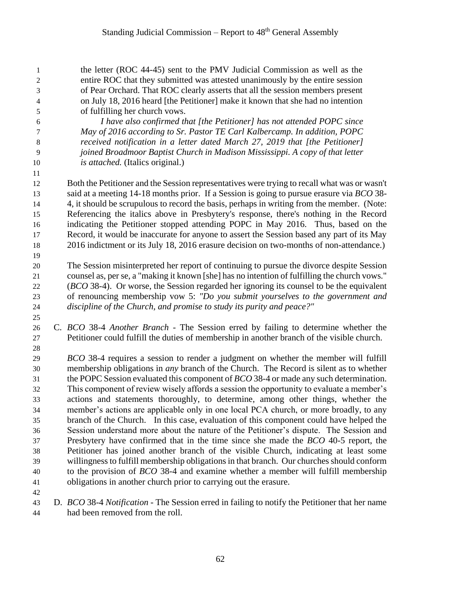the letter (ROC 44-45) sent to the PMV Judicial Commission as well as the entire ROC that they submitted was attested unanimously by the entire session of Pear Orchard. That ROC clearly asserts that all the session members present on July 18, 2016 heard [the Petitioner] make it known that she had no intention of fulfilling her church vows.

 *I have also confirmed that [the Petitioner] has not attended POPC since May of 2016 according to Sr. Pastor TE Carl Kalbercamp. In addition, POPC received notification in a letter dated March 27, 2019 that [the Petitioner] joined Broadmoor Baptist Church in Madison Mississippi. A copy of that letter is attached.* (Italics original.)

 Both the Petitioner and the Session representatives were trying to recall what was or wasn't said at a meeting 14-18 months prior. If a Session is going to pursue erasure via *BCO* 38- 4, it should be scrupulous to record the basis, perhaps in writing from the member. (Note: Referencing the italics above in Presbytery's response, there's nothing in the Record indicating the Petitioner stopped attending POPC in May 2016. Thus, based on the Record, it would be inaccurate for anyone to assert the Session based any part of its May 2016 indictment or its July 18, 2016 erasure decision on two-months of non-attendance.)

 The Session misinterpreted her report of continuing to pursue the divorce despite Session counsel as, per se, a "making it known [she] has no intention of fulfilling the church vows." (*BCO* 38-4). Or worse, the Session regarded her ignoring its counsel to be the equivalent of renouncing membership vow 5: *"Do you submit yourselves to the government and discipline of the Church, and promise to study its purity and peace?"*

 C. *BCO* 38-4 *Another Branch* - The Session erred by failing to determine whether the Petitioner could fulfill the duties of membership in another branch of the visible church.

 *BCO* 38-4 requires a session to render a judgment on whether the member will fulfill membership obligations in *any* branch of the Church. The Record is silent as to whether the POPC Session evaluated this component of *BCO* 38-4 or made any such determination. This component of review wisely affords a session the opportunity to evaluate a member's actions and statements thoroughly, to determine, among other things, whether the member's actions are applicable only in one local PCA church, or more broadly, to any branch of the Church. In this case, evaluation of this component could have helped the Session understand more about the nature of the Petitioner's dispute. The Session and Presbytery have confirmed that in the time since she made the *BCO* 40-5 report, the Petitioner has joined another branch of the visible Church, indicating at least some willingness to fulfill membership obligations in that branch. Our churches should conform to the provision of *BCO* 38-4 and examine whether a member will fulfill membership obligations in another church prior to carrying out the erasure.

 D. *BCO* 38-4 *Notification* - The Session erred in failing to notify the Petitioner that her name had been removed from the roll.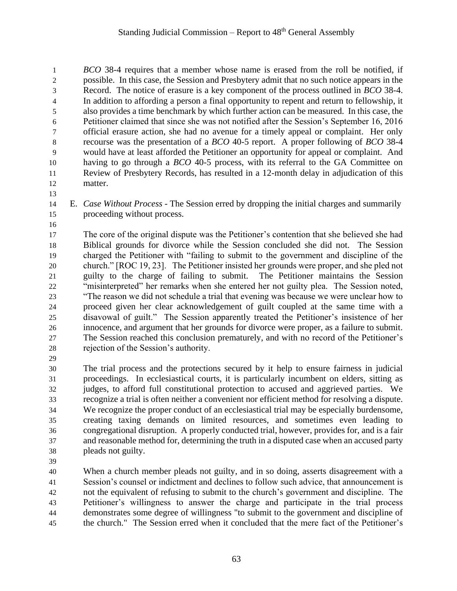*BCO* 38-4 requires that a member whose name is erased from the roll be notified, if possible. In this case, the Session and Presbytery admit that no such notice appears in the Record. The notice of erasure is a key component of the process outlined in *BCO* 38-4. In addition to affording a person a final opportunity to repent and return to fellowship, it also provides a time benchmark by which further action can be measured. In this case, the Petitioner claimed that since she was not notified after the Session's September 16, 2016 official erasure action, she had no avenue for a timely appeal or complaint. Her only recourse was the presentation of a *BCO* 40-5 report. A proper following of *BCO* 38-4 would have at least afforded the Petitioner an opportunity for appeal or complaint. And having to go through a *BCO* 40-5 process, with its referral to the GA Committee on Review of Presbytery Records, has resulted in a 12-month delay in adjudication of this matter.

- E. *Case Without Process* The Session erred by dropping the initial charges and summarily proceeding without process.
- 

 The core of the original dispute was the Petitioner's contention that she believed she had Biblical grounds for divorce while the Session concluded she did not. The Session charged the Petitioner with "failing to submit to the government and discipline of the church." [ROC 19, 23]. The Petitioner insisted her grounds were proper, and she pled not guilty to the charge of failing to submit. The Petitioner maintains the Session "misinterpreted" her remarks when she entered her not guilty plea. The Session noted, "The reason we did not schedule a trial that evening was because we were unclear how to proceed given her clear acknowledgement of guilt coupled at the same time with a disavowal of guilt." The Session apparently treated the Petitioner's insistence of her innocence, and argument that her grounds for divorce were proper, as a failure to submit. The Session reached this conclusion prematurely, and with no record of the Petitioner's rejection of the Session's authority.

 The trial process and the protections secured by it help to ensure fairness in judicial proceedings. In ecclesiastical courts, it is particularly incumbent on elders, sitting as judges, to afford full constitutional protection to accused and aggrieved parties. We recognize a trial is often neither a convenient nor efficient method for resolving a dispute. We recognize the proper conduct of an ecclesiastical trial may be especially burdensome, creating taxing demands on limited resources, and sometimes even leading to congregational disruption. A properly conducted trial, however, provides for, and is a fair and reasonable method for, determining the truth in a disputed case when an accused party pleads not guilty.

 When a church member pleads not guilty, and in so doing, asserts disagreement with a Session's counsel or indictment and declines to follow such advice, that announcement is not the equivalent of refusing to submit to the church's government and discipline. The Petitioner's willingness to answer the charge and participate in the trial process demonstrates some degree of willingness "to submit to the government and discipline of the church." The Session erred when it concluded that the mere fact of the Petitioner's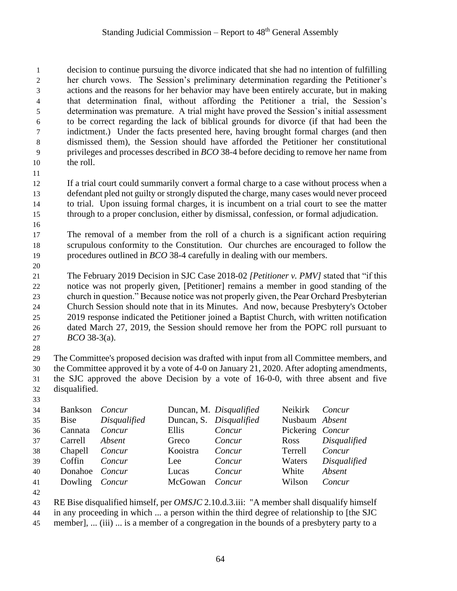decision to continue pursuing the divorce indicated that she had no intention of fulfilling her church vows. The Session's preliminary determination regarding the Petitioner's actions and the reasons for her behavior may have been entirely accurate, but in making that determination final, without affording the Petitioner a trial, the Session's determination was premature. A trial might have proved the Session's initial assessment to be correct regarding the lack of biblical grounds for divorce (if that had been the indictment.) Under the facts presented here, having brought formal charges (and then dismissed them), the Session should have afforded the Petitioner her constitutional privileges and processes described in *BCO* 38-4 before deciding to remove her name from the roll.

 If a trial court could summarily convert a formal charge to a case without process when a defendant pled not guilty or strongly disputed the charge, many cases would never proceed to trial. Upon issuing formal charges, it is incumbent on a trial court to see the matter through to a proper conclusion, either by dismissal, confession, or formal adjudication.

 The removal of a member from the roll of a church is a significant action requiring scrupulous conformity to the Constitution. Our churches are encouraged to follow the procedures outlined in *BCO* 38-4 carefully in dealing with our members.

 The February 2019 Decision in SJC Case 2018-02 *[Petitioner v. PMV]* stated that "if this notice was not properly given, [Petitioner] remains a member in good standing of the church in question." Because notice was not properly given, the Pear Orchard Presbyterian Church Session should note that in its Minutes. And now, because Presbytery's October 2019 response indicated the Petitioner joined a Baptist Church, with written notification dated March 27, 2019, the Session should remove her from the POPC roll pursuant to *BCO* 38-3(a).

 The Committee's proposed decision was drafted with input from all Committee members, and the Committee approved it by a vote of 4-0 on January 21, 2020. After adopting amendments, the SJC approved the above Decision by a vote of 16-0-0, with three absent and five disqualified.

 Bankson *Concur* Duncan, M. *Disqualified* Neikirk *Concur* Bise *Disqualified* Duncan, S. *Disqualified* Nusbaum *Absent* Cannata *Concur* Ellis *Concur* Pickering *Concur* Carrell *Absent* Greco *Concur* Ross *Disqualified* Chapell *Concur* Kooistra *Concur* Terrell *Concur* Coffin *Concur* Lee *Concur* Waters *Disqualified* Donahoe *Concur* Lucas *Concur* White *Absent* Dowling *Concur* McGowan *Concur* Wilson *Concur* 

 RE Bise disqualified himself, per *OMSJC* 2.10.d.3.iii: "A member shall disqualify himself in any proceeding in which ... a person within the third degree of relationship to [the SJC

member], ... (iii) ... is a member of a congregation in the bounds of a presbytery party to a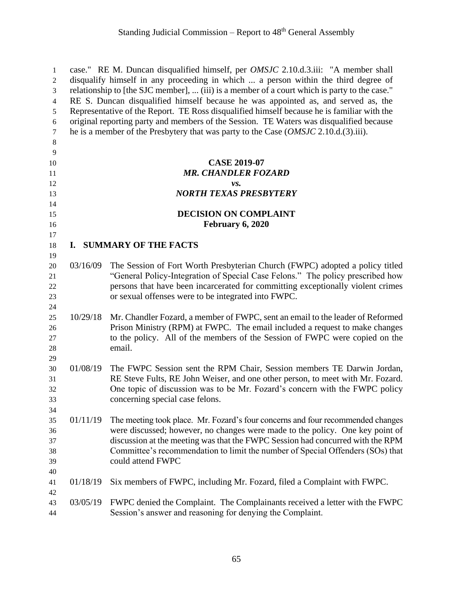case." RE M. Duncan disqualified himself, per *OMSJC* 2.10.d.3.iii: "A member shall disqualify himself in any proceeding in which ... a person within the third degree of relationship to [the SJC member], ... (iii) is a member of a court which is party to the case." RE S. Duncan disqualified himself because he was appointed as, and served as, the Representative of the Report. TE Ross disqualified himself because he is familiar with the original reporting party and members of the Session. TE Waters was disqualified because he is a member of the Presbytery that was party to the Case (*OMSJC* 2.10.d.(3).iii). **CASE 2019-07** *MR. CHANDLER FOZARD vs. NORTH TEXAS PRESBYTERY* **DECISION ON COMPLAINT February 6, 2020 I. SUMMARY OF THE FACTS** 03/16/09 The Session of Fort Worth Presbyterian Church (FWPC) adopted a policy titled "General Policy-Integration of Special Case Felons." The policy prescribed how persons that have been incarcerated for committing exceptionally violent crimes or sexual offenses were to be integrated into FWPC. 10/29/18 Mr. Chandler Fozard, a member of FWPC, sent an email to the leader of Reformed Prison Ministry (RPM) at FWPC. The email included a request to make changes to the policy. All of the members of the Session of FWPC were copied on the email. 01/08/19 The FWPC Session sent the RPM Chair, Session members TE Darwin Jordan, RE Steve Fults, RE John Weiser, and one other person, to meet with Mr. Fozard. One topic of discussion was to be Mr. Fozard's concern with the FWPC policy concerning special case felons. 01/11/19 The meeting took place. Mr. Fozard's four concerns and four recommended changes were discussed; however, no changes were made to the policy. One key point of discussion at the meeting was that the FWPC Session had concurred with the RPM Committee's recommendation to limit the number of Special Offenders (SOs) that could attend FWPC 01/18/19 Six members of FWPC, including Mr. Fozard, filed a Complaint with FWPC. 03/05/19 FWPC denied the Complaint. The Complainants received a letter with the FWPC Session's answer and reasoning for denying the Complaint.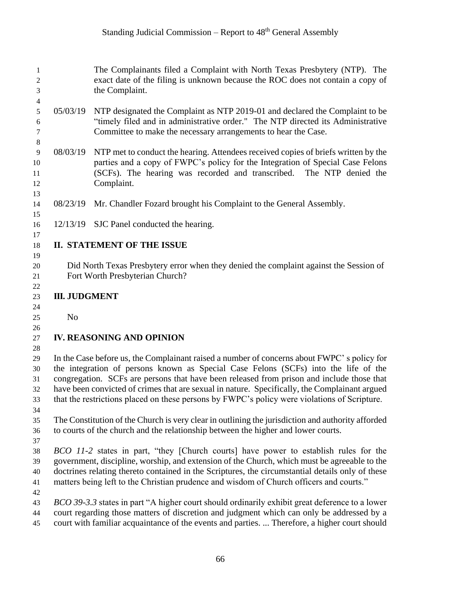| 1<br>$\mathbf{2}$<br>$\mathfrak{Z}$                          |                                                                                               | The Complainants filed a Complaint with North Texas Presbytery (NTP). The<br>exact date of the filing is unknown because the ROC does not contain a copy of<br>the Complaint.                                                                                 |  |  |  |
|--------------------------------------------------------------|-----------------------------------------------------------------------------------------------|---------------------------------------------------------------------------------------------------------------------------------------------------------------------------------------------------------------------------------------------------------------|--|--|--|
|                                                              |                                                                                               |                                                                                                                                                                                                                                                               |  |  |  |
| $\overline{\mathcal{A}}$<br>$\mathfrak s$<br>$\epsilon$<br>7 | 05/03/19                                                                                      | NTP designated the Complaint as NTP 2019-01 and declared the Complaint to be<br>"timely filed and in administrative order." The NTP directed its Administrative<br>Committee to make the necessary arrangements to hear the Case.                             |  |  |  |
| $\,8\,$<br>$\overline{9}$<br>10<br>11<br>12                  | 08/03/19                                                                                      | NTP met to conduct the hearing. Attendees received copies of briefs written by the<br>parties and a copy of FWPC's policy for the Integration of Special Case Felons<br>(SCFs). The hearing was recorded and transcribed.<br>The NTP denied the<br>Complaint. |  |  |  |
| 13                                                           |                                                                                               |                                                                                                                                                                                                                                                               |  |  |  |
| 14<br>15                                                     | 08/23/19                                                                                      | Mr. Chandler Fozard brought his Complaint to the General Assembly.                                                                                                                                                                                            |  |  |  |
| 16                                                           |                                                                                               | 12/13/19 SJC Panel conducted the hearing.                                                                                                                                                                                                                     |  |  |  |
| 17                                                           |                                                                                               |                                                                                                                                                                                                                                                               |  |  |  |
| 18                                                           |                                                                                               | <b>II. STATEMENT OF THE ISSUE</b>                                                                                                                                                                                                                             |  |  |  |
| 19                                                           |                                                                                               |                                                                                                                                                                                                                                                               |  |  |  |
| 20                                                           |                                                                                               | Did North Texas Presbytery error when they denied the complaint against the Session of                                                                                                                                                                        |  |  |  |
| 21                                                           |                                                                                               | Fort Worth Presbyterian Church?                                                                                                                                                                                                                               |  |  |  |
| 22                                                           |                                                                                               |                                                                                                                                                                                                                                                               |  |  |  |
|                                                              | <b>III. JUDGMENT</b>                                                                          |                                                                                                                                                                                                                                                               |  |  |  |
| 23                                                           |                                                                                               |                                                                                                                                                                                                                                                               |  |  |  |
| 24                                                           |                                                                                               |                                                                                                                                                                                                                                                               |  |  |  |
| 25                                                           | N <sub>o</sub>                                                                                |                                                                                                                                                                                                                                                               |  |  |  |
| 26                                                           |                                                                                               |                                                                                                                                                                                                                                                               |  |  |  |
| 27                                                           |                                                                                               | <b>IV. REASONING AND OPINION</b>                                                                                                                                                                                                                              |  |  |  |
| 28                                                           |                                                                                               |                                                                                                                                                                                                                                                               |  |  |  |
| 29                                                           |                                                                                               | In the Case before us, the Complainant raised a number of concerns about FWPC's policy for                                                                                                                                                                    |  |  |  |
| 30                                                           |                                                                                               | the integration of persons known as Special Case Felons (SCFs) into the life of the                                                                                                                                                                           |  |  |  |
|                                                              | congregation. SCFs are persons that have been released from prison and include those that     |                                                                                                                                                                                                                                                               |  |  |  |
| 31                                                           |                                                                                               |                                                                                                                                                                                                                                                               |  |  |  |
| 32                                                           | have been convicted of crimes that are sexual in nature. Specifically, the Complainant argued |                                                                                                                                                                                                                                                               |  |  |  |
| 33                                                           | that the restrictions placed on these persons by FWPC's policy were violations of Scripture.  |                                                                                                                                                                                                                                                               |  |  |  |
| 34                                                           |                                                                                               |                                                                                                                                                                                                                                                               |  |  |  |
| 35                                                           |                                                                                               | The Constitution of the Church is very clear in outlining the jurisdiction and authority afforded                                                                                                                                                             |  |  |  |
| 36                                                           | to courts of the church and the relationship between the higher and lower courts.             |                                                                                                                                                                                                                                                               |  |  |  |
| 37                                                           |                                                                                               |                                                                                                                                                                                                                                                               |  |  |  |
| 38                                                           |                                                                                               | BCO 11-2 states in part, "they [Church courts] have power to establish rules for the                                                                                                                                                                          |  |  |  |
| 39                                                           |                                                                                               | government, discipline, worship, and extension of the Church, which must be agreeable to the                                                                                                                                                                  |  |  |  |
|                                                              |                                                                                               |                                                                                                                                                                                                                                                               |  |  |  |
| 40                                                           |                                                                                               | doctrines relating thereto contained in the Scriptures, the circumstantial details only of these                                                                                                                                                              |  |  |  |
| 41                                                           |                                                                                               | matters being left to the Christian prudence and wisdom of Church officers and courts."                                                                                                                                                                       |  |  |  |
| 42                                                           |                                                                                               |                                                                                                                                                                                                                                                               |  |  |  |
| 43                                                           |                                                                                               | BCO 39-3.3 states in part "A higher court should ordinarily exhibit great deference to a lower                                                                                                                                                                |  |  |  |
| 44                                                           |                                                                                               | court regarding those matters of discretion and judgment which can only be addressed by a                                                                                                                                                                     |  |  |  |
| 45                                                           |                                                                                               | court with familiar acquaintance of the events and parties.  Therefore, a higher court should                                                                                                                                                                 |  |  |  |
|                                                              |                                                                                               |                                                                                                                                                                                                                                                               |  |  |  |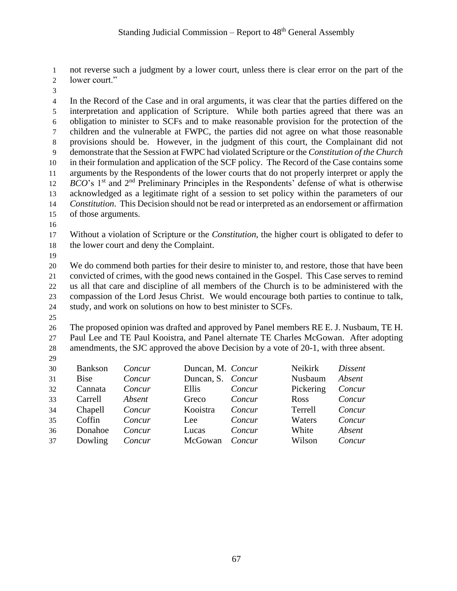not reverse such a judgment by a lower court, unless there is clear error on the part of the lower court."

 In the Record of the Case and in oral arguments, it was clear that the parties differed on the interpretation and application of Scripture. While both parties agreed that there was an obligation to minister to SCFs and to make reasonable provision for the protection of the children and the vulnerable at FWPC, the parties did not agree on what those reasonable provisions should be. However, in the judgment of this court, the Complainant did not demonstrate that the Session at FWPC had violated Scripture or the *Constitution of the Church* in their formulation and application of the SCF policy. The Record of the Case contains some arguments by the Respondents of the lower courts that do not properly interpret or apply the *BCO*'s 1<sup>st</sup> and 2<sup>nd</sup> Preliminary Principles in the Respondents' defense of what is otherwise acknowledged as a legitimate right of a session to set policy within the parameters of our *Constitution*. This Decision should not be read or interpreted as an endorsement or affirmation of those arguments.

 Without a violation of Scripture or the *Constitution*, the higher court is obligated to defer to the lower court and deny the Complaint.

 We do commend both parties for their desire to minister to, and restore, those that have been convicted of crimes, with the good news contained in the Gospel. This Case serves to remind us all that care and discipline of all members of the Church is to be administered with the compassion of the Lord Jesus Christ. We would encourage both parties to continue to talk, study, and work on solutions on how to best minister to SCFs.

 The proposed opinion was drafted and approved by Panel members RE E. J. Nusbaum, TE H. Paul Lee and TE Paul Kooistra, and Panel alternate TE Charles McGowan. After adopting amendments, the SJC approved the above Decision by a vote of 20-1, with three absent.

| 30 | <b>Bankson</b> | Concur | Duncan, M. Concur |        | Neikirk   | Dissent |
|----|----------------|--------|-------------------|--------|-----------|---------|
| 31 | <b>Bise</b>    | Concur | Duncan, S. Concur |        | Nusbaum   | Absent  |
| 32 | Cannata        | Concur | Ellis             | Concur | Pickering | Concur  |
| 33 | Carrell        | Absent | Greco             | Concur | Ross      | Concur  |
| 34 | Chapell        | Concur | Kooistra          | Concur | Terrell   | Concur  |
| 35 | Coffin         | Concur | Lee               | Concur | Waters    | Concur  |
| 36 | Donahoe        | Concur | Lucas             | Concur | White     | Absent  |
| 37 | Dowling        | Concur | McGowan           | Concur | Wilson    | Concur  |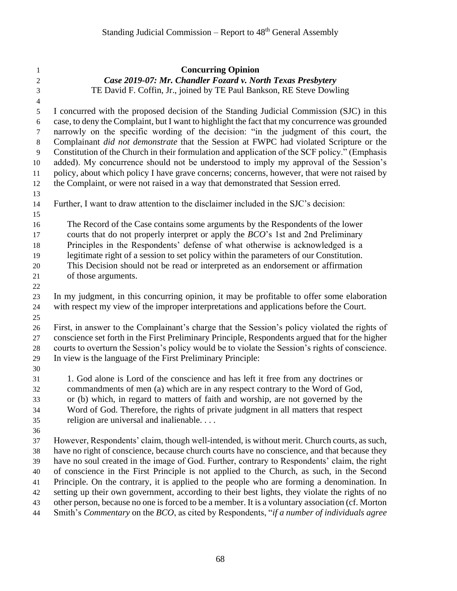| 1                        | <b>Concurring Opinion</b>                                                                                                                                                  |
|--------------------------|----------------------------------------------------------------------------------------------------------------------------------------------------------------------------|
| $\boldsymbol{2}$         | Case 2019-07: Mr. Chandler Fozard v. North Texas Presbytery                                                                                                                |
| $\mathfrak{Z}$           | TE David F. Coffin, Jr., joined by TE Paul Bankson, RE Steve Dowling                                                                                                       |
| $\overline{\mathcal{A}}$ |                                                                                                                                                                            |
| 5                        | I concurred with the proposed decision of the Standing Judicial Commission (SJC) in this                                                                                   |
| $6\,$                    | case, to deny the Complaint, but I want to highlight the fact that my concurrence was grounded                                                                             |
| $\tau$                   | narrowly on the specific wording of the decision: "in the judgment of this court, the                                                                                      |
| $\,8\,$                  | Complainant <i>did not demonstrate</i> that the Session at FWPC had violated Scripture or the                                                                              |
| $\overline{9}$           | Constitution of the Church in their formulation and application of the SCF policy." (Emphasis                                                                              |
| 10                       | added). My concurrence should not be understood to imply my approval of the Session's                                                                                      |
| 11                       | policy, about which policy I have grave concerns; concerns, however, that were not raised by                                                                               |
| 12                       | the Complaint, or were not raised in a way that demonstrated that Session erred.                                                                                           |
| 13                       |                                                                                                                                                                            |
| 14                       | Further, I want to draw attention to the disclaimer included in the SJC's decision:                                                                                        |
| 15                       |                                                                                                                                                                            |
| 16                       | The Record of the Case contains some arguments by the Respondents of the lower                                                                                             |
| 17                       | courts that do not properly interpret or apply the BCO's 1st and 2nd Preliminary                                                                                           |
| 18                       | Principles in the Respondents' defense of what otherwise is acknowledged is a                                                                                              |
| 19                       | legitimate right of a session to set policy within the parameters of our Constitution.<br>This Decision should not be read or interpreted as an endorsement or affirmation |
| 20                       | of those arguments.                                                                                                                                                        |
| 21<br>22                 |                                                                                                                                                                            |
| 23                       | In my judgment, in this concurring opinion, it may be profitable to offer some elaboration                                                                                 |
| 24                       | with respect my view of the improper interpretations and applications before the Court.                                                                                    |
| 25                       |                                                                                                                                                                            |
| 26                       | First, in answer to the Complainant's charge that the Session's policy violated the rights of                                                                              |
| 27                       | conscience set forth in the First Preliminary Principle, Respondents argued that for the higher                                                                            |
| $28\,$                   | courts to overturn the Session's policy would be to violate the Session's rights of conscience.                                                                            |
| 29                       | In view is the language of the First Preliminary Principle:                                                                                                                |
| 30                       |                                                                                                                                                                            |
| 31                       | 1. God alone is Lord of the conscience and has left it free from any doctrines or                                                                                          |
| 32                       | commandments of men (a) which are in any respect contrary to the Word of God,                                                                                              |
| 33                       | or (b) which, in regard to matters of faith and worship, are not governed by the                                                                                           |
| 34                       | Word of God. Therefore, the rights of private judgment in all matters that respect                                                                                         |
| 35                       | religion are universal and inalienable                                                                                                                                     |
| 36                       |                                                                                                                                                                            |
| 37                       | However, Respondents' claim, though well-intended, is without merit. Church courts, as such,                                                                               |
| 38                       | have no right of conscience, because church courts have no conscience, and that because they                                                                               |
| 39                       | have no soul created in the image of God. Further, contrary to Respondents' claim, the right                                                                               |
| 40                       | of conscience in the First Principle is not applied to the Church, as such, in the Second                                                                                  |
| 41                       | Principle. On the contrary, it is applied to the people who are forming a denomination. In                                                                                 |
| 42                       | setting up their own government, according to their best lights, they violate the rights of no                                                                             |
| 43                       | other person, because no one is forced to be a member. It is a voluntary association (cf. Morton                                                                           |
| 44                       | Smith's Commentary on the BCO, as cited by Respondents, "if a number of individuals agree                                                                                  |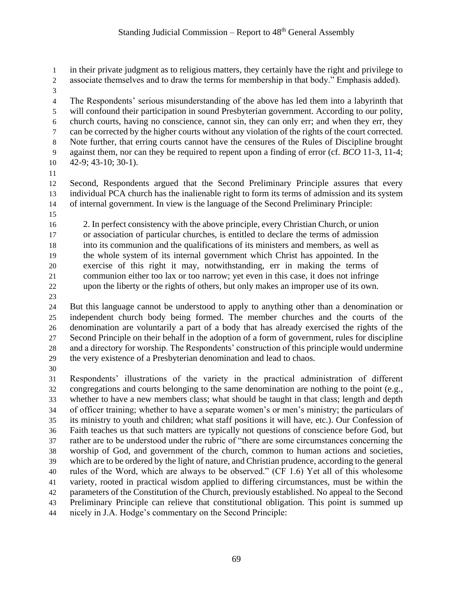in their private judgment as to religious matters, they certainly have the right and privilege to associate themselves and to draw the terms for membership in that body." Emphasis added).

 The Respondents' serious misunderstanding of the above has led them into a labyrinth that will confound their participation in sound Presbyterian government. According to our polity, church courts, having no conscience, cannot sin, they can only err; and when they err, they can be corrected by the higher courts without any violation of the rights of the court corrected. Note further, that erring courts cannot have the censures of the Rules of Discipline brought against them, nor can they be required to repent upon a finding of error (cf. *BCO* 11-3, 11-4; 42-9; 43-10; 30-1).

 Second, Respondents argued that the Second Preliminary Principle assures that every individual PCA church has the inalienable right to form its terms of admission and its system of internal government. In view is the language of the Second Preliminary Principle:

 2. In perfect consistency with the above principle, every Christian Church, or union or association of particular churches, is entitled to declare the terms of admission into its communion and the qualifications of its ministers and members, as well as the whole system of its internal government which Christ has appointed. In the exercise of this right it may, notwithstanding, err in making the terms of communion either too lax or too narrow; yet even in this case, it does not infringe upon the liberty or the rights of others, but only makes an improper use of its own.

 But this language cannot be understood to apply to anything other than a denomination or independent church body being formed. The member churches and the courts of the denomination are voluntarily a part of a body that has already exercised the rights of the Second Principle on their behalf in the adoption of a form of government, rules for discipline and a directory for worship. The Respondents' construction of this principle would undermine the very existence of a Presbyterian denomination and lead to chaos.

 Respondents' illustrations of the variety in the practical administration of different congregations and courts belonging to the same denomination are nothing to the point (e.g., whether to have a new members class; what should be taught in that class; length and depth of officer training; whether to have a separate women's or men's ministry; the particulars of its ministry to youth and children; what staff positions it will have, etc.). Our Confession of Faith teaches us that such matters are typically not questions of conscience before God, but rather are to be understood under the rubric of "there are some circumstances concerning the worship of God, and government of the church, common to human actions and societies, which are to be ordered by the light of nature, and Christian prudence, according to the general rules of the Word, which are always to be observed." (CF 1.6) Yet all of this wholesome variety, rooted in practical wisdom applied to differing circumstances, must be within the parameters of the Constitution of the Church, previously established. No appeal to the Second Preliminary Principle can relieve that constitutional obligation. This point is summed up nicely in J.A. Hodge's commentary on the Second Principle: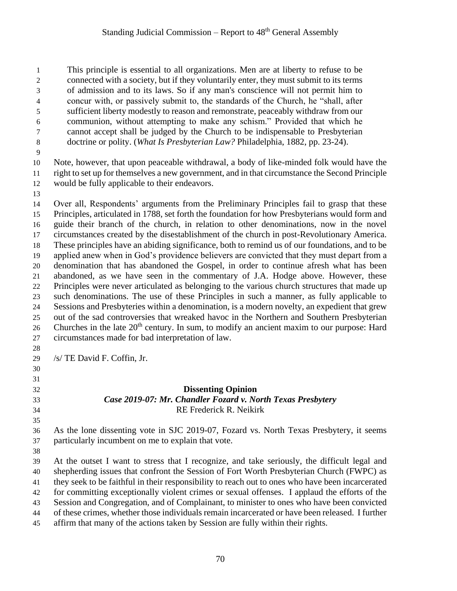This principle is essential to all organizations. Men are at liberty to refuse to be connected with a society, but if they voluntarily enter, they must submit to its terms of admission and to its laws. So if any man's conscience will not permit him to concur with, or passively submit to, the standards of the Church, he "shall, after sufficient liberty modestly to reason and remonstrate, peaceably withdraw from our communion, without attempting to make any schism." Provided that which he cannot accept shall be judged by the Church to be indispensable to Presbyterian doctrine or polity. (*What Is Presbyterian Law?* Philadelphia, 1882, pp. 23-24).

 Note, however, that upon peaceable withdrawal, a body of like-minded folk would have the right to set up for themselves a new government, and in that circumstance the Second Principle would be fully applicable to their endeavors.

 Over all, Respondents' arguments from the Preliminary Principles fail to grasp that these Principles, articulated in 1788, set forth the foundation for how Presbyterians would form and guide their branch of the church, in relation to other denominations, now in the novel circumstances created by the disestablishment of the church in post-Revolutionary America. These principles have an abiding significance, both to remind us of our foundations, and to be applied anew when in God's providence believers are convicted that they must depart from a denomination that has abandoned the Gospel, in order to continue afresh what has been abandoned, as we have seen in the commentary of J.A. Hodge above. However, these Principles were never articulated as belonging to the various church structures that made up such denominations. The use of these Principles in such a manner, as fully applicable to Sessions and Presbyteries within a denomination, is a modern novelty, an expedient that grew out of the sad controversies that wreaked havoc in the Northern and Southern Presbyterian 26 Churches in the late  $20<sup>th</sup>$  century. In sum, to modify an ancient maxim to our purpose: Hard circumstances made for bad interpretation of law. 

/s/ TE David F. Coffin, Jr.

### 

#### **Dissenting Opinion** *Case 2019-07: Mr. Chandler Fozard v. North Texas Presbytery* RE Frederick R. Neikirk

- As the lone dissenting vote in SJC 2019-07, Fozard vs. North Texas Presbytery, it seems particularly incumbent on me to explain that vote.
- 

 At the outset I want to stress that I recognize, and take seriously, the difficult legal and shepherding issues that confront the Session of Fort Worth Presbyterian Church (FWPC) as they seek to be faithful in their responsibility to reach out to ones who have been incarcerated for committing exceptionally violent crimes or sexual offenses. I applaud the efforts of the Session and Congregation, and of Complainant, to minister to ones who have been convicted of these crimes, whether those individuals remain incarcerated or have been released. I further affirm that many of the actions taken by Session are fully within their rights.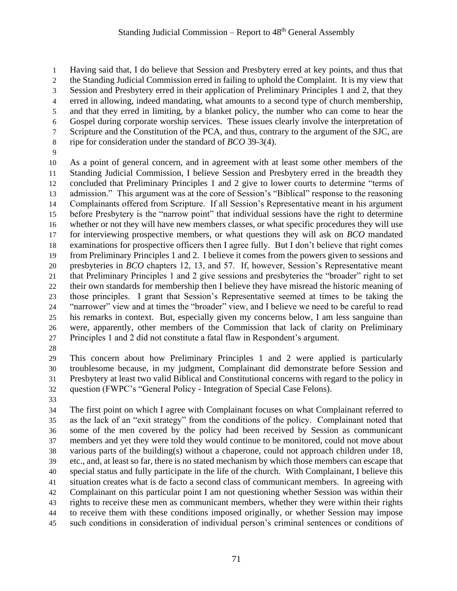Having said that, I do believe that Session and Presbytery erred at key points, and thus that the Standing Judicial Commission erred in failing to uphold the Complaint. It is my view that Session and Presbytery erred in their application of Preliminary Principles 1 and 2, that they erred in allowing, indeed mandating, what amounts to a second type of church membership, and that they erred in limiting, by a blanket policy, the number who can come to hear the Gospel during corporate worship services. These issues clearly involve the interpretation of Scripture and the Constitution of the PCA, and thus, contrary to the argument of the SJC, are ripe for consideration under the standard of *BCO* 39-3(4).

 As a point of general concern, and in agreement with at least some other members of the Standing Judicial Commission, I believe Session and Presbytery erred in the breadth they concluded that Preliminary Principles 1 and 2 give to lower courts to determine "terms of admission." This argument was at the core of Session's "Biblical" response to the reasoning Complainants offered from Scripture. If all Session's Representative meant in his argument before Presbytery is the "narrow point" that individual sessions have the right to determine whether or not they will have new members classes, or what specific procedures they will use for interviewing prospective members, or what questions they will ask on *BCO* mandated examinations for prospective officers then I agree fully. But I don't believe that right comes from Preliminary Principles 1 and 2. I believe it comes from the powers given to sessions and presbyteries in *BCO* chapters 12, 13, and 57. If, however, Session's Representative meant that Preliminary Principles 1 and 2 give sessions and presbyteries the "broader" right to set their own standards for membership then I believe they have misread the historic meaning of those principles. I grant that Session's Representative seemed at times to be taking the "narrower" view and at times the "broader" view, and I believe we need to be careful to read his remarks in context. But, especially given my concerns below, I am less sanguine than were, apparently, other members of the Commission that lack of clarity on Preliminary Principles 1 and 2 did not constitute a fatal flaw in Respondent's argument.

 This concern about how Preliminary Principles 1 and 2 were applied is particularly troublesome because, in my judgment, Complainant did demonstrate before Session and Presbytery at least two valid Biblical and Constitutional concerns with regard to the policy in question (FWPC's "General Policy - Integration of Special Case Felons).

 The first point on which I agree with Complainant focuses on what Complainant referred to as the lack of an "exit strategy" from the conditions of the policy. Complainant noted that some of the men covered by the policy had been received by Session as communicant members and yet they were told they would continue to be monitored, could not move about various parts of the building(s) without a chaperone, could not approach children under 18, etc., and, at least so far, there is no stated mechanism by which those members can escape that special status and fully participate in the life of the church. With Complainant, I believe this situation creates what is de facto a second class of communicant members. In agreeing with Complainant on this particular point I am not questioning whether Session was within their rights to receive these men as communicant members, whether they were within their rights to receive them with these conditions imposed originally, or whether Session may impose such conditions in consideration of individual person's criminal sentences or conditions of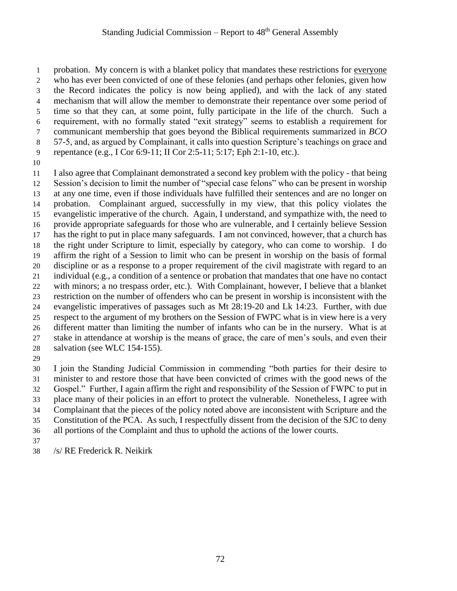1 probation. My concern is with a blanket policy that mandates these restrictions for <u>everyone</u> who has ever been convicted of one of these felonies (and perhaps other felonies, given how the Record indicates the policy is now being applied), and with the lack of any stated mechanism that will allow the member to demonstrate their repentance over some period of time so that they can, at some point, fully participate in the life of the church. Such a requirement, with no formally stated "exit strategy" seems to establish a requirement for communicant membership that goes beyond the Biblical requirements summarized in *BCO* 57-5, and, as argued by Complainant, it calls into question Scripture's teachings on grace and repentance (e.g., I Cor 6:9-11; II Cor 2:5-11; 5:17; Eph 2:1-10, etc.).

 I also agree that Complainant demonstrated a second key problem with the policy - that being Session's decision to limit the number of "special case felons" who can be present in worship at any one time, even if those individuals have fulfilled their sentences and are no longer on probation. Complainant argued, successfully in my view, that this policy violates the evangelistic imperative of the church. Again, I understand, and sympathize with, the need to provide appropriate safeguards for those who are vulnerable, and I certainly believe Session has the right to put in place many safeguards. I am not convinced, however, that a church has the right under Scripture to limit, especially by category, who can come to worship. I do affirm the right of a Session to limit who can be present in worship on the basis of formal discipline or as a response to a proper requirement of the civil magistrate with regard to an individual (e.g., a condition of a sentence or probation that mandates that one have no contact with minors; a no trespass order, etc.). With Complainant, however, I believe that a blanket restriction on the number of offenders who can be present in worship is inconsistent with the evangelistic imperatives of passages such as Mt 28:19-20 and Lk 14:23. Further, with due respect to the argument of my brothers on the Session of FWPC what is in view here is a very different matter than limiting the number of infants who can be in the nursery. What is at stake in attendance at worship is the means of grace, the care of men's souls, and even their salvation (see WLC 154-155).

 I join the Standing Judicial Commission in commending "both parties for their desire to minister to and restore those that have been convicted of crimes with the good news of the Gospel." Further, I again affirm the right and responsibility of the Session of FWPC to put in place many of their policies in an effort to protect the vulnerable. Nonetheless, I agree with Complainant that the pieces of the policy noted above are inconsistent with Scripture and the Constitution of the PCA. As such, I respectfully dissent from the decision of the SJC to deny all portions of the Complaint and thus to uphold the actions of the lower courts. 

/s/ RE Frederick R. Neikirk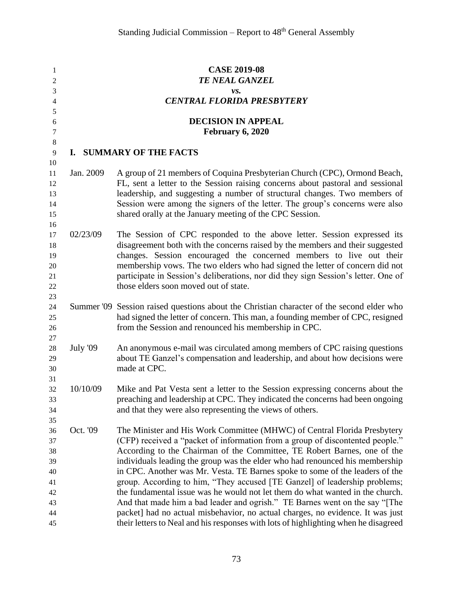| 1                |           | <b>CASE 2019-08</b>                                                                                                                      |
|------------------|-----------|------------------------------------------------------------------------------------------------------------------------------------------|
| 2                |           | <b>TE NEAL GANZEL</b>                                                                                                                    |
| 3                |           | vs.                                                                                                                                      |
| 4                |           | <b>CENTRAL FLORIDA PRESBYTERY</b>                                                                                                        |
| 5                |           |                                                                                                                                          |
| 6                |           | <b>DECISION IN APPEAL</b>                                                                                                                |
| $\boldsymbol{7}$ |           | February 6, 2020                                                                                                                         |
| $\,8\,$          |           |                                                                                                                                          |
| 9                |           | I. SUMMARY OF THE FACTS                                                                                                                  |
| 10               |           |                                                                                                                                          |
| 11               | Jan. 2009 | A group of 21 members of Coquina Presbyterian Church (CPC), Ormond Beach,                                                                |
| 12               |           | FL, sent a letter to the Session raising concerns about pastoral and sessional                                                           |
| 13               |           | leadership, and suggesting a number of structural changes. Two members of                                                                |
| 14               |           | Session were among the signers of the letter. The group's concerns were also<br>shared orally at the January meeting of the CPC Session. |
| 15               |           |                                                                                                                                          |
| 16<br>17         | 02/23/09  | The Session of CPC responded to the above letter. Session expressed its                                                                  |
| 18               |           | disagreement both with the concerns raised by the members and their suggested                                                            |
| 19               |           | changes. Session encouraged the concerned members to live out their                                                                      |
| 20               |           | membership vows. The two elders who had signed the letter of concern did not                                                             |
| 21               |           | participate in Session's deliberations, nor did they sign Session's letter. One of                                                       |
| 22               |           | those elders soon moved out of state.                                                                                                    |
| 23               |           |                                                                                                                                          |
| 24               |           | Summer '09 Session raised questions about the Christian character of the second elder who                                                |
| 25               |           | had signed the letter of concern. This man, a founding member of CPC, resigned                                                           |
| 26               |           | from the Session and renounced his membership in CPC.                                                                                    |
| 27               |           |                                                                                                                                          |
| 28               | July '09  | An anonymous e-mail was circulated among members of CPC raising questions                                                                |
| 29               |           | about TE Ganzel's compensation and leadership, and about how decisions were                                                              |
| 30               |           | made at CPC.                                                                                                                             |
| 31               |           |                                                                                                                                          |
| 32               | 10/10/09  | Mike and Pat Vesta sent a letter to the Session expressing concerns about the                                                            |
| 33               |           | preaching and leadership at CPC. They indicated the concerns had been ongoing                                                            |
| 34               |           | and that they were also representing the views of others.                                                                                |
| 35               |           |                                                                                                                                          |
| 36               | Oct. '09  | The Minister and His Work Committee (MHWC) of Central Florida Presbytery                                                                 |
| 37               |           | (CFP) received a "packet of information from a group of discontented people."                                                            |
| 38               |           | According to the Chairman of the Committee, TE Robert Barnes, one of the                                                                 |
| 39               |           | individuals leading the group was the elder who had renounced his membership                                                             |
| 40               |           | in CPC. Another was Mr. Vesta. TE Barnes spoke to some of the leaders of the                                                             |
| 41               |           | group. According to him, "They accused [TE Ganzel] of leadership problems;                                                               |
| 42               |           | the fundamental issue was he would not let them do what wanted in the church.                                                            |
| 43               |           | And that made him a bad leader and ogrish." TE Barnes went on the say "The                                                               |
| 44               |           | packet] had no actual misbehavior, no actual charges, no evidence. It was just                                                           |
| 45               |           | their letters to Neal and his responses with lots of highlighting when he disagreed                                                      |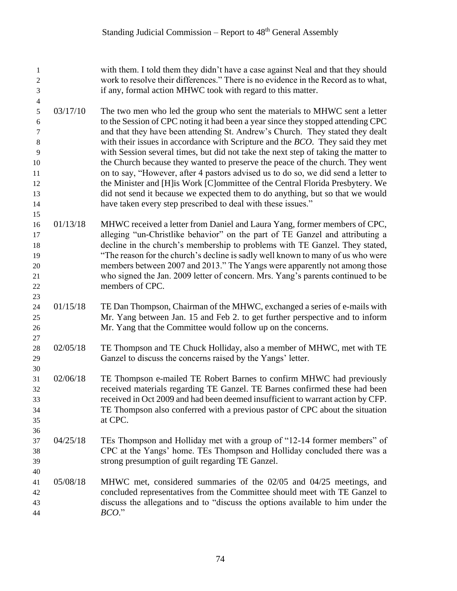| 1<br>$\boldsymbol{2}$<br>$\mathfrak{Z}$<br>$\overline{\mathbf{4}}$ |          | with them. I told them they didn't have a case against Neal and that they should<br>work to resolve their differences." There is no evidence in the Record as to what,<br>if any, formal action MHWC took with regard to this matter.                                                                                                                                                                                                                                                                                                                                                                                                                                                    |
|--------------------------------------------------------------------|----------|------------------------------------------------------------------------------------------------------------------------------------------------------------------------------------------------------------------------------------------------------------------------------------------------------------------------------------------------------------------------------------------------------------------------------------------------------------------------------------------------------------------------------------------------------------------------------------------------------------------------------------------------------------------------------------------|
| $\sqrt{5}$<br>6<br>7<br>$\,8\,$<br>9<br>10<br>11<br>12             | 03/17/10 | The two men who led the group who sent the materials to MHWC sent a letter<br>to the Session of CPC noting it had been a year since they stopped attending CPC<br>and that they have been attending St. Andrew's Church. They stated they dealt<br>with their issues in accordance with Scripture and the <i>BCO</i> . They said they met<br>with Session several times, but did not take the next step of taking the matter to<br>the Church because they wanted to preserve the peace of the church. They went<br>on to say, "However, after 4 pastors advised us to do so, we did send a letter to<br>the Minister and [H] is Work [C] ommittee of the Central Florida Presbytery. We |
| 13<br>14                                                           |          | did not send it because we expected them to do anything, but so that we would<br>have taken every step prescribed to deal with these issues."                                                                                                                                                                                                                                                                                                                                                                                                                                                                                                                                            |
| 15<br>16<br>17<br>18<br>19<br>$20\,$<br>21<br>22<br>23             | 01/13/18 | MHWC received a letter from Daniel and Laura Yang, former members of CPC,<br>alleging "un-Christlike behavior" on the part of TE Ganzel and attributing a<br>decline in the church's membership to problems with TE Ganzel. They stated,<br>"The reason for the church's decline is sadly well known to many of us who were<br>members between 2007 and 2013." The Yangs were apparently not among those<br>who signed the Jan. 2009 letter of concern. Mrs. Yang's parents continued to be<br>members of CPC.                                                                                                                                                                           |
| 24<br>25<br>26<br>$27\,$                                           | 01/15/18 | TE Dan Thompson, Chairman of the MHWC, exchanged a series of e-mails with<br>Mr. Yang between Jan. 15 and Feb 2. to get further perspective and to inform<br>Mr. Yang that the Committee would follow up on the concerns.                                                                                                                                                                                                                                                                                                                                                                                                                                                                |
| 28<br>29<br>30                                                     | 02/05/18 | TE Thompson and TE Chuck Holliday, also a member of MHWC, met with TE<br>Ganzel to discuss the concerns raised by the Yangs' letter.                                                                                                                                                                                                                                                                                                                                                                                                                                                                                                                                                     |
| 31<br>32<br>33<br>34<br>35<br>36                                   | 02/06/18 | TE Thompson e-mailed TE Robert Barnes to confirm MHWC had previously<br>received materials regarding TE Ganzel. TE Barnes confirmed these had been<br>received in Oct 2009 and had been deemed insufficient to warrant action by CFP.<br>TE Thompson also conferred with a previous pastor of CPC about the situation<br>at CPC.                                                                                                                                                                                                                                                                                                                                                         |
| 37<br>38<br>39<br>40                                               | 04/25/18 | TEs Thompson and Holliday met with a group of "12-14 former members" of<br>CPC at the Yangs' home. TEs Thompson and Holliday concluded there was a<br>strong presumption of guilt regarding TE Ganzel.                                                                                                                                                                                                                                                                                                                                                                                                                                                                                   |
| 41<br>42<br>43<br>44                                               | 05/08/18 | MHWC met, considered summaries of the 02/05 and 04/25 meetings, and<br>concluded representatives from the Committee should meet with TE Ganzel to<br>discuss the allegations and to "discuss the options available to him under the<br>$BCO$ ."                                                                                                                                                                                                                                                                                                                                                                                                                                          |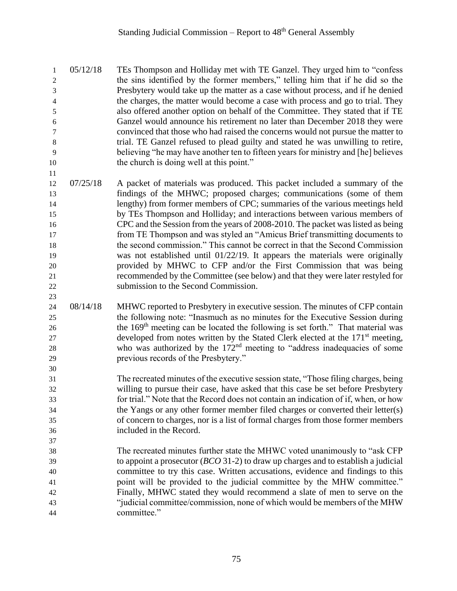05/12/18 TEs Thompson and Holliday met with TE Ganzel. They urged him to "confess the sins identified by the former members," telling him that if he did so the Presbytery would take up the matter as a case without process, and if he denied the charges, the matter would become a case with process and go to trial. They also offered another option on behalf of the Committee. They stated that if TE Ganzel would announce his retirement no later than December 2018 they were convinced that those who had raised the concerns would not pursue the matter to trial. TE Ganzel refused to plead guilty and stated he was unwilling to retire, believing "he may have another ten to fifteen years for ministry and [he] believes 10 the church is doing well at this point."

 07/25/18 A packet of materials was produced. This packet included a summary of the findings of the MHWC; proposed charges; communications (some of them lengthy) from former members of CPC; summaries of the various meetings held by TEs Thompson and Holliday; and interactions between various members of CPC and the Session from the years of 2008-2010. The packet was listed as being from TE Thompson and was styled an "Amicus Brief transmitting documents to the second commission." This cannot be correct in that the Second Commission was not established until 01/22/19. It appears the materials were originally provided by MHWC to CFP and/or the First Commission that was being recommended by the Committee (see below) and that they were later restyled for submission to the Second Commission.

- 24 08/14/18 MHWC reported to Presbytery in executive session. The minutes of CFP contain the following note: "Inasmuch as no minutes for the Executive Session during 26 the 169<sup>th</sup> meeting can be located the following is set forth." That material was developed from notes written by the Stated Clerk elected at the 171<sup>st</sup> meeting, 28 who was authorized by the  $172<sup>nd</sup>$  meeting to "address inadequacies of some previous records of the Presbytery."
- The recreated minutes of the executive session state, "Those filing charges, being willing to pursue their case, have asked that this case be set before Presbytery for trial." Note that the Record does not contain an indication of if, when, or how the Yangs or any other former member filed charges or converted their letter(s) of concern to charges, nor is a list of formal charges from those former members included in the Record.
- The recreated minutes further state the MHWC voted unanimously to "ask CFP to appoint a prosecutor (*BCO* 31-2) to draw up charges and to establish a judicial committee to try this case. Written accusations, evidence and findings to this point will be provided to the judicial committee by the MHW committee." Finally, MHWC stated they would recommend a slate of men to serve on the "judicial committee/commission, none of which would be members of the MHW committee."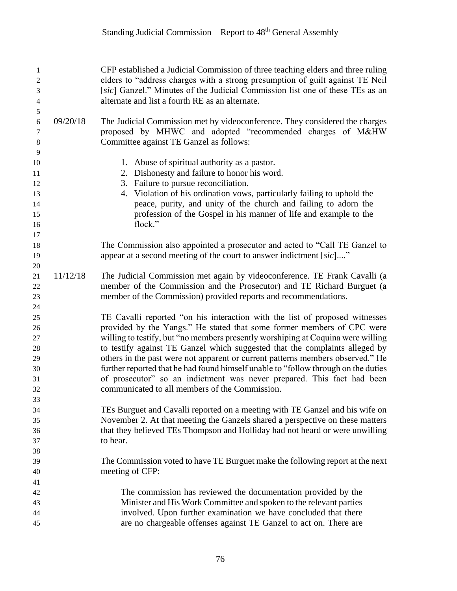| 1<br>$\boldsymbol{2}$<br>3<br>$\overline{4}$             | CFP established a Judicial Commission of three teaching elders and three ruling<br>elders to "address charges with a strong presumption of guilt against TE Neil<br>[sic] Ganzel." Minutes of the Judicial Commission list one of these TEs as an<br>alternate and list a fourth RE as an alternate.                                                                                                                                                                                                                                                                                                                         |
|----------------------------------------------------------|------------------------------------------------------------------------------------------------------------------------------------------------------------------------------------------------------------------------------------------------------------------------------------------------------------------------------------------------------------------------------------------------------------------------------------------------------------------------------------------------------------------------------------------------------------------------------------------------------------------------------|
| 5<br>09/20/18<br>$\sqrt{6}$<br>$\tau$<br>$\,8\,$<br>9    | The Judicial Commission met by videoconference. They considered the charges<br>proposed by MHWC and adopted "recommended charges of M&HW<br>Committee against TE Ganzel as follows:                                                                                                                                                                                                                                                                                                                                                                                                                                          |
| 10<br>11<br>12<br>13<br>14<br>15<br>16<br>17             | 1. Abuse of spiritual authority as a pastor.<br>2. Dishonesty and failure to honor his word.<br>3. Failure to pursue reconciliation.<br>4. Violation of his ordination vows, particularly failing to uphold the<br>peace, purity, and unity of the church and failing to adorn the<br>profession of the Gospel in his manner of life and example to the<br>flock."                                                                                                                                                                                                                                                           |
| 18<br>19<br>$20\,$                                       | The Commission also appointed a prosecutor and acted to "Call TE Ganzel to<br>appear at a second meeting of the court to answer indictment [sic]"                                                                                                                                                                                                                                                                                                                                                                                                                                                                            |
| 11/12/18<br>21<br>22<br>23                               | The Judicial Commission met again by videoconference. TE Frank Cavalli (a<br>member of the Commission and the Prosecutor) and TE Richard Burguet (a<br>member of the Commission) provided reports and recommendations.                                                                                                                                                                                                                                                                                                                                                                                                       |
| 24<br>25<br>26<br>27<br>28<br>29<br>30<br>31<br>32<br>33 | TE Cavalli reported "on his interaction with the list of proposed witnesses<br>provided by the Yangs." He stated that some former members of CPC were<br>willing to testify, but "no members presently worshiping at Coquina were willing<br>to testify against TE Ganzel which suggested that the complaints alleged by<br>others in the past were not apparent or current patterns members observed." He<br>further reported that he had found himself unable to "follow through on the duties<br>of prosecutor" so an indictment was never prepared. This fact had been<br>communicated to all members of the Commission. |
| 34<br>35<br>36<br>37                                     | TEs Burguet and Cavalli reported on a meeting with TE Ganzel and his wife on<br>November 2. At that meeting the Ganzels shared a perspective on these matters<br>that they believed TEs Thompson and Holliday had not heard or were unwilling<br>to hear.                                                                                                                                                                                                                                                                                                                                                                    |
| 38<br>39<br>40                                           | The Commission voted to have TE Burguet make the following report at the next<br>meeting of CFP:                                                                                                                                                                                                                                                                                                                                                                                                                                                                                                                             |
| 41<br>42<br>43<br>44<br>45                               | The commission has reviewed the documentation provided by the<br>Minister and His Work Committee and spoken to the relevant parties<br>involved. Upon further examination we have concluded that there<br>are no chargeable offenses against TE Ganzel to act on. There are                                                                                                                                                                                                                                                                                                                                                  |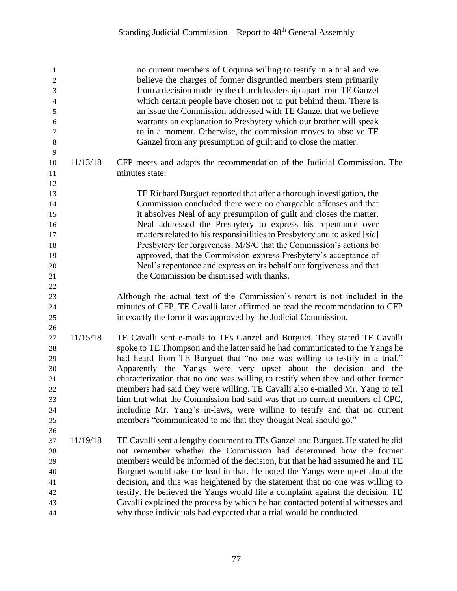| $\mathbf{1}$<br>$\mathbf{2}$<br>3<br>$\overline{\mathcal{L}}$<br>5<br>6<br>$\tau$<br>$\,8\,$<br>$\overline{9}$ |          | no current members of Coquina willing to testify in a trial and we<br>believe the charges of former disgruntled members stem primarily<br>from a decision made by the church leadership apart from TE Ganzel<br>which certain people have chosen not to put behind them. There is<br>an issue the Commission addressed with TE Ganzel that we believe<br>warrants an explanation to Presbytery which our brother will speak<br>to in a moment. Otherwise, the commission moves to absolve TE<br>Ganzel from any presumption of guilt and to close the matter.                                                                                                                                             |
|----------------------------------------------------------------------------------------------------------------|----------|-----------------------------------------------------------------------------------------------------------------------------------------------------------------------------------------------------------------------------------------------------------------------------------------------------------------------------------------------------------------------------------------------------------------------------------------------------------------------------------------------------------------------------------------------------------------------------------------------------------------------------------------------------------------------------------------------------------|
| 10<br>11<br>12                                                                                                 | 11/13/18 | CFP meets and adopts the recommendation of the Judicial Commission. The<br>minutes state:                                                                                                                                                                                                                                                                                                                                                                                                                                                                                                                                                                                                                 |
| 13<br>14<br>15<br>16<br>17<br>18<br>19<br>20<br>21<br>$22\,$                                                   |          | TE Richard Burguet reported that after a thorough investigation, the<br>Commission concluded there were no chargeable offenses and that<br>it absolves Neal of any presumption of guilt and closes the matter.<br>Neal addressed the Presbytery to express his repentance over<br>matters related to his responsibilities to Presbytery and to asked [sic]<br>Presbytery for forgiveness. M/S/C that the Commission's actions be<br>approved, that the Commission express Presbytery's acceptance of<br>Neal's repentance and express on its behalf our forgiveness and that<br>the Commission be dismissed with thanks.                                                                                  |
| 23<br>$24\,$<br>25                                                                                             |          | Although the actual text of the Commission's report is not included in the<br>minutes of CFP, TE Cavalli later affirmed he read the recommendation to CFP<br>in exactly the form it was approved by the Judicial Commission.                                                                                                                                                                                                                                                                                                                                                                                                                                                                              |
| 26<br>27<br>28<br>29<br>30<br>31<br>32<br>33<br>34<br>35<br>36                                                 | 11/15/18 | TE Cavalli sent e-mails to TEs Ganzel and Burguet. They stated TE Cavalli<br>spoke to TE Thompson and the latter said he had communicated to the Yangs he<br>had heard from TE Burguet that "no one was willing to testify in a trial."<br>Apparently the Yangs were very upset about the decision and the<br>characterization that no one was willing to testify when they and other former<br>members had said they were willing. TE Cavalli also e-mailed Mr. Yang to tell<br>him that what the Commission had said was that no current members of CPC,<br>including Mr. Yang's in-laws, were willing to testify and that no current<br>members "communicated to me that they thought Neal should go." |
| 37<br>38<br>39<br>40<br>41<br>42<br>43<br>44                                                                   | 11/19/18 | TE Cavalli sent a lengthy document to TEs Ganzel and Burguet. He stated he did<br>not remember whether the Commission had determined how the former<br>members would be informed of the decision, but that he had assumed he and TE<br>Burguet would take the lead in that. He noted the Yangs were upset about the<br>decision, and this was heightened by the statement that no one was willing to<br>testify. He believed the Yangs would file a complaint against the decision. TE<br>Cavalli explained the process by which he had contacted potential witnesses and<br>why those individuals had expected that a trial would be conducted.                                                          |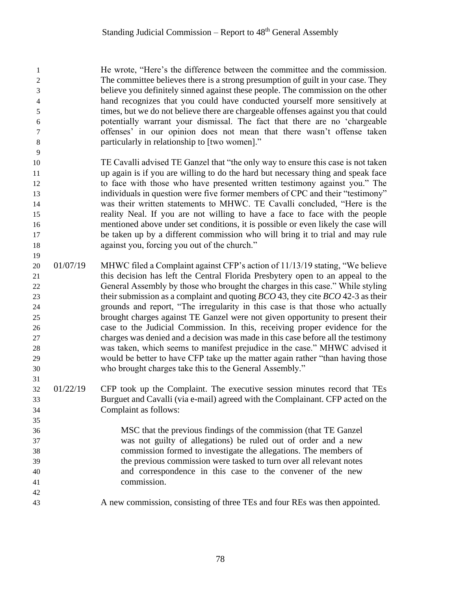He wrote, "Here's the difference between the committee and the commission. The committee believes there is a strong presumption of guilt in your case. They believe you definitely sinned against these people. The commission on the other hand recognizes that you could have conducted yourself more sensitively at times, but we do not believe there are chargeable offenses against you that could potentially warrant your dismissal. The fact that there are no 'chargeable offenses' in our opinion does not mean that there wasn't offense taken particularly in relationship to [two women]."

 TE Cavalli advised TE Ganzel that "the only way to ensure this case is not taken up again is if you are willing to do the hard but necessary thing and speak face to face with those who have presented written testimony against you." The individuals in question were five former members of CPC and their "testimony" was their written statements to MHWC. TE Cavalli concluded, "Here is the reality Neal. If you are not willing to have a face to face with the people mentioned above under set conditions, it is possible or even likely the case will be taken up by a different commission who will bring it to trial and may rule against you, forcing you out of the church."

- 20 01/07/19 MHWC filed a Complaint against CFP's action of 11/13/19 stating, "We believe this decision has left the Central Florida Presbytery open to an appeal to the General Assembly by those who brought the charges in this case." While styling their submission as a complaint and quoting *BCO* 43, they cite *BCO* 42-3 as their grounds and report, "The irregularity in this case is that those who actually brought charges against TE Ganzel were not given opportunity to present their case to the Judicial Commission. In this, receiving proper evidence for the charges was denied and a decision was made in this case before all the testimony was taken, which seems to manifest prejudice in the case." MHWC advised it would be better to have CFP take up the matter again rather "than having those who brought charges take this to the General Assembly."
- 01/22/19 CFP took up the Complaint. The executive session minutes record that TEs Burguet and Cavalli (via e-mail) agreed with the Complainant. CFP acted on the Complaint as follows:

 MSC that the previous findings of the commission (that TE Ganzel was not guilty of allegations) be ruled out of order and a new commission formed to investigate the allegations. The members of the previous commission were tasked to turn over all relevant notes and correspondence in this case to the convener of the new commission.

A new commission, consisting of three TEs and four REs was then appointed.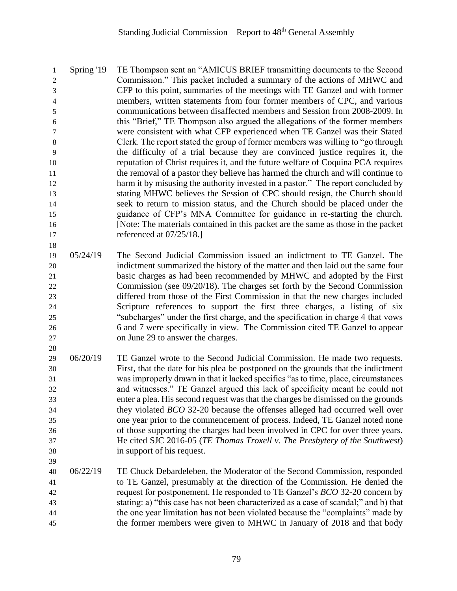Spring '19 TE Thompson sent an "AMICUS BRIEF transmitting documents to the Second Commission." This packet included a summary of the actions of MHWC and CFP to this point, summaries of the meetings with TE Ganzel and with former members, written statements from four former members of CPC, and various communications between disaffected members and Session from 2008-2009. In this "Brief," TE Thompson also argued the allegations of the former members were consistent with what CFP experienced when TE Ganzel was their Stated Clerk. The report stated the group of former members was willing to "go through the difficulty of a trial because they are convinced justice requires it, the reputation of Christ requires it, and the future welfare of Coquina PCA requires the removal of a pastor they believe has harmed the church and will continue to 12 harm it by misusing the authority invested in a pastor." The report concluded by stating MHWC believes the Session of CPC should resign, the Church should seek to return to mission status, and the Church should be placed under the guidance of CFP's MNA Committee for guidance in re-starting the church. [Note: The materials contained in this packet are the same as those in the packet 17 referenced at  $07/25/18$ .] 

 05/24/19 The Second Judicial Commission issued an indictment to TE Ganzel. The indictment summarized the history of the matter and then laid out the same four basic charges as had been recommended by MHWC and adopted by the First Commission (see 09/20/18). The charges set forth by the Second Commission differed from those of the First Commission in that the new charges included Scripture references to support the first three charges, a listing of six "subcharges" under the first charge, and the specification in charge 4 that vows 6 and 7 were specifically in view. The Commission cited TE Ganzel to appear on June 29 to answer the charges.

- 06/20/19 TE Ganzel wrote to the Second Judicial Commission. He made two requests. First, that the date for his plea be postponed on the grounds that the indictment was improperly drawn in that it lacked specifics "as to time, place, circumstances and witnesses." TE Ganzel argued this lack of specificity meant he could not enter a plea. His second request was that the charges be dismissed on the grounds they violated *BCO* 32-20 because the offenses alleged had occurred well over one year prior to the commencement of process. Indeed, TE Ganzel noted none of those supporting the charges had been involved in CPC for over three years. He cited SJC 2016-05 (*TE Thomas Troxell v. The Presbytery of the Southwest*) in support of his request.
- 06/22/19 TE Chuck Debardeleben, the Moderator of the Second Commission, responded to TE Ganzel, presumably at the direction of the Commission. He denied the request for postponement. He responded to TE Ganzel's *BCO* 32-20 concern by stating: a) "this case has not been characterized as a case of scandal;" and b) that the one year limitation has not been violated because the "complaints" made by the former members were given to MHWC in January of 2018 and that body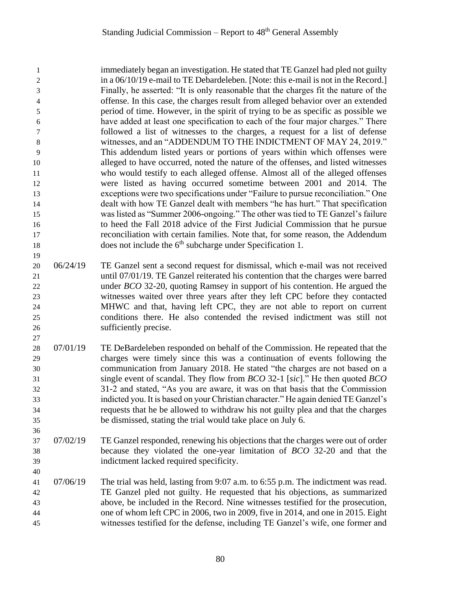immediately began an investigation. He stated that TE Ganzel had pled not guilty 2 in a  $06/10/19$  e-mail to TE Debardeleben. [Note: this e-mail is not in the Record.] Finally, he asserted: "It is only reasonable that the charges fit the nature of the offense. In this case, the charges result from alleged behavior over an extended period of time. However, in the spirit of trying to be as specific as possible we have added at least one specification to each of the four major charges." There followed a list of witnesses to the charges, a request for a list of defense witnesses, and an "ADDENDUM TO THE INDICTMENT OF MAY 24, 2019." This addendum listed years or portions of years within which offenses were alleged to have occurred, noted the nature of the offenses, and listed witnesses who would testify to each alleged offense. Almost all of the alleged offenses were listed as having occurred sometime between 2001 and 2014. The exceptions were two specifications under "Failure to pursue reconciliation." One dealt with how TE Ganzel dealt with members "he has hurt." That specification was listed as "Summer 2006-ongoing." The other was tied to TE Ganzel's failure to heed the Fall 2018 advice of the First Judicial Commission that he pursue reconciliation with certain families. Note that, for some reason, the Addendum 18 does not include the  $6<sup>th</sup>$  subcharge under Specification 1. 

 06/24/19 TE Ganzel sent a second request for dismissal, which e-mail was not received until 07/01/19. TE Ganzel reiterated his contention that the charges were barred under *BCO* 32-20, quoting Ramsey in support of his contention. He argued the witnesses waited over three years after they left CPC before they contacted MHWC and that, having left CPC, they are not able to report on current conditions there. He also contended the revised indictment was still not sufficiently precise.

- 07/01/19 TE DeBardeleben responded on behalf of the Commission. He repeated that the charges were timely since this was a continuation of events following the communication from January 2018. He stated "the charges are not based on a single event of scandal. They flow from *BCO* 32-1 [*sic*]." He then quoted *BCO* 31-2 and stated, "As you are aware, it was on that basis that the Commission indicted you. It is based on your Christian character." He again denied TE Ganzel's requests that he be allowed to withdraw his not guilty plea and that the charges be dismissed, stating the trial would take place on July 6.
- 07/02/19 TE Ganzel responded, renewing his objections that the charges were out of order because they violated the one-year limitation of *BCO* 32-20 and that the indictment lacked required specificity.
- 07/06/19 The trial was held, lasting from 9:07 a.m. to 6:55 p.m. The indictment was read. TE Ganzel pled not guilty. He requested that his objections, as summarized above, be included in the Record. Nine witnesses testified for the prosecution, one of whom left CPC in 2006, two in 2009, five in 2014, and one in 2015. Eight witnesses testified for the defense, including TE Ganzel's wife, one former and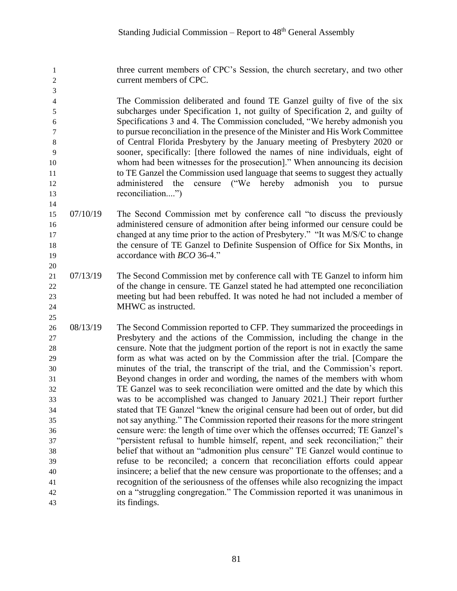three current members of CPC's Session, the church secretary, and two other current members of CPC.

 The Commission deliberated and found TE Ganzel guilty of five of the six subcharges under Specification 1, not guilty of Specification 2, and guilty of Specifications 3 and 4. The Commission concluded, "We hereby admonish you to pursue reconciliation in the presence of the Minister and His Work Committee of Central Florida Presbytery by the January meeting of Presbytery 2020 or sooner, specifically: [there followed the names of nine individuals, eight of whom had been witnesses for the prosecution]." When announcing its decision to TE Ganzel the Commission used language that seems to suggest they actually administered the censure ("We hereby admonish you to pursue 13 reconciliation...."

- 07/10/19 The Second Commission met by conference call "to discuss the previously administered censure of admonition after being informed our censure could be changed at any time prior to the action of Presbytery." "It was M/S/C to change the censure of TE Ganzel to Definite Suspension of Office for Six Months, in accordance with *BCO* 36-4."
- 07/13/19 The Second Commission met by conference call with TE Ganzel to inform him of the change in censure. TE Ganzel stated he had attempted one reconciliation meeting but had been rebuffed. It was noted he had not included a member of MHWC as instructed.
- 08/13/19 The Second Commission reported to CFP. They summarized the proceedings in Presbytery and the actions of the Commission, including the change in the censure. Note that the judgment portion of the report is not in exactly the same form as what was acted on by the Commission after the trial. [Compare the minutes of the trial, the transcript of the trial, and the Commission's report. Beyond changes in order and wording, the names of the members with whom TE Ganzel was to seek reconciliation were omitted and the date by which this was to be accomplished was changed to January 2021.] Their report further stated that TE Ganzel "knew the original censure had been out of order, but did not say anything." The Commission reported their reasons for the more stringent censure were: the length of time over which the offenses occurred; TE Ganzel's "persistent refusal to humble himself, repent, and seek reconciliation;" their belief that without an "admonition plus censure" TE Ganzel would continue to refuse to be reconciled; a concern that reconciliation efforts could appear insincere; a belief that the new censure was proportionate to the offenses; and a recognition of the seriousness of the offenses while also recognizing the impact on a "struggling congregation." The Commission reported it was unanimous in its findings.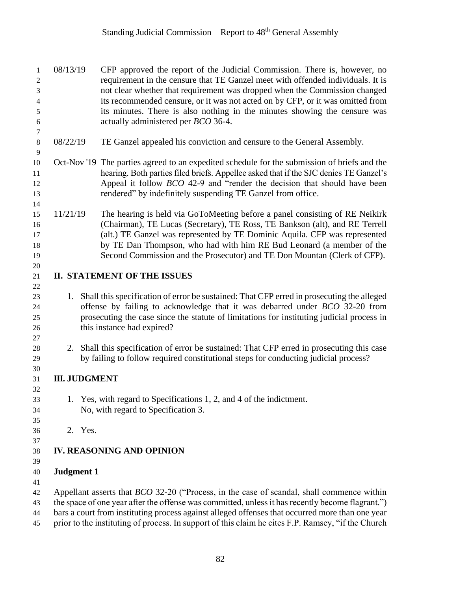## Standing Judicial Commission – Report to  $48<sup>th</sup>$  General Assembly

| 1<br>2<br>3<br>$\overline{4}$<br>5<br>$\epsilon$ | 08/13/19             | CFP approved the report of the Judicial Commission. There is, however, no<br>requirement in the censure that TE Ganzel meet with offended individuals. It is<br>not clear whether that requirement was dropped when the Commission changed<br>its recommended censure, or it was not acted on by CFP, or it was omitted from<br>its minutes. There is also nothing in the minutes showing the censure was<br>actually administered per <i>BCO</i> 36-4. |
|--------------------------------------------------|----------------------|---------------------------------------------------------------------------------------------------------------------------------------------------------------------------------------------------------------------------------------------------------------------------------------------------------------------------------------------------------------------------------------------------------------------------------------------------------|
| $\tau$<br>$8\,$                                  | 08/22/19             | TE Ganzel appealed his conviction and censure to the General Assembly.                                                                                                                                                                                                                                                                                                                                                                                  |
| $\overline{9}$<br>10<br>11<br>12<br>13<br>14     |                      | Oct-Nov '19 The parties agreed to an expedited schedule for the submission of briefs and the<br>hearing. Both parties filed briefs. Appellee asked that if the SJC denies TE Ganzel's<br>Appeal it follow <i>BCO</i> 42-9 and "render the decision that should have been<br>rendered" by indefinitely suspending TE Ganzel from office.                                                                                                                 |
| 15<br>16<br>17<br>18<br>19                       | 11/21/19             | The hearing is held via GoToMeeting before a panel consisting of RE Neikirk<br>(Chairman), TE Lucas (Secretary), TE Ross, TE Bankson (alt), and RE Terrell<br>(alt.) TE Ganzel was represented by TE Dominic Aquila. CFP was represented<br>by TE Dan Thompson, who had with him RE Bud Leonard (a member of the<br>Second Commission and the Prosecutor) and TE Don Mountan (Clerk of CFP).                                                            |
| 20<br>21                                         |                      | <b>II. STATEMENT OF THE ISSUES</b>                                                                                                                                                                                                                                                                                                                                                                                                                      |
| 22<br>23<br>24<br>25<br>26<br>27                 |                      | 1. Shall this specification of error be sustained: That CFP erred in prosecuting the alleged<br>offense by failing to acknowledge that it was debarred under <i>BCO</i> 32-20 from<br>prosecuting the case since the statute of limitations for instituting judicial process in<br>this instance had expired?                                                                                                                                           |
| $28\,$<br>29                                     |                      | 2. Shall this specification of error be sustained: That CFP erred in prosecuting this case<br>by failing to follow required constitutional steps for conducting judicial process?                                                                                                                                                                                                                                                                       |
| 30<br>31                                         | <b>III. JUDGMENT</b> |                                                                                                                                                                                                                                                                                                                                                                                                                                                         |
| 32<br>33<br>34<br>35                             |                      | 1. Yes, with regard to Specifications 1, 2, and 4 of the indictment.<br>No, with regard to Specification 3.                                                                                                                                                                                                                                                                                                                                             |
| 36                                               | 2. Yes.              |                                                                                                                                                                                                                                                                                                                                                                                                                                                         |
| 37<br>38<br>39                                   |                      | <b>IV. REASONING AND OPINION</b>                                                                                                                                                                                                                                                                                                                                                                                                                        |
| 40                                               | <b>Judgment 1</b>    |                                                                                                                                                                                                                                                                                                                                                                                                                                                         |
| 41<br>42<br>43<br>44<br>$\overline{15}$          |                      | Appellant asserts that <i>BCO</i> 32-20 ("Process, in the case of scandal, shall commence within<br>the space of one year after the offense was committed, unless it has recently become flagrant.")<br>bars a court from instituting process against alleged offenses that occurred more than one year<br>prior to the instituting of process. In support of this claim he cites E.P. Ramsey "if the Church"                                           |

prior to the instituting of process. In support of this claim he cites F.P. Ramsey, "if the Church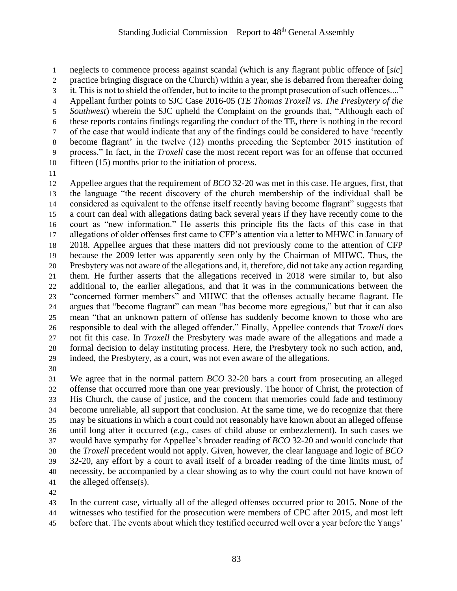neglects to commence process against scandal (which is any flagrant public offence of [*sic*] practice bringing disgrace on the Church) within a year, she is debarred from thereafter doing it. This is not to shield the offender, but to incite to the prompt prosecution of such offences...." Appellant further points to SJC Case 2016-05 (*TE Thomas Troxell vs. The Presbytery of the Southwest*) wherein the SJC upheld the Complaint on the grounds that, "Although each of these reports contains findings regarding the conduct of the TE, there is nothing in the record of the case that would indicate that any of the findings could be considered to have 'recently become flagrant' in the twelve (12) months preceding the September 2015 institution of process." In fact, in the *Troxell* case the most recent report was for an offense that occurred fifteen (15) months prior to the initiation of process.

 Appellee argues that the requirement of *BCO* 32-20 was met in this case. He argues, first, that the language "the recent discovery of the church membership of the individual shall be considered as equivalent to the offense itself recently having become flagrant" suggests that a court can deal with allegations dating back several years if they have recently come to the court as "new information." He asserts this principle fits the facts of this case in that allegations of older offenses first came to CFP's attention via a letter to MHWC in January of 2018. Appellee argues that these matters did not previously come to the attention of CFP because the 2009 letter was apparently seen only by the Chairman of MHWC. Thus, the Presbytery was not aware of the allegations and, it, therefore, did not take any action regarding them. He further asserts that the allegations received in 2018 were similar to, but also additional to, the earlier allegations, and that it was in the communications between the "concerned former members" and MHWC that the offenses actually became flagrant. He argues that "become flagrant" can mean "has become more egregious," but that it can also mean "that an unknown pattern of offense has suddenly become known to those who are responsible to deal with the alleged offender." Finally, Appellee contends that *Troxell* does not fit this case. In *Troxell* the Presbytery was made aware of the allegations and made a formal decision to delay instituting process. Here, the Presbytery took no such action, and, indeed, the Presbytery, as a court, was not even aware of the allegations.

 We agree that in the normal pattern *BCO* 32-20 bars a court from prosecuting an alleged offense that occurred more than one year previously. The honor of Christ, the protection of His Church, the cause of justice, and the concern that memories could fade and testimony become unreliable, all support that conclusion. At the same time, we do recognize that there may be situations in which a court could not reasonably have known about an alleged offense until long after it occurred (*e.g*., cases of child abuse or embezzlement). In such cases we would have sympathy for Appellee's broader reading of *BCO* 32-20 and would conclude that the *Troxell* precedent would not apply. Given, however, the clear language and logic of *BCO* 32-20, any effort by a court to avail itself of a broader reading of the time limits must, of necessity, be accompanied by a clear showing as to why the court could not have known of the alleged offense(s).

 In the current case, virtually all of the alleged offenses occurred prior to 2015. None of the witnesses who testified for the prosecution were members of CPC after 2015, and most left

before that. The events about which they testified occurred well over a year before the Yangs'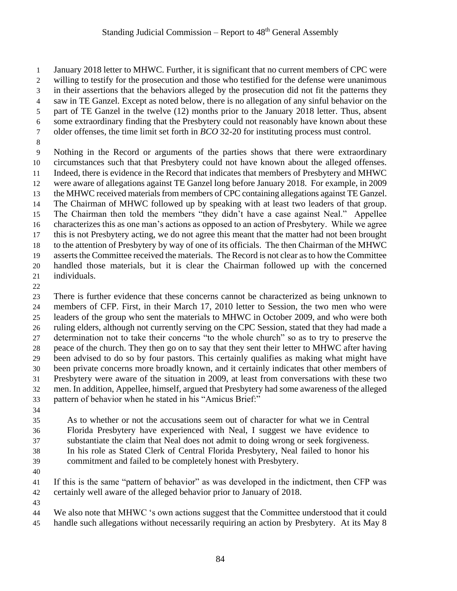January 2018 letter to MHWC. Further, it is significant that no current members of CPC were willing to testify for the prosecution and those who testified for the defense were unanimous in their assertions that the behaviors alleged by the prosecution did not fit the patterns they saw in TE Ganzel. Except as noted below, there is no allegation of any sinful behavior on the part of TE Ganzel in the twelve (12) months prior to the January 2018 letter. Thus, absent some extraordinary finding that the Presbytery could not reasonably have known about these older offenses, the time limit set forth in *BCO* 32-20 for instituting process must control. Nothing in the Record or arguments of the parties shows that there were extraordinary

 circumstances such that that Presbytery could not have known about the alleged offenses. Indeed, there is evidence in the Record that indicates that members of Presbytery and MHWC were aware of allegations against TE Ganzel long before January 2018. For example, in 2009 the MHWC received materials from members of CPC containing allegations against TE Ganzel. The Chairman of MHWC followed up by speaking with at least two leaders of that group. The Chairman then told the members "they didn't have a case against Neal." Appellee characterizes this as one man's actions as opposed to an action of Presbytery. While we agree this is not Presbytery acting, we do not agree this meant that the matter had not been brought to the attention of Presbytery by way of one of its officials. The then Chairman of the MHWC asserts the Committee received the materials. The Record is not clear as to how the Committee handled those materials, but it is clear the Chairman followed up with the concerned individuals.

 There is further evidence that these concerns cannot be characterized as being unknown to members of CFP. First, in their March 17, 2010 letter to Session, the two men who were leaders of the group who sent the materials to MHWC in October 2009, and who were both ruling elders, although not currently serving on the CPC Session, stated that they had made a determination not to take their concerns "to the whole church" so as to try to preserve the peace of the church. They then go on to say that they sent their letter to MHWC after having been advised to do so by four pastors. This certainly qualifies as making what might have been private concerns more broadly known, and it certainly indicates that other members of Presbytery were aware of the situation in 2009, at least from conversations with these two men. In addition, Appellee, himself, argued that Presbytery had some awareness of the alleged pattern of behavior when he stated in his "Amicus Brief:"

 As to whether or not the accusations seem out of character for what we in Central Florida Presbytery have experienced with Neal, I suggest we have evidence to substantiate the claim that Neal does not admit to doing wrong or seek forgiveness. In his role as Stated Clerk of Central Florida Presbytery, Neal failed to honor his commitment and failed to be completely honest with Presbytery.

 If this is the same "pattern of behavior" as was developed in the indictment, then CFP was certainly well aware of the alleged behavior prior to January of 2018.

 We also note that MHWC 's own actions suggest that the Committee understood that it could handle such allegations without necessarily requiring an action by Presbytery. At its May 8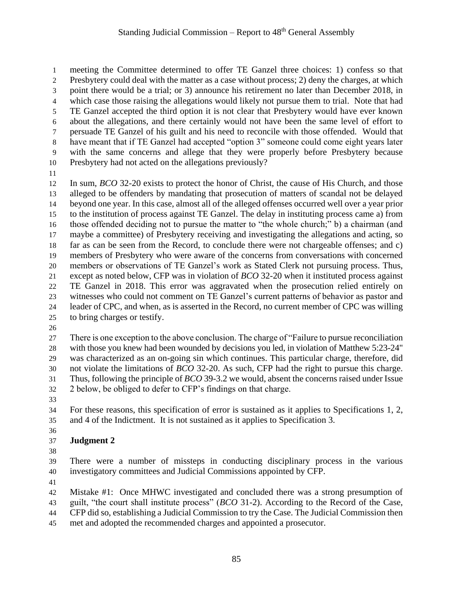meeting the Committee determined to offer TE Ganzel three choices: 1) confess so that Presbytery could deal with the matter as a case without process; 2) deny the charges, at which point there would be a trial; or 3) announce his retirement no later than December 2018, in which case those raising the allegations would likely not pursue them to trial. Note that had TE Ganzel accepted the third option it is not clear that Presbytery would have ever known about the allegations, and there certainly would not have been the same level of effort to persuade TE Ganzel of his guilt and his need to reconcile with those offended. Would that have meant that if TE Ganzel had accepted "option 3" someone could come eight years later with the same concerns and allege that they were properly before Presbytery because Presbytery had not acted on the allegations previously?

 In sum, *BCO* 32-20 exists to protect the honor of Christ, the cause of His Church, and those alleged to be offenders by mandating that prosecution of matters of scandal not be delayed beyond one year. In this case, almost all of the alleged offenses occurred well over a year prior to the institution of process against TE Ganzel. The delay in instituting process came a) from those offended deciding not to pursue the matter to "the whole church;" b) a chairman (and maybe a committee) of Presbytery receiving and investigating the allegations and acting, so far as can be seen from the Record, to conclude there were not chargeable offenses; and c) members of Presbytery who were aware of the concerns from conversations with concerned members or observations of TE Ganzel's work as Stated Clerk not pursuing process. Thus, except as noted below, CFP was in violation of *BCO* 32-20 when it instituted process against TE Ganzel in 2018. This error was aggravated when the prosecution relied entirely on witnesses who could not comment on TE Ganzel's current patterns of behavior as pastor and leader of CPC, and when, as is asserted in the Record, no current member of CPC was willing to bring charges or testify.

 There is one exception to the above conclusion. The charge of "Failure to pursue reconciliation with those you knew had been wounded by decisions you led, in violation of Matthew 5:23-24" was characterized as an on-going sin which continues. This particular charge, therefore, did not violate the limitations of *BCO* 32-20. As such, CFP had the right to pursue this charge. Thus, following the principle of *BCO* 39-3.2 we would, absent the concerns raised under Issue 2 below, be obliged to defer to CFP's findings on that charge.

 For these reasons, this specification of error is sustained as it applies to Specifications 1, 2, and 4 of the Indictment. It is not sustained as it applies to Specification 3.

## **Judgment 2**

 There were a number of missteps in conducting disciplinary process in the various investigatory committees and Judicial Commissions appointed by CFP.

Mistake #1: Once MHWC investigated and concluded there was a strong presumption of

guilt, "the court shall institute process" (*BCO* 31-2). According to the Record of the Case,

- CFP did so, establishing a Judicial Commission to try the Case. The Judicial Commission then
- met and adopted the recommended charges and appointed a prosecutor.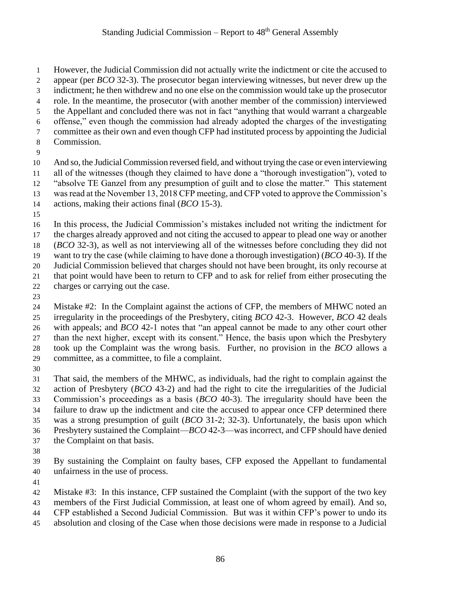However, the Judicial Commission did not actually write the indictment or cite the accused to appear (per *BCO* 32-3). The prosecutor began interviewing witnesses, but never drew up the indictment; he then withdrew and no one else on the commission would take up the prosecutor role. In the meantime, the prosecutor (with another member of the commission) interviewed the Appellant and concluded there was not in fact "anything that would warrant a chargeable offense," even though the commission had already adopted the charges of the investigating committee as their own and even though CFP had instituted process by appointing the Judicial Commission. And so, the Judicial Commission reversed field, and without trying the case or even interviewing all of the witnesses (though they claimed to have done a "thorough investigation"), voted to "absolve TE Ganzel from any presumption of guilt and to close the matter." This statement was read at the November 13, 2018 CFP meeting, and CFP voted to approve the Commission's actions, making their actions final (*BCO* 15-3).

 In this process, the Judicial Commission's mistakes included not writing the indictment for the charges already approved and not citing the accused to appear to plead one way or another (*BCO* 32-3), as well as not interviewing all of the witnesses before concluding they did not want to try the case (while claiming to have done a thorough investigation) (*BCO* 40-3). If the Judicial Commission believed that charges should not have been brought, its only recourse at that point would have been to return to CFP and to ask for relief from either prosecuting the charges or carrying out the case.

 Mistake #2: In the Complaint against the actions of CFP, the members of MHWC noted an irregularity in the proceedings of the Presbytery, citing *BCO* 42-3. However, *BCO* 42 deals with appeals; and *BCO* 42-1 notes that "an appeal cannot be made to any other court other than the next higher, except with its consent." Hence, the basis upon which the Presbytery took up the Complaint was the wrong basis. Further, no provision in the *BCO* allows a committee, as a committee, to file a complaint.

 That said, the members of the MHWC, as individuals, had the right to complain against the action of Presbytery (*BCO* 43-2) and had the right to cite the irregularities of the Judicial Commission's proceedings as a basis (*BCO* 40-3). The irregularity should have been the failure to draw up the indictment and cite the accused to appear once CFP determined there was a strong presumption of guilt (*BCO* 31-2; 32-3). Unfortunately, the basis upon which Presbytery sustained the Complaint—*BCO* 42-3—was incorrect, and CFP should have denied the Complaint on that basis.

 By sustaining the Complaint on faulty bases, CFP exposed the Appellant to fundamental unfairness in the use of process.

Mistake #3: In this instance, CFP sustained the Complaint (with the support of the two key

- members of the First Judicial Commission, at least one of whom agreed by email). And so,
- CFP established a Second Judicial Commission. But was it within CFP's power to undo its
- absolution and closing of the Case when those decisions were made in response to a Judicial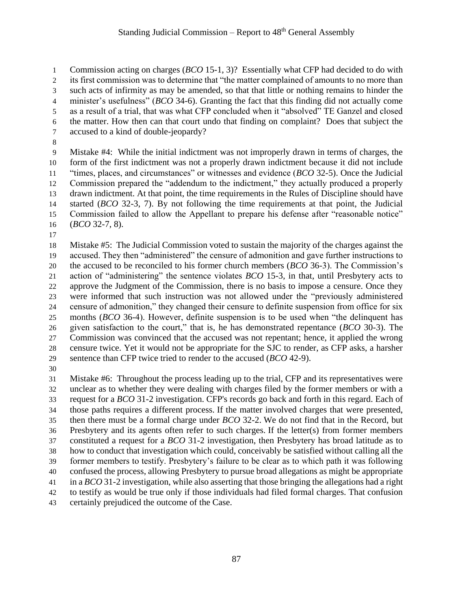Commission acting on charges (*BCO* 15-1, 3)? Essentially what CFP had decided to do with its first commission was to determine that "the matter complained of amounts to no more than such acts of infirmity as may be amended, so that that little or nothing remains to hinder the minister's usefulness" (*BCO* 34-6). Granting the fact that this finding did not actually come as a result of a trial, that was what CFP concluded when it "absolved" TE Ganzel and closed the matter. How then can that court undo that finding on complaint? Does that subject the accused to a kind of double-jeopardy?

 Mistake #4: While the initial indictment was not improperly drawn in terms of charges, the form of the first indictment was not a properly drawn indictment because it did not include "times, places, and circumstances" or witnesses and evidence (*BCO* 32-5). Once the Judicial Commission prepared the "addendum to the indictment," they actually produced a properly drawn indictment. At that point, the time requirements in the Rules of Discipline should have started (*BCO* 32-3, 7). By not following the time requirements at that point, the Judicial Commission failed to allow the Appellant to prepare his defense after "reasonable notice" (*BCO* 32-7, 8).

 Mistake #5: The Judicial Commission voted to sustain the majority of the charges against the accused. They then "administered" the censure of admonition and gave further instructions to the accused to be reconciled to his former church members (*BCO* 36-3). The Commission's action of "administering" the sentence violates *BCO* 15-3, in that, until Presbytery acts to approve the Judgment of the Commission, there is no basis to impose a censure. Once they were informed that such instruction was not allowed under the "previously administered censure of admonition," they changed their censure to definite suspension from office for six months (*BCO* 36-4). However, definite suspension is to be used when "the delinquent has given satisfaction to the court," that is, he has demonstrated repentance (*BCO* 30-3). The Commission was convinced that the accused was not repentant; hence, it applied the wrong censure twice. Yet it would not be appropriate for the SJC to render, as CFP asks, a harsher sentence than CFP twice tried to render to the accused (*BCO* 42-9).

 Mistake #6: Throughout the process leading up to the trial, CFP and its representatives were unclear as to whether they were dealing with charges filed by the former members or with a request for a *BCO* 31-2 investigation. CFP's records go back and forth in this regard. Each of those paths requires a different process. If the matter involved charges that were presented, then there must be a formal charge under *BCO* 32-2. We do not find that in the Record, but Presbytery and its agents often refer to such charges. If the letter(s) from former members constituted a request for a *BCO* 31-2 investigation, then Presbytery has broad latitude as to how to conduct that investigation which could, conceivably be satisfied without calling all the former members to testify. Presbytery's failure to be clear as to which path it was following confused the process, allowing Presbytery to pursue broad allegations as might be appropriate in a *BCO* 31-2 investigation, while also asserting that those bringing the allegations had a right to testify as would be true only if those individuals had filed formal charges. That confusion certainly prejudiced the outcome of the Case.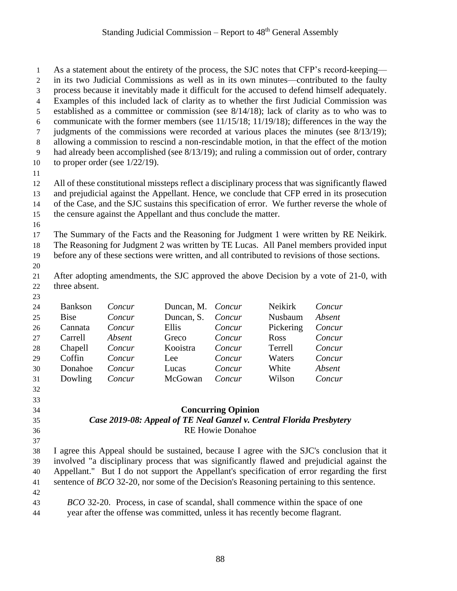As a statement about the entirety of the process, the SJC notes that CFP's record-keeping— in its two Judicial Commissions as well as in its own minutes—contributed to the faulty process because it inevitably made it difficult for the accused to defend himself adequately. Examples of this included lack of clarity as to whether the first Judicial Commission was established as a committee or commission (see 8/14/18); lack of clarity as to who was to communicate with the former members (see 11/15/18; 11/19/18); differences in the way the judgments of the commissions were recorded at various places the minutes (see 8/13/19); allowing a commission to rescind a non-rescindable motion, in that the effect of the motion had already been accomplished (see 8/13/19); and ruling a commission out of order, contrary 10 to proper order (see  $1/22/19$ ). All of these constitutional missteps reflect a disciplinary process that was significantly flawed and prejudicial against the Appellant. Hence, we conclude that CFP erred in its prosecution of the Case, and the SJC sustains this specification of error. We further reverse the whole of the censure against the Appellant and thus conclude the matter. The Summary of the Facts and the Reasoning for Judgment 1 were written by RE Neikirk. The Reasoning for Judgment 2 was written by TE Lucas. All Panel members provided input before any of these sections were written, and all contributed to revisions of those sections. After adopting amendments, the SJC approved the above Decision by a vote of 21-0, with three absent. Bankson *Concur* Duncan, M. *Concur* Neikirk *Concur* Bise *Concur* Duncan, S. *Concur* Nusbaum *Absent* Cannata *Concur* Ellis *Concur* Pickering *Concur* Carrell *Absent* Greco *Concur* Ross *Concur* Chapell *Concur* Kooistra *Concur* Terrell *Concur* Coffin *Concur* Lee *Concur* Waters *Concur* Donahoe *Concur* Lucas *Concur* White *Absent* Dowling *Concur* McGowan *Concur* Wilson *Concur* **Concurring Opinion** *Case 2019-08: Appeal of TE Neal Ganzel v. Central Florida Presbytery* RE Howie Donahoe I agree this Appeal should be sustained, because I agree with the SJC's conclusion that it involved "a disciplinary process that was significantly flawed and prejudicial against the Appellant." But I do not support the Appellant's specification of error regarding the first sentence of *BCO* 32-20, nor some of the Decision's Reasoning pertaining to this sentence. *BCO* 32-20. Process, in case of scandal, shall commence within the space of one

year after the offense was committed, unless it has recently become flagrant.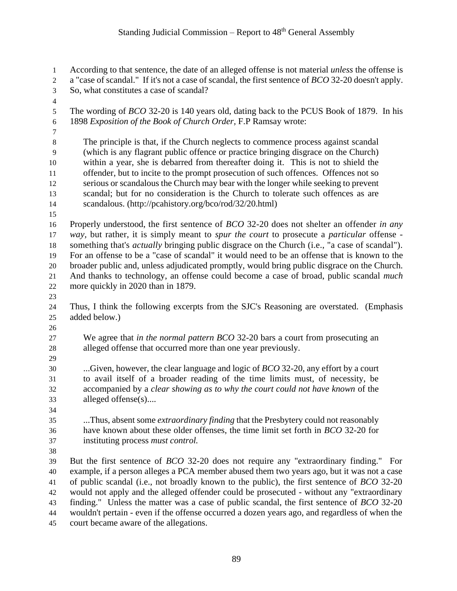## Standing Judicial Commission – Report to  $48<sup>th</sup>$  General Assembly

According to that sentence, the date of an alleged offense is not material *unless* the offense is

 a "case of scandal." If it's not a case of scandal, the first sentence of *BCO* 32-20 doesn't apply. So, what constitutes a case of scandal?

 The wording of *BCO* 32-20 is 140 years old, dating back to the PCUS Book of 1879. In his 1898 *Exposition of the Book of Church Order,* F.P Ramsay wrote:

 The principle is that, if the Church neglects to commence process against scandal (which is any flagrant public offence or practice bringing disgrace on the Church) within a year, she is debarred from thereafter doing it. This is not to shield the 11 offender, but to incite to the prompt prosecution of such offences. Offences not so serious or scandalous the Church may bear with the longer while seeking to prevent scandal; but for no consideration is the Church to tolerate such offences as are scandalous. (http://pcahistory.org/bco/rod/32/20.html)

- Properly understood, the first sentence of *BCO* 32-20 does not shelter an offender *in any way,* but rather, it is simply meant to *spur the court* to prosecute a *particular* offense - something that's *actually* bringing public disgrace on the Church (i.e., "a case of scandal"). For an offense to be a "case of scandal" it would need to be an offense that is known to the broader public and, unless adjudicated promptly, would bring public disgrace on the Church. And thanks to technology, an offense could become a case of broad, public scandal *much* more quickly in 2020 than in 1879.
- 

 Thus, I think the following excerpts from the SJC's Reasoning are overstated. (Emphasis added below.)

- We agree that *in the normal pattern BCO* 32-20 bars a court from prosecuting an alleged offense that occurred more than one year previously.
- 

 ...Given, however, the clear language and logic of *BCO* 32-20, any effort by a court to avail itself of a broader reading of the time limits must, of necessity, be accompanied by a *clear showing as to why the court could not have known* of the alleged offense(s)....

 ...Thus, absent some *extraordinary finding* that the Presbytery could not reasonably have known about these older offenses, the time limit set forth in *BCO* 32-20 for instituting process *must control.*

 But the first sentence of *BCO* 32-20 does not require any "extraordinary finding." For example, if a person alleges a PCA member abused them two years ago, but it was not a case of public scandal (i.e., not broadly known to the public), the first sentence of *BCO* 32-20 would not apply and the alleged offender could be prosecuted - without any "extraordinary finding." Unless the matter was a case of public scandal, the first sentence of *BCO* 32-20 wouldn't pertain - even if the offense occurred a dozen years ago, and regardless of when the court became aware of the allegations.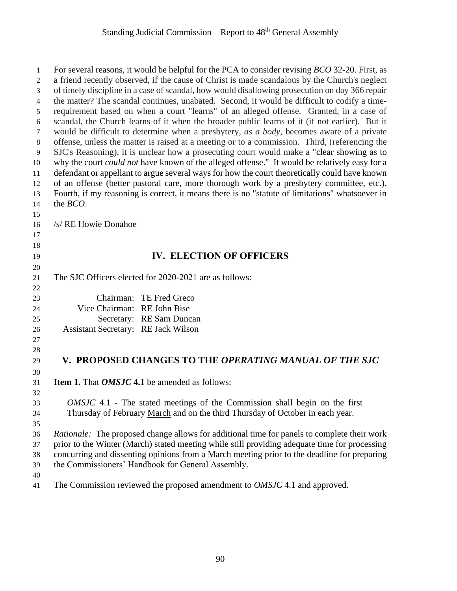| $\mathbf{1}$ | For several reasons, it would be helpful for the PCA to consider revising BCO 32-20. First, as       |
|--------------|------------------------------------------------------------------------------------------------------|
| 2            | a friend recently observed, if the cause of Christ is made scandalous by the Church's neglect        |
| 3            | of timely discipline in a case of scandal, how would disallowing prosecution on day 366 repair       |
| 4            | the matter? The scandal continues, unabated. Second, it would be difficult to codify a time-         |
| 5            | requirement based on when a court "learns" of an alleged offense. Granted, in a case of              |
| 6            | scandal, the Church learns of it when the broader public learns of it (if not earlier). But it       |
| 7            | would be difficult to determine when a presbytery, as a body, becomes aware of a private             |
| $\,8\,$      | offense, unless the matter is raised at a meeting or to a commission. Third, (referencing the        |
| 9            | SJC's Reasoning), it is unclear how a prosecuting court would make a "clear showing as to            |
| 10           | why the court <i>could not</i> have known of the alleged offense." It would be relatively easy for a |
| 11           | defendant or appellant to argue several ways for how the court theoretically could have known        |
| 12           | of an offense (better pastoral care, more thorough work by a presbytery committee, etc.).            |
| 13           | Fourth, if my reasoning is correct, it means there is no "statute of limitations" whatsoever in      |
| 14           | the <i>BCO</i> .                                                                                     |
| 15           |                                                                                                      |
| 16           | /s/ RE Howie Donahoe                                                                                 |
| 17           |                                                                                                      |
| 18           | <b>IV. ELECTION OF OFFICERS</b>                                                                      |
| 19           |                                                                                                      |
| 20           | The SJC Officers elected for 2020-2021 are as follows:                                               |
| 21<br>22     |                                                                                                      |
| 23           | Chairman: TE Fred Greco                                                                              |
| 24           | Vice Chairman: RE John Bise                                                                          |
| 25           | Secretary: RE Sam Duncan                                                                             |
| 26           | <b>Assistant Secretary:</b> RE Jack Wilson                                                           |
| 27           |                                                                                                      |
| 28           |                                                                                                      |
| 29           | <b>V. PROPOSED CHANGES TO THE OPERATING MANUAL OF THE SJC</b>                                        |
| 30           |                                                                                                      |
| 31           | <b>Item 1.</b> That <i>OMSJC</i> 4.1 be amended as follows:                                          |
| 32           |                                                                                                      |
| 33           | <i>OMSJC</i> 4.1 - The stated meetings of the Commission shall begin on the first                    |
| 34           | Thursday of February March and on the third Thursday of October in each year.                        |
| 35           |                                                                                                      |
| 36           | Rationale: The proposed change allows for additional time for panels to complete their work          |
| 37           | prior to the Winter (March) stated meeting while still providing adequate time for processing        |
| 38           | concurring and dissenting opinions from a March meeting prior to the deadline for preparing          |
| 39           | the Commissioners' Handbook for General Assembly.                                                    |
| 40           |                                                                                                      |
| 41           | The Commission reviewed the proposed amendment to OMSJC 4.1 and approved.                            |